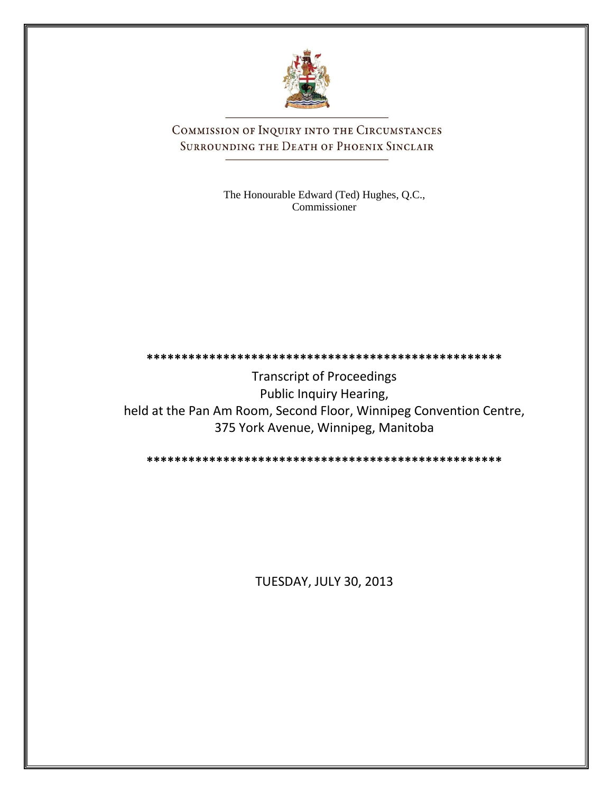

COMMISSION OF INQUIRY INTO THE CIRCUMSTANCES SURROUNDING THE DEATH OF PHOENIX SINCLAIR

> The Honourable Edward (Ted) Hughes, Q.C., Commissioner

## **\*\*\*\*\*\*\*\*\*\*\*\*\*\*\*\*\*\*\*\*\*\*\*\*\*\*\*\*\*\*\*\*\*\*\*\*\*\*\*\*\*\*\*\*\*\*\*\*\*\*\***

Transcript of Proceedings Public Inquiry Hearing, held at the Pan Am Room, Second Floor, Winnipeg Convention Centre, 375 York Avenue, Winnipeg, Manitoba

**\*\*\*\*\*\*\*\*\*\*\*\*\*\*\*\*\*\*\*\*\*\*\*\*\*\*\*\*\*\*\*\*\*\*\*\*\*\*\*\*\*\*\*\*\*\*\*\*\*\*\***

TUESDAY, JULY 30, 2013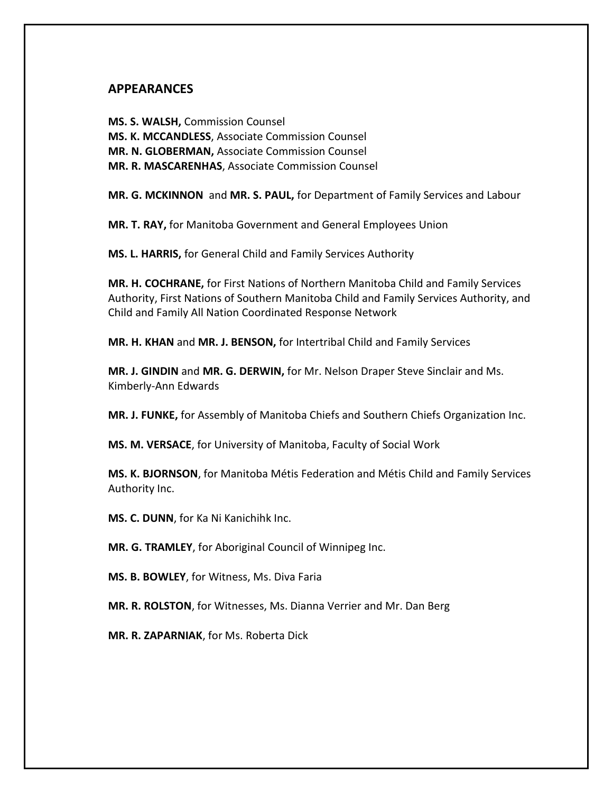## **APPEARANCES**

**MS. S. WALSH,** Commission Counsel **MS. K. MCCANDLESS**, Associate Commission Counsel **MR. N. GLOBERMAN,** Associate Commission Counsel **MR. R. MASCARENHAS**, Associate Commission Counsel

**MR. G. MCKINNON** and **MR. S. PAUL,** for Department of Family Services and Labour

**MR. T. RAY,** for Manitoba Government and General Employees Union

**MS. L. HARRIS,** for General Child and Family Services Authority

**MR. H. COCHRANE,** for First Nations of Northern Manitoba Child and Family Services Authority, First Nations of Southern Manitoba Child and Family Services Authority, and Child and Family All Nation Coordinated Response Network

**MR. H. KHAN** and **MR. J. BENSON,** for Intertribal Child and Family Services

**MR. J. GINDIN** and **MR. G. DERWIN,** for Mr. Nelson Draper Steve Sinclair and Ms. Kimberly-Ann Edwards

**MR. J. FUNKE,** for Assembly of Manitoba Chiefs and Southern Chiefs Organization Inc.

**MS. M. VERSACE**, for University of Manitoba, Faculty of Social Work

**MS. K. BJORNSON**, for Manitoba Métis Federation and Métis Child and Family Services Authority Inc.

**MS. C. DUNN**, for Ka Ni Kanichihk Inc.

**MR. G. TRAMLEY**, for Aboriginal Council of Winnipeg Inc.

**MS. B. BOWLEY**, for Witness, Ms. Diva Faria

**MR. R. ROLSTON**, for Witnesses, Ms. Dianna Verrier and Mr. Dan Berg

**MR. R. ZAPARNIAK**, for Ms. Roberta Dick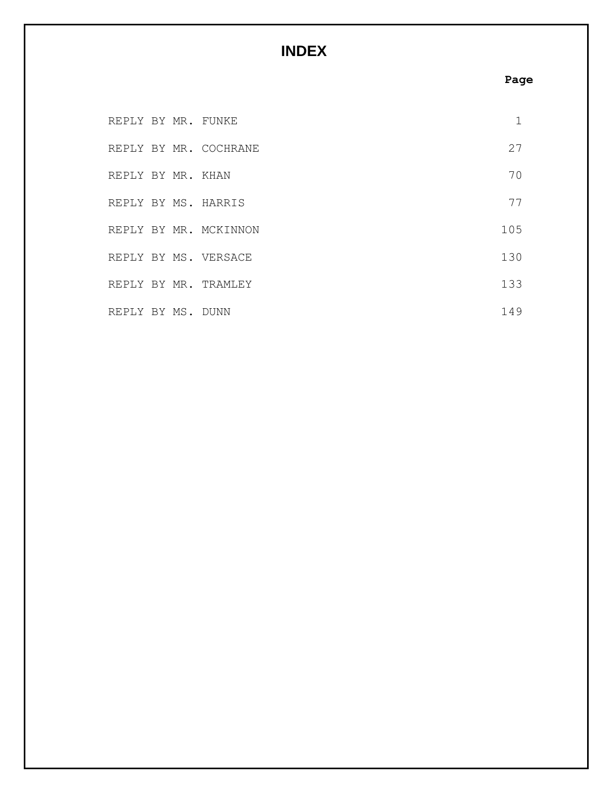## **INDEX**

## **Page**

| REPLY BY MR. FUNKE |  |                       | 1   |
|--------------------|--|-----------------------|-----|
|                    |  | REPLY BY MR. COCHRANE | 27  |
| REPLY BY MR. KHAN  |  |                       | 70  |
|                    |  | REPLY BY MS. HARRIS   | 77  |
|                    |  | REPLY BY MR. MCKINNON | 105 |
|                    |  | REPLY BY MS. VERSACE  | 130 |
|                    |  | REPLY BY MR. TRAMLEY  | 133 |
| REPLY BY MS. DUNN  |  |                       | 149 |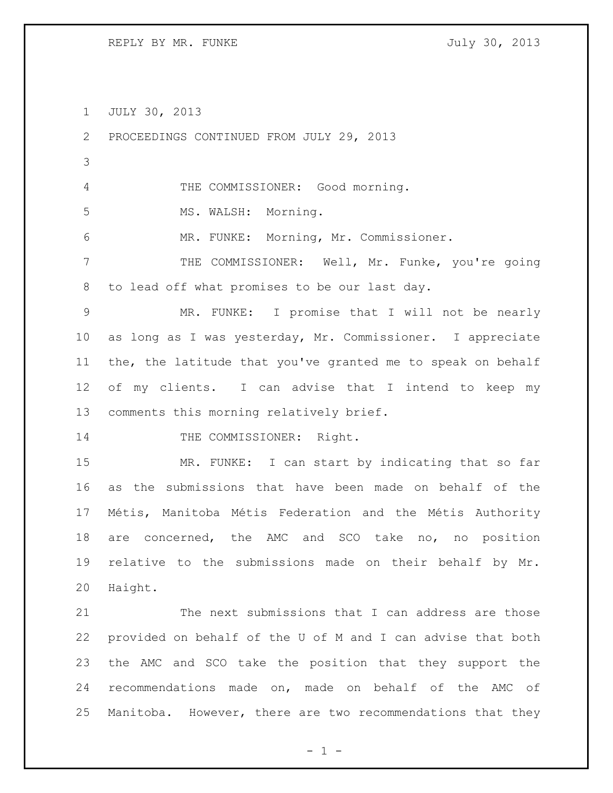REPLY BY MR. FUNKE SALLARY STATES AND TULLY 30, 2013

JULY 30, 2013

 PROCEEDINGS CONTINUED FROM JULY 29, 2013 THE COMMISSIONER: Good morning. 5 MS. WALSH: Morning. MR. FUNKE: Morning, Mr. Commissioner. 7 THE COMMISSIONER: Well, Mr. Funke, you're going to lead off what promises to be our last day. MR. FUNKE: I promise that I will not be nearly as long as I was yesterday, Mr. Commissioner. I appreciate the, the latitude that you've granted me to speak on behalf of my clients. I can advise that I intend to keep my comments this morning relatively brief. 14 THE COMMISSIONER: Right. MR. FUNKE: I can start by indicating that so far as the submissions that have been made on behalf of the Métis, Manitoba Métis Federation and the Métis Authority are concerned, the AMC and SCO take no, no position relative to the submissions made on their behalf by Mr. Haight. The next submissions that I can address are those provided on behalf of the U of M and I can advise that both the AMC and SCO take the position that they support the recommendations made on, made on behalf of the AMC of Manitoba. However, there are two recommendations that they

 $- 1 -$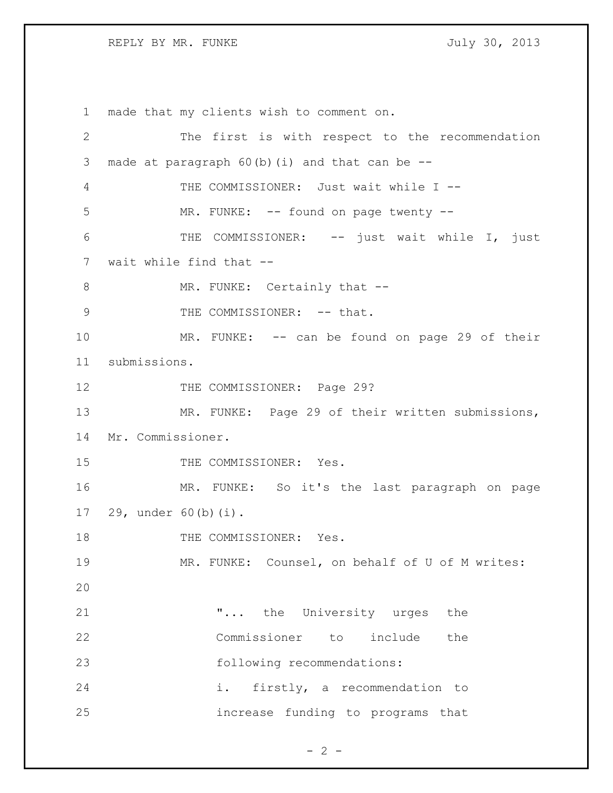REPLY BY MR. FUNKE SALLY 30, 2013

 made that my clients wish to comment on. The first is with respect to the recommendation made at paragraph 60(b)(i) and that can be -- THE COMMISSIONER: Just wait while I -- 5 MR. FUNKE: -- found on page twenty -- THE COMMISSIONER: -- just wait while I, just wait while find that -- 8 MR. FUNKE: Certainly that --9 THE COMMISSIONER: -- that. 10 MR. FUNKE: -- can be found on page 29 of their submissions. 12 THE COMMISSIONER: Page 29? MR. FUNKE: Page 29 of their written submissions, Mr. Commissioner. 15 THE COMMISSIONER: Yes. MR. FUNKE: So it's the last paragraph on page 29, under 60(b)(i). 18 THE COMMISSIONER: Yes. MR. FUNKE: Counsel, on behalf of U of M writes: **...** the University urges the Commissioner to include the 23 following recommendations: i. firstly, a recommendation to increase funding to programs that

 $- 2 -$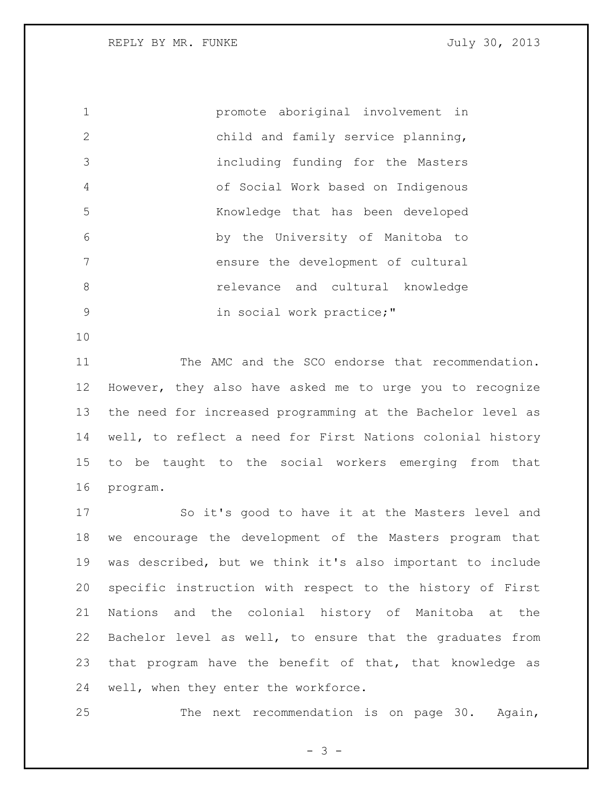REPLY BY MR. FUNKE SALLARY STATES AND TULLY 30, 2013

 promote aboriginal involvement in child and family service planning, including funding for the Masters of Social Work based on Indigenous Knowledge that has been developed by the University of Manitoba to ensure the development of cultural relevance and cultural knowledge 9 in social work practice;"

 The AMC and the SCO endorse that recommendation. However, they also have asked me to urge you to recognize the need for increased programming at the Bachelor level as well, to reflect a need for First Nations colonial history to be taught to the social workers emerging from that program.

 So it's good to have it at the Masters level and we encourage the development of the Masters program that was described, but we think it's also important to include specific instruction with respect to the history of First Nations and the colonial history of Manitoba at the Bachelor level as well, to ensure that the graduates from that program have the benefit of that, that knowledge as well, when they enter the workforce.

The next recommendation is on page 30. Again,

- 3 -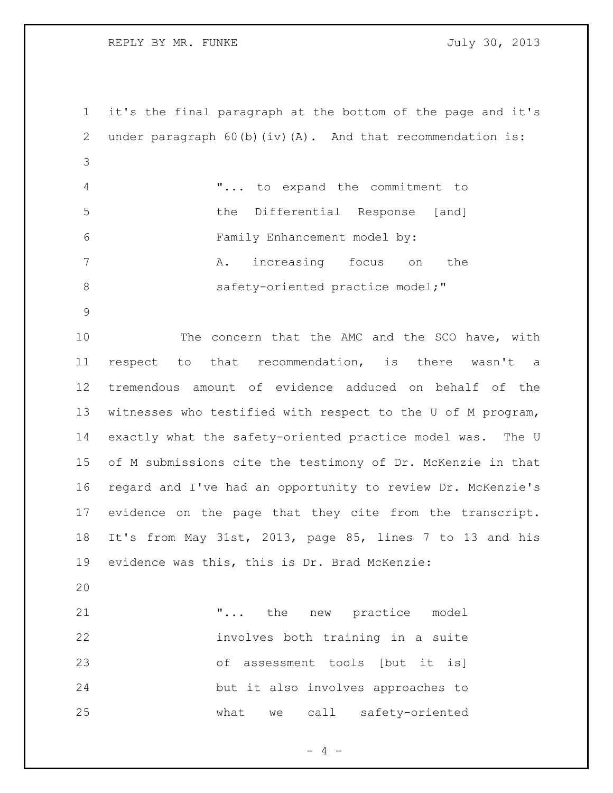REPLY BY MR. FUNKE SALLARY STATES AND TULLY 30, 2013

 it's the final paragraph at the bottom of the page and it's 2 under paragraph 60(b)(iv)(A). And that recommendation is: "... to expand the commitment to the Differential Response [and] Family Enhancement model by: A. increasing focus on the 8 safety-oriented practice model;" 10 The concern that the AMC and the SCO have, with respect to that recommendation, is there wasn't a tremendous amount of evidence adduced on behalf of the witnesses who testified with respect to the U of M program, exactly what the safety-oriented practice model was. The U of M submissions cite the testimony of Dr. McKenzie in that regard and I've had an opportunity to review Dr. McKenzie's evidence on the page that they cite from the transcript. It's from May 31st, 2013, page 85, lines 7 to 13 and his evidence was this, this is Dr. Brad McKenzie: **...** the new practice model involves both training in a suite of assessment tools [but it is] but it also involves approaches to what we call safety-oriented

 $- 4 -$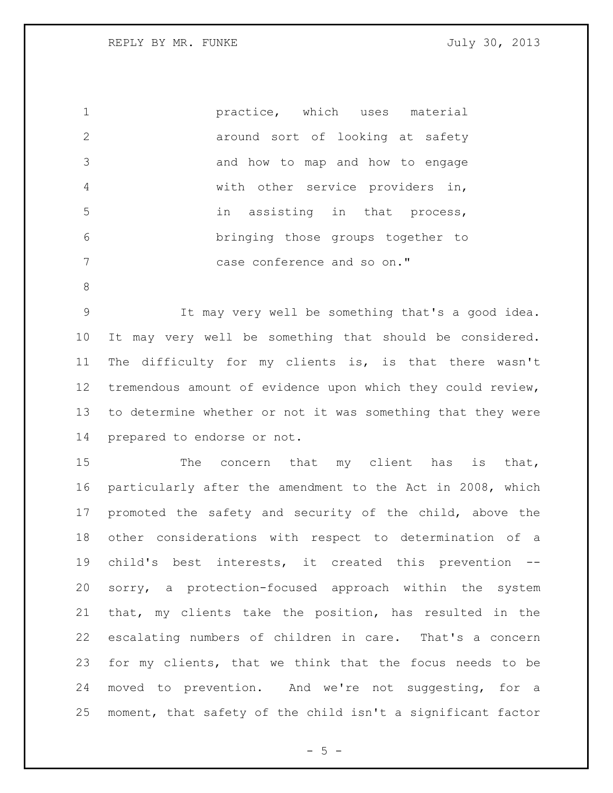practice, which uses material 2 around sort of looking at safety and how to map and how to engage with other service providers in, in assisting in that process, bringing those groups together to case conference and so on."

 It may very well be something that's a good idea. It may very well be something that should be considered. The difficulty for my clients is, is that there wasn't tremendous amount of evidence upon which they could review, to determine whether or not it was something that they were prepared to endorse or not.

15 The concern that my client has is that, particularly after the amendment to the Act in 2008, which promoted the safety and security of the child, above the other considerations with respect to determination of a child's best interests, it created this prevention -- sorry, a protection-focused approach within the system that, my clients take the position, has resulted in the escalating numbers of children in care. That's a concern for my clients, that we think that the focus needs to be moved to prevention. And we're not suggesting, for a moment, that safety of the child isn't a significant factor

 $- 5 -$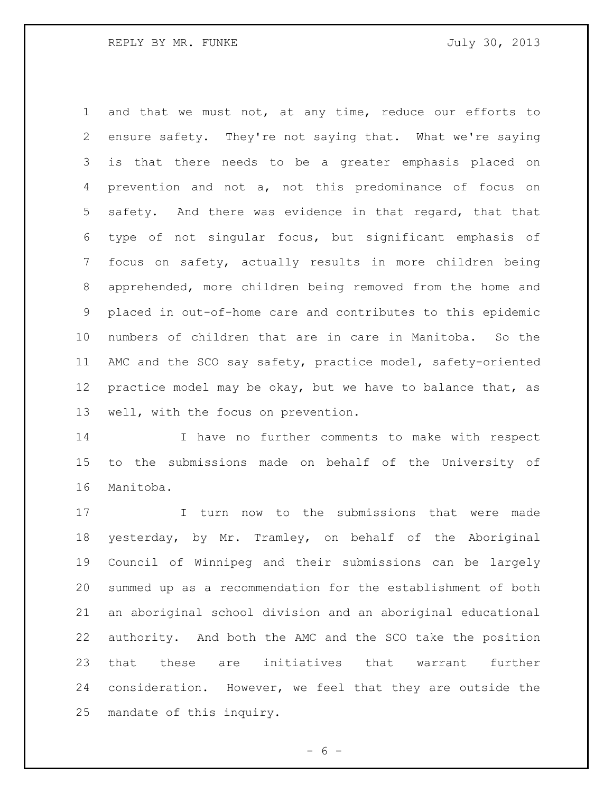and that we must not, at any time, reduce our efforts to ensure safety. They're not saying that. What we're saying is that there needs to be a greater emphasis placed on prevention and not a, not this predominance of focus on safety. And there was evidence in that regard, that that type of not singular focus, but significant emphasis of focus on safety, actually results in more children being apprehended, more children being removed from the home and placed in out-of-home care and contributes to this epidemic numbers of children that are in care in Manitoba. So the AMC and the SCO say safety, practice model, safety-oriented 12 practice model may be okay, but we have to balance that, as well, with the focus on prevention.

 I have no further comments to make with respect to the submissions made on behalf of the University of Manitoba.

 I turn now to the submissions that were made yesterday, by Mr. Tramley, on behalf of the Aboriginal Council of Winnipeg and their submissions can be largely summed up as a recommendation for the establishment of both an aboriginal school division and an aboriginal educational authority. And both the AMC and the SCO take the position that these are initiatives that warrant further consideration. However, we feel that they are outside the mandate of this inquiry.

 $- 6 -$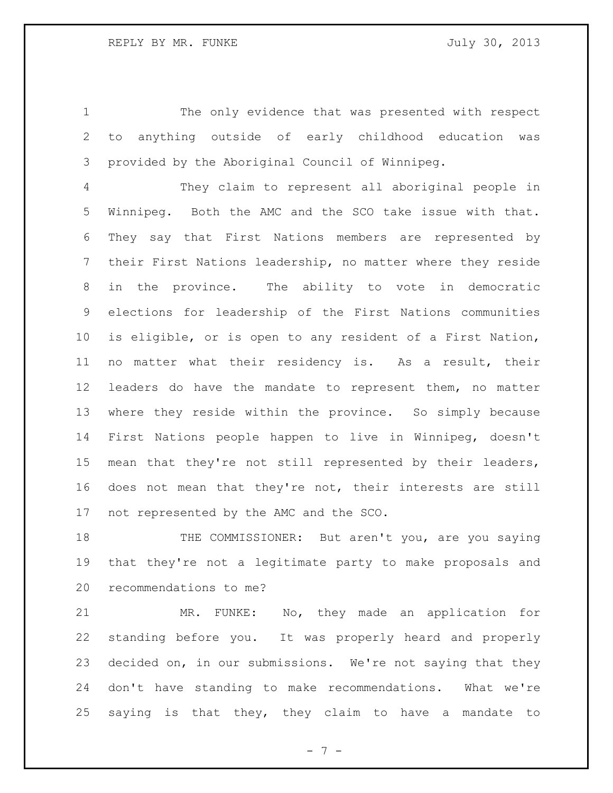The only evidence that was presented with respect to anything outside of early childhood education was provided by the Aboriginal Council of Winnipeg.

 They claim to represent all aboriginal people in Winnipeg. Both the AMC and the SCO take issue with that. They say that First Nations members are represented by their First Nations leadership, no matter where they reside in the province. The ability to vote in democratic elections for leadership of the First Nations communities is eligible, or is open to any resident of a First Nation, no matter what their residency is. As a result, their leaders do have the mandate to represent them, no matter where they reside within the province. So simply because First Nations people happen to live in Winnipeg, doesn't mean that they're not still represented by their leaders, does not mean that they're not, their interests are still not represented by the AMC and the SCO.

18 THE COMMISSIONER: But aren't you, are you saying that they're not a legitimate party to make proposals and recommendations to me?

 MR. FUNKE: No, they made an application for standing before you. It was properly heard and properly decided on, in our submissions. We're not saying that they don't have standing to make recommendations. What we're saying is that they, they claim to have a mandate to

- 7 -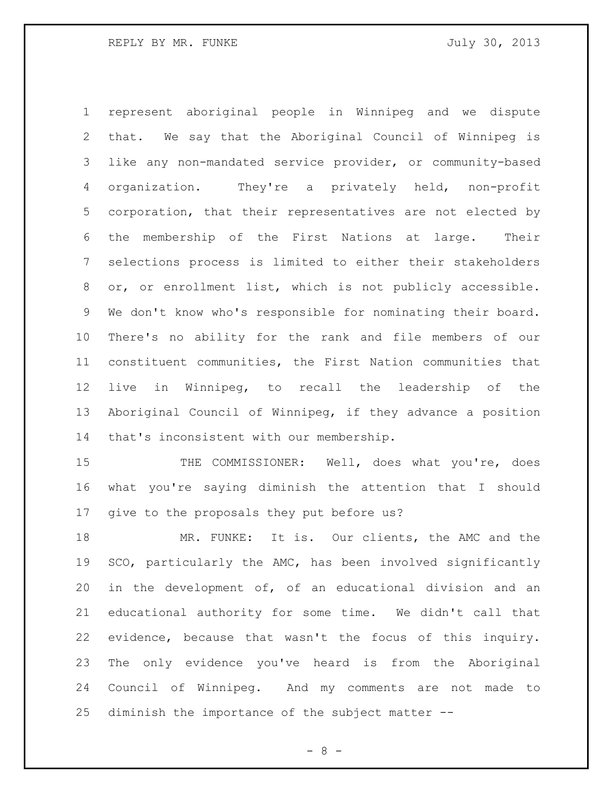represent aboriginal people in Winnipeg and we dispute that. We say that the Aboriginal Council of Winnipeg is like any non-mandated service provider, or community-based organization. They're a privately held, non-profit corporation, that their representatives are not elected by the membership of the First Nations at large. Their selections process is limited to either their stakeholders or, or enrollment list, which is not publicly accessible. We don't know who's responsible for nominating their board. There's no ability for the rank and file members of our constituent communities, the First Nation communities that live in Winnipeg, to recall the leadership of the Aboriginal Council of Winnipeg, if they advance a position that's inconsistent with our membership.

15 THE COMMISSIONER: Well, does what you're, does what you're saying diminish the attention that I should give to the proposals they put before us?

 MR. FUNKE: It is. Our clients, the AMC and the SCO, particularly the AMC, has been involved significantly in the development of, of an educational division and an educational authority for some time. We didn't call that evidence, because that wasn't the focus of this inquiry. The only evidence you've heard is from the Aboriginal Council of Winnipeg. And my comments are not made to diminish the importance of the subject matter --

- 8 -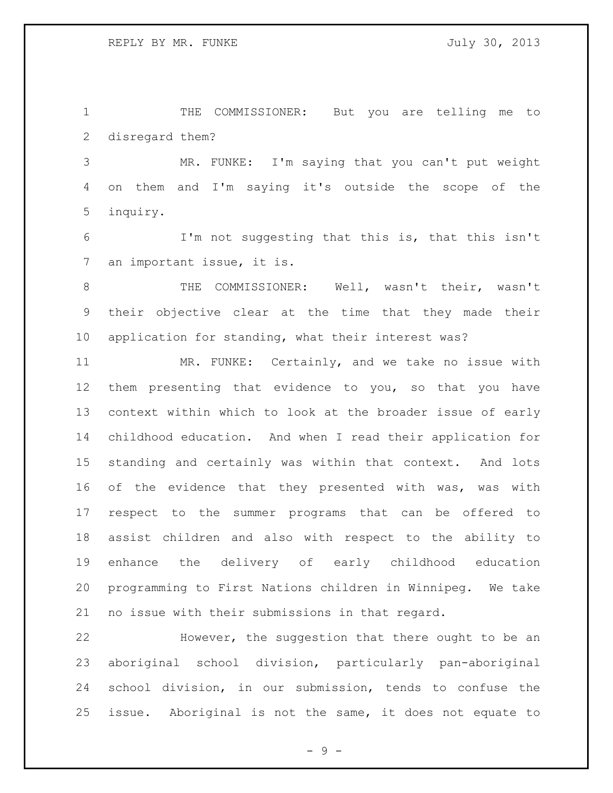THE COMMISSIONER: But you are telling me to disregard them?

 MR. FUNKE: I'm saying that you can't put weight on them and I'm saying it's outside the scope of the inquiry.

 I'm not suggesting that this is, that this isn't an important issue, it is.

 THE COMMISSIONER: Well, wasn't their, wasn't their objective clear at the time that they made their application for standing, what their interest was?

 MR. FUNKE: Certainly, and we take no issue with them presenting that evidence to you, so that you have context within which to look at the broader issue of early childhood education. And when I read their application for standing and certainly was within that context. And lots of the evidence that they presented with was, was with respect to the summer programs that can be offered to assist children and also with respect to the ability to enhance the delivery of early childhood education programming to First Nations children in Winnipeg. We take no issue with their submissions in that regard.

 However, the suggestion that there ought to be an aboriginal school division, particularly pan-aboriginal school division, in our submission, tends to confuse the issue. Aboriginal is not the same, it does not equate to

- 9 -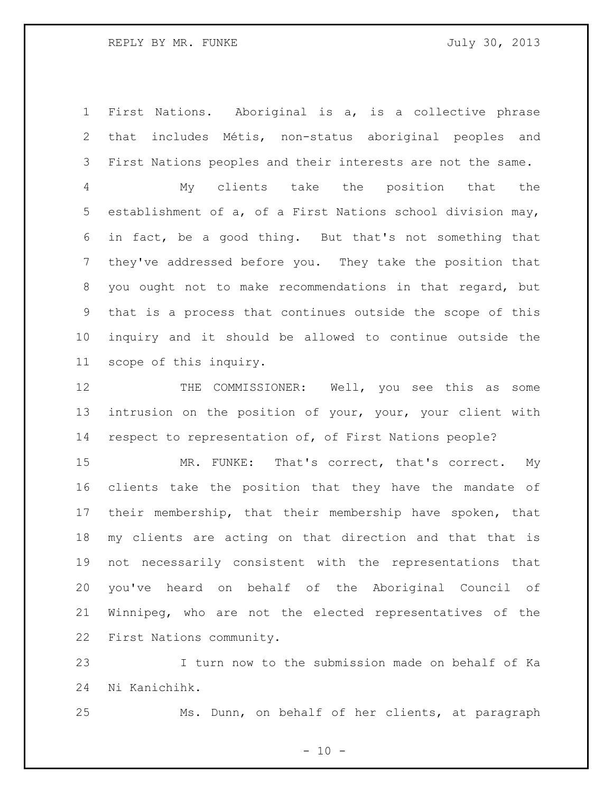REPLY BY MR. FUNKE SALLARY STATES AND TULLY 30, 2013

 First Nations. Aboriginal is a, is a collective phrase that includes Métis, non-status aboriginal peoples and First Nations peoples and their interests are not the same.

 My clients take the position that the establishment of a, of a First Nations school division may, in fact, be a good thing. But that's not something that they've addressed before you. They take the position that you ought not to make recommendations in that regard, but that is a process that continues outside the scope of this inquiry and it should be allowed to continue outside the scope of this inquiry.

 THE COMMISSIONER: Well, you see this as some intrusion on the position of your, your, your client with respect to representation of, of First Nations people?

 MR. FUNKE: That's correct, that's correct. My clients take the position that they have the mandate of their membership, that their membership have spoken, that my clients are acting on that direction and that that is not necessarily consistent with the representations that you've heard on behalf of the Aboriginal Council of Winnipeg, who are not the elected representatives of the First Nations community.

 I turn now to the submission made on behalf of Ka Ni Kanichihk.

Ms. Dunn, on behalf of her clients, at paragraph

- 10 -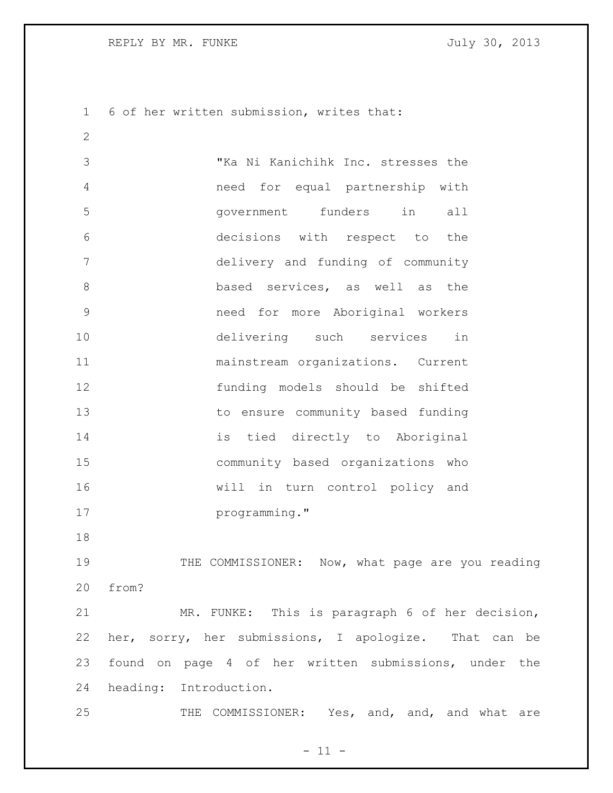REPLY BY MR. FUNKE SALLY 30, 2013

6 of her written submission, writes that:

 "Ka Ni Kanichihk Inc. stresses the need for equal partnership with government funders in all decisions with respect to the delivery and funding of community **based services, as well as the**  need for more Aboriginal workers delivering such services in mainstream organizations. Current funding models should be shifted to ensure community based funding is tied directly to Aboriginal community based organizations who will in turn control policy and **programming.**"

19 THE COMMISSIONER: Now, what page are you reading from?

 MR. FUNKE: This is paragraph 6 of her decision, her, sorry, her submissions, I apologize. That can be found on page 4 of her written submissions, under the heading: Introduction.

25 THE COMMISSIONER: Yes, and, and, and what are

 $- 11 -$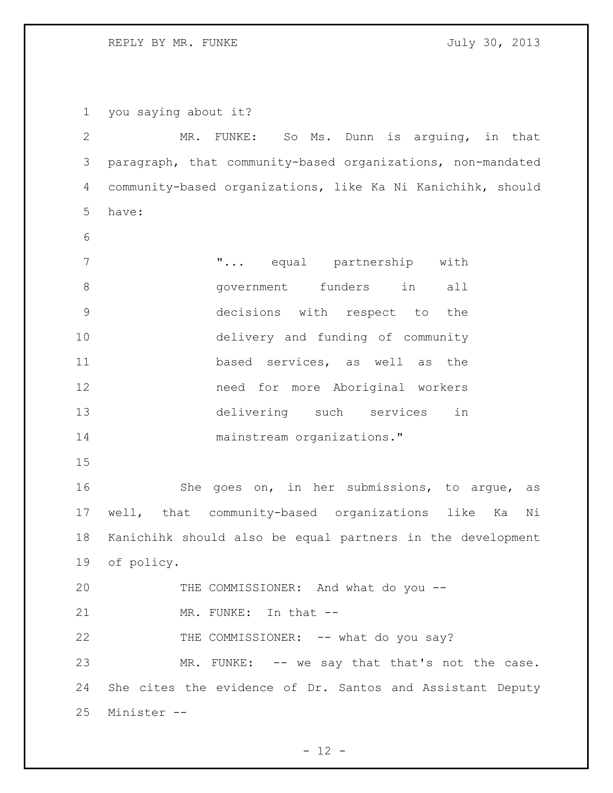REPLY BY MR. FUNKE **FUNKE** STRING THE STRING SO THAT AND THE STRING SO THAT AND THE STRING STRING SO THAT AND THE STRING SO THAT AND THE STRING STRING STRING STRING STRING STRING STRING STRING STRING STRING STRING STRING S

 you saying about it? MR. FUNKE: So Ms. Dunn is arguing, in that paragraph, that community-based organizations, non-mandated community-based organizations, like Ka Ni Kanichihk, should have: "... equal partnership with government funders in all decisions with respect to the delivery and funding of community based services, as well as the need for more Aboriginal workers delivering such services in 14 mainstream organizations." She goes on, in her submissions, to argue, as well, that community-based organizations like Ka Ni Kanichihk should also be equal partners in the development of policy. 20 THE COMMISSIONER: And what do you --21 MR. FUNKE: In that --22 THE COMMISSIONER: -- what do you say? 23 MR. FUNKE: -- we say that that's not the case. She cites the evidence of Dr. Santos and Assistant Deputy Minister --

 $- 12 -$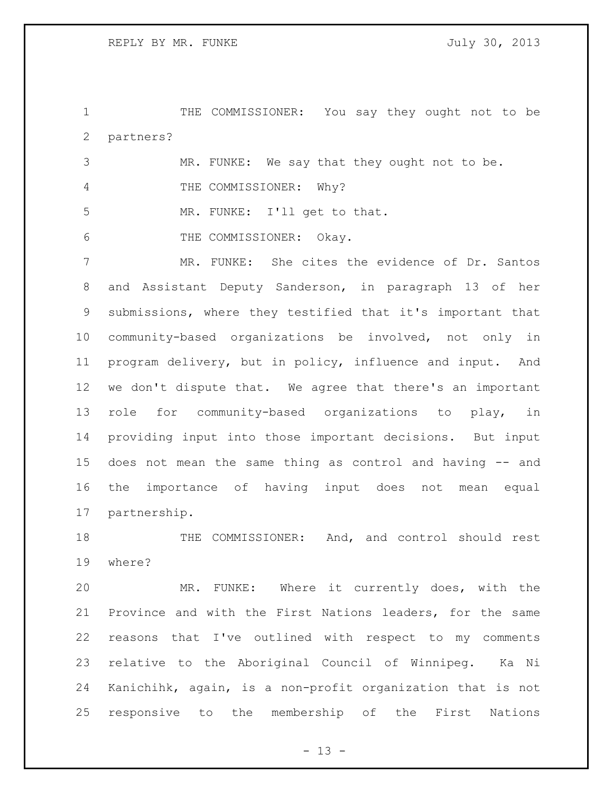THE COMMISSIONER: You say they ought not to be partners?

|     | MR. FUNKE: We say that they ought not to be. |  |  |  |  |
|-----|----------------------------------------------|--|--|--|--|
|     | THE COMMISSIONER: Why?                       |  |  |  |  |
| - 5 | MR. FUNKE: I'll get to that.                 |  |  |  |  |
| - 6 | THE COMMISSIONER: Okay.                      |  |  |  |  |

 MR. FUNKE: She cites the evidence of Dr. Santos and Assistant Deputy Sanderson, in paragraph 13 of her submissions, where they testified that it's important that community-based organizations be involved, not only in program delivery, but in policy, influence and input. And we don't dispute that. We agree that there's an important role for community-based organizations to play, in providing input into those important decisions. But input does not mean the same thing as control and having -- and the importance of having input does not mean equal partnership.

18 THE COMMISSIONER: And, and control should rest where?

 MR. FUNKE: Where it currently does, with the Province and with the First Nations leaders, for the same reasons that I've outlined with respect to my comments relative to the Aboriginal Council of Winnipeg. Ka Ni Kanichihk, again, is a non-profit organization that is not responsive to the membership of the First Nations

 $- 13 -$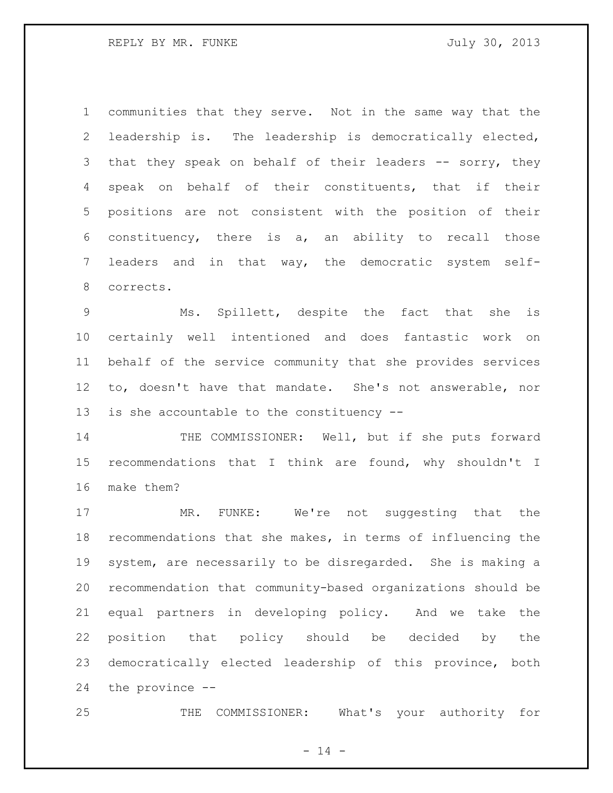communities that they serve. Not in the same way that the leadership is. The leadership is democratically elected, 3 that they speak on behalf of their leaders -- sorry, they speak on behalf of their constituents, that if their positions are not consistent with the position of their constituency, there is a, an ability to recall those leaders and in that way, the democratic system self-corrects.

 Ms. Spillett, despite the fact that she is certainly well intentioned and does fantastic work on behalf of the service community that she provides services to, doesn't have that mandate. She's not answerable, nor is she accountable to the constituency --

14 THE COMMISSIONER: Well, but if she puts forward recommendations that I think are found, why shouldn't I make them?

17 MR. FUNKE: We're not suggesting that the recommendations that she makes, in terms of influencing the system, are necessarily to be disregarded. She is making a recommendation that community-based organizations should be equal partners in developing policy. And we take the position that policy should be decided by the democratically elected leadership of this province, both the province --

THE COMMISSIONER: What's your authority for

 $- 14 -$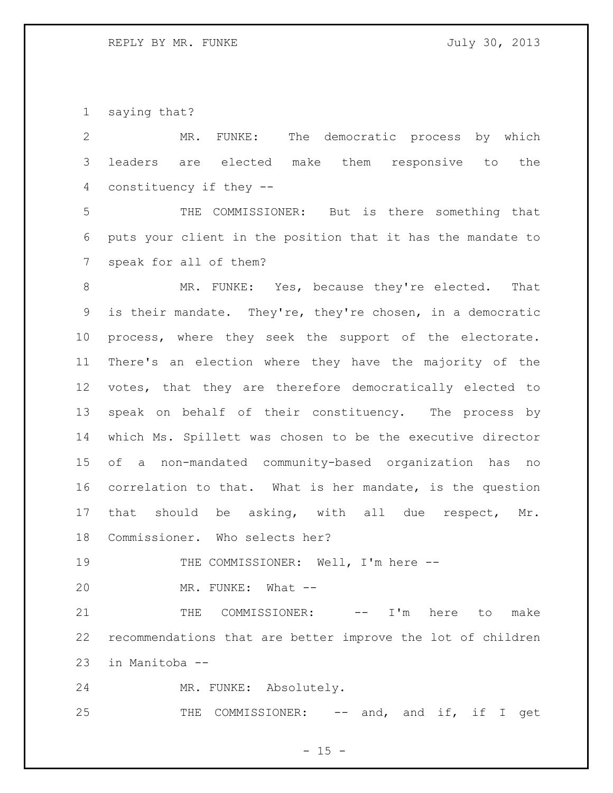saying that?

| $\overline{2}$  | The democratic process by which<br>MR. FUNKE:                |
|-----------------|--------------------------------------------------------------|
| 3               | leaders are elected make them responsive to the              |
| 4               | constituency if they --                                      |
| 5               | THE COMMISSIONER: But is there something that                |
| 6               | puts your client in the position that it has the mandate to  |
| $7\phantom{.0}$ | speak for all of them?                                       |
| 8               | MR. FUNKE: Yes, because they're elected.<br>That             |
| 9               | is their mandate. They're, they're chosen, in a democratic   |
| 10              | process, where they seek the support of the electorate.      |
| 11              | There's an election where they have the majority of the      |
| 12              | votes, that they are therefore democratically elected to     |
| 13              | speak on behalf of their constituency. The process by        |
| 14              | which Ms. Spillett was chosen to be the executive director   |
| 15 <sub>1</sub> | of a non-mandated community-based organization has no        |
| 16              | correlation to that. What is her mandate, is the question    |
| 17              | be asking, with all due respect, Mr.<br>that should          |
| 18              | Commissioner. Who selects her?                               |
| 19              | THE COMMISSIONER: Well, I'm here --                          |
| 20              | MR. FUNKE: What --                                           |
| 21              | COMMISSIONER:<br>$I'$ m<br>THE<br>here<br>to<br>make<br>$--$ |

 recommendations that are better improve the lot of children in Manitoba --

MR. FUNKE: Absolutely.

25 THE COMMISSIONER: -- and, and if, if I get

- 15 -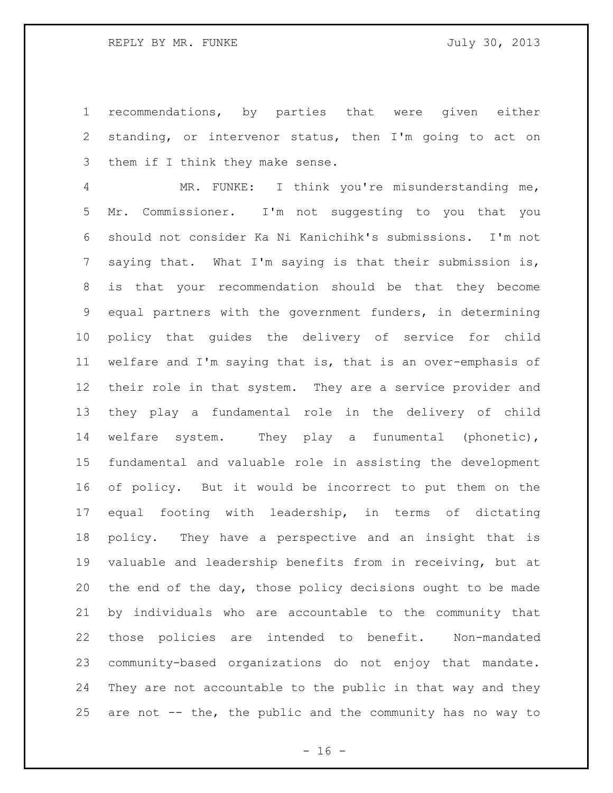recommendations, by parties that were given either standing, or intervenor status, then I'm going to act on them if I think they make sense.

 MR. FUNKE: I think you're misunderstanding me, Mr. Commissioner. I'm not suggesting to you that you should not consider Ka Ni Kanichihk's submissions. I'm not saying that. What I'm saying is that their submission is, is that your recommendation should be that they become equal partners with the government funders, in determining policy that guides the delivery of service for child welfare and I'm saying that is, that is an over-emphasis of their role in that system. They are a service provider and they play a fundamental role in the delivery of child welfare system. They play a funumental (phonetic), fundamental and valuable role in assisting the development of policy. But it would be incorrect to put them on the equal footing with leadership, in terms of dictating policy. They have a perspective and an insight that is valuable and leadership benefits from in receiving, but at the end of the day, those policy decisions ought to be made by individuals who are accountable to the community that those policies are intended to benefit. Non-mandated community-based organizations do not enjoy that mandate. They are not accountable to the public in that way and they are not -- the, the public and the community has no way to

 $- 16 -$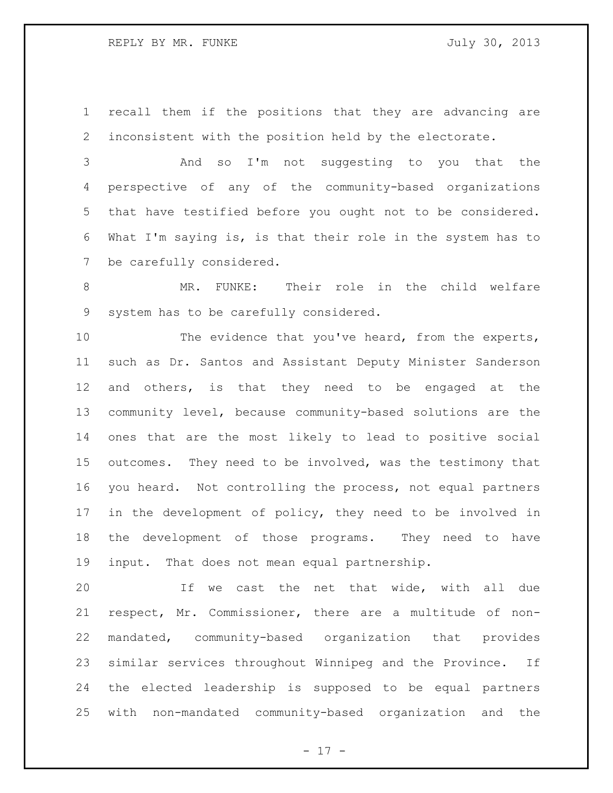recall them if the positions that they are advancing are inconsistent with the position held by the electorate.

 And so I'm not suggesting to you that the perspective of any of the community-based organizations that have testified before you ought not to be considered. What I'm saying is, is that their role in the system has to be carefully considered.

 MR. FUNKE: Their role in the child welfare system has to be carefully considered.

10 The evidence that you've heard, from the experts, such as Dr. Santos and Assistant Deputy Minister Sanderson and others, is that they need to be engaged at the community level, because community-based solutions are the ones that are the most likely to lead to positive social outcomes. They need to be involved, was the testimony that you heard. Not controlling the process, not equal partners in the development of policy, they need to be involved in the development of those programs. They need to have input. That does not mean equal partnership.

 If we cast the net that wide, with all due respect, Mr. Commissioner, there are a multitude of non- mandated, community-based organization that provides similar services throughout Winnipeg and the Province. If the elected leadership is supposed to be equal partners with non-mandated community-based organization and the

- 17 -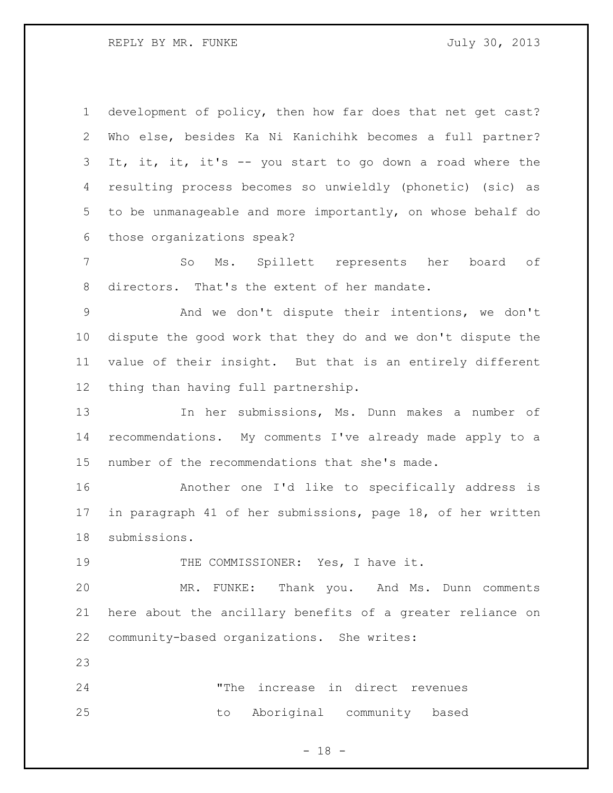REPLY BY MR. FUNKE SALLARY STATES AND TULLY 30, 2013

 development of policy, then how far does that net get cast? Who else, besides Ka Ni Kanichihk becomes a full partner? It, it, it, it's -- you start to go down a road where the resulting process becomes so unwieldly (phonetic) (sic) as to be unmanageable and more importantly, on whose behalf do those organizations speak?

 So Ms. Spillett represents her board of directors. That's the extent of her mandate.

 And we don't dispute their intentions, we don't dispute the good work that they do and we don't dispute the value of their insight. But that is an entirely different thing than having full partnership.

 In her submissions, Ms. Dunn makes a number of recommendations. My comments I've already made apply to a number of the recommendations that she's made.

 Another one I'd like to specifically address is in paragraph 41 of her submissions, page 18, of her written submissions.

19 THE COMMISSIONER: Yes, I have it.

 MR. FUNKE: Thank you. And Ms. Dunn comments here about the ancillary benefits of a greater reliance on community-based organizations. She writes:

 "The increase in direct revenues to Aboriginal community based

- 18 -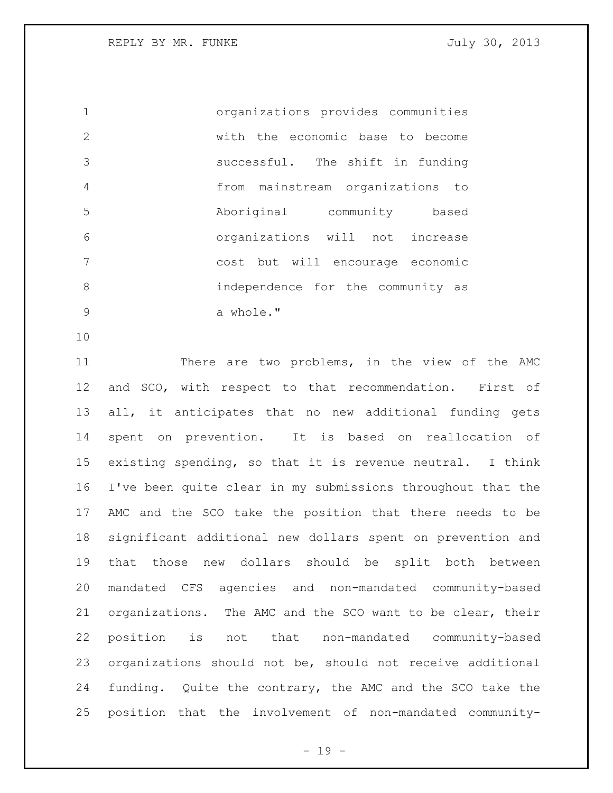REPLY BY MR. FUNKE SALLARY STATES AND TULLY 30, 2013

 organizations provides communities with the economic base to become successful. The shift in funding from mainstream organizations to Aboriginal community based organizations will not increase cost but will encourage economic independence for the community as 9 a whole."

11 There are two problems, in the view of the AMC and SCO, with respect to that recommendation. First of all, it anticipates that no new additional funding gets spent on prevention. It is based on reallocation of existing spending, so that it is revenue neutral. I think I've been quite clear in my submissions throughout that the AMC and the SCO take the position that there needs to be significant additional new dollars spent on prevention and that those new dollars should be split both between mandated CFS agencies and non-mandated community-based organizations. The AMC and the SCO want to be clear, their position is not that non-mandated community-based organizations should not be, should not receive additional funding. Quite the contrary, the AMC and the SCO take the position that the involvement of non-mandated community-

- 19 -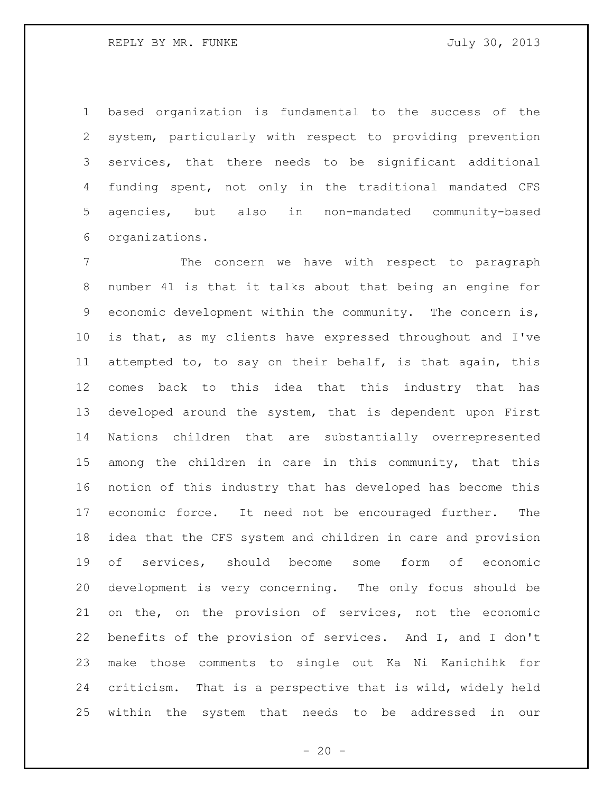based organization is fundamental to the success of the system, particularly with respect to providing prevention services, that there needs to be significant additional funding spent, not only in the traditional mandated CFS agencies, but also in non-mandated community-based organizations.

 The concern we have with respect to paragraph number 41 is that it talks about that being an engine for economic development within the community. The concern is, is that, as my clients have expressed throughout and I've attempted to, to say on their behalf, is that again, this comes back to this idea that this industry that has developed around the system, that is dependent upon First Nations children that are substantially overrepresented among the children in care in this community, that this notion of this industry that has developed has become this economic force. It need not be encouraged further. The idea that the CFS system and children in care and provision of services, should become some form of economic development is very concerning. The only focus should be on the, on the provision of services, not the economic benefits of the provision of services. And I, and I don't make those comments to single out Ka Ni Kanichihk for criticism. That is a perspective that is wild, widely held within the system that needs to be addressed in our

 $- 20 -$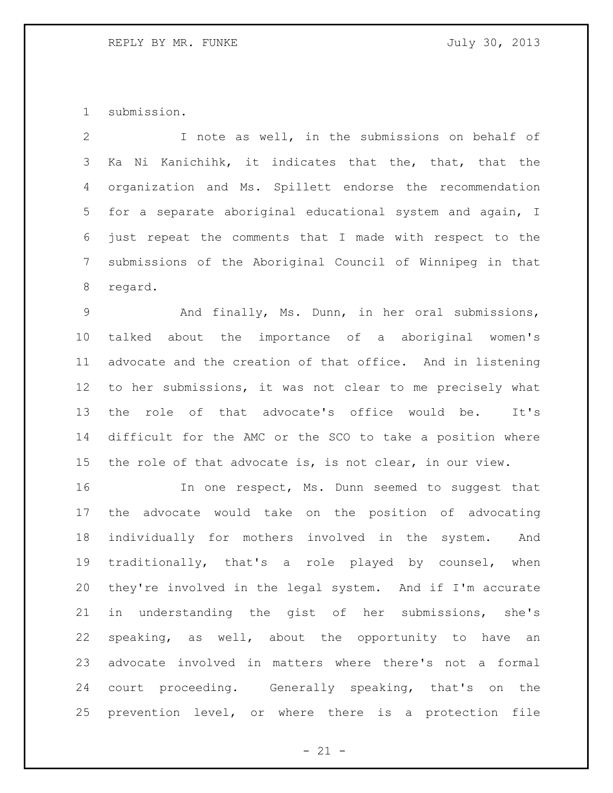submission.

 I note as well, in the submissions on behalf of Ka Ni Kanichihk, it indicates that the, that, that the organization and Ms. Spillett endorse the recommendation for a separate aboriginal educational system and again, I just repeat the comments that I made with respect to the submissions of the Aboriginal Council of Winnipeg in that regard.

 And finally, Ms. Dunn, in her oral submissions, talked about the importance of a aboriginal women's advocate and the creation of that office. And in listening to her submissions, it was not clear to me precisely what the role of that advocate's office would be. It's difficult for the AMC or the SCO to take a position where the role of that advocate is, is not clear, in our view.

 In one respect, Ms. Dunn seemed to suggest that the advocate would take on the position of advocating individually for mothers involved in the system. And traditionally, that's a role played by counsel, when they're involved in the legal system. And if I'm accurate in understanding the gist of her submissions, she's speaking, as well, about the opportunity to have an advocate involved in matters where there's not a formal court proceeding. Generally speaking, that's on the prevention level, or where there is a protection file

 $- 21 -$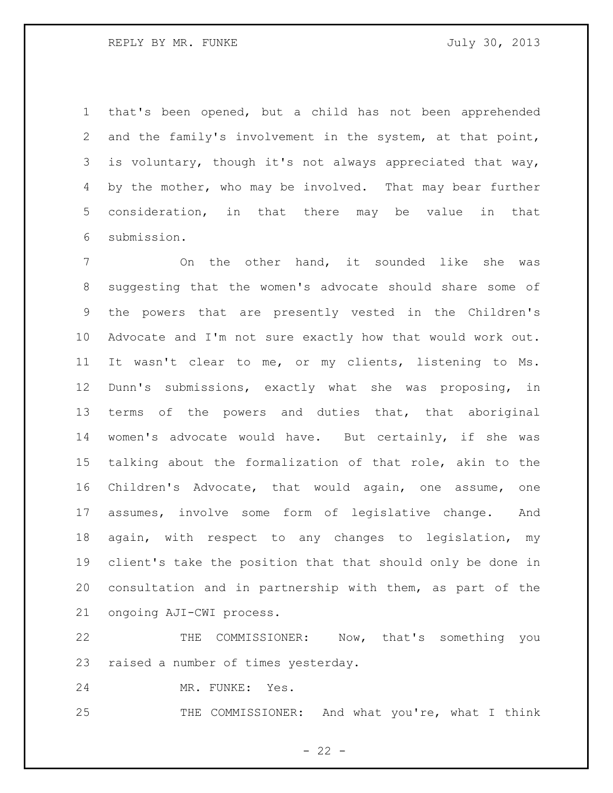REPLY BY MR. FUNKE SALLARY STATES AND TULLY 30, 2013

 that's been opened, but a child has not been apprehended and the family's involvement in the system, at that point, is voluntary, though it's not always appreciated that way, 4 by the mother, who may be involved. That may bear further consideration, in that there may be value in that submission.

 On the other hand, it sounded like she was suggesting that the women's advocate should share some of the powers that are presently vested in the Children's Advocate and I'm not sure exactly how that would work out. It wasn't clear to me, or my clients, listening to Ms. Dunn's submissions, exactly what she was proposing, in 13 terms of the powers and duties that, that aboriginal women's advocate would have. But certainly, if she was talking about the formalization of that role, akin to the Children's Advocate, that would again, one assume, one assumes, involve some form of legislative change. And again, with respect to any changes to legislation, my client's take the position that that should only be done in consultation and in partnership with them, as part of the ongoing AJI-CWI process.

 THE COMMISSIONER: Now, that's something you raised a number of times yesterday.

MR. FUNKE: Yes.

25 THE COMMISSIONER: And what you're, what I think

 $- 22 -$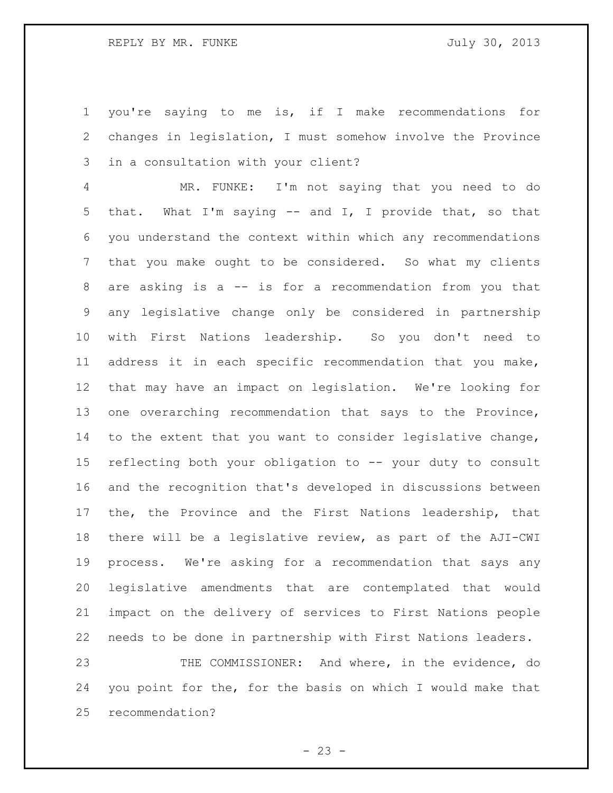you're saying to me is, if I make recommendations for changes in legislation, I must somehow involve the Province in a consultation with your client?

 MR. FUNKE: I'm not saying that you need to do that. What I'm saying -- and I, I provide that, so that you understand the context within which any recommendations that you make ought to be considered. So what my clients are asking is a -- is for a recommendation from you that any legislative change only be considered in partnership with First Nations leadership. So you don't need to address it in each specific recommendation that you make, that may have an impact on legislation. We're looking for one overarching recommendation that says to the Province, to the extent that you want to consider legislative change, reflecting both your obligation to -- your duty to consult and the recognition that's developed in discussions between the, the Province and the First Nations leadership, that there will be a legislative review, as part of the AJI-CWI process. We're asking for a recommendation that says any legislative amendments that are contemplated that would impact on the delivery of services to First Nations people needs to be done in partnership with First Nations leaders. THE COMMISSIONER: And where, in the evidence, do

 you point for the, for the basis on which I would make that recommendation?

 $- 23 -$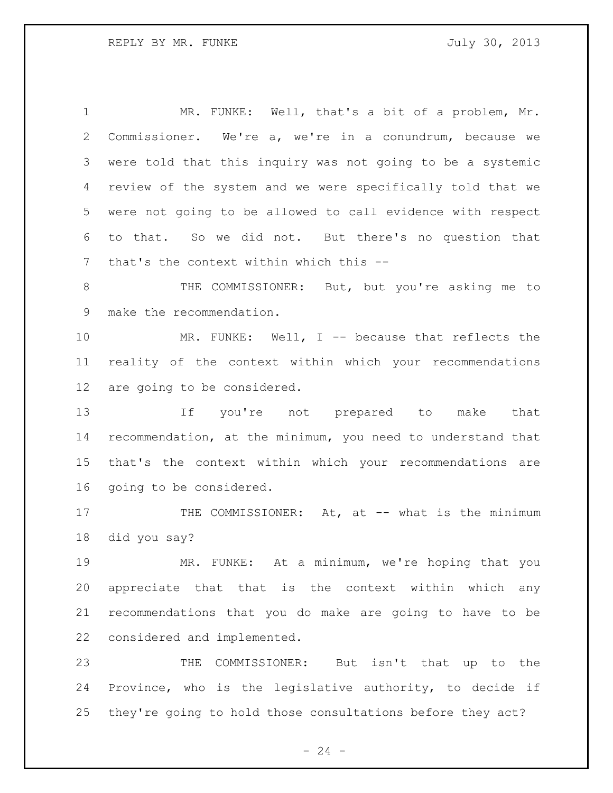1 MR. FUNKE: Well, that's a bit of a problem, Mr. Commissioner. We're a, we're in a conundrum, because we were told that this inquiry was not going to be a systemic review of the system and we were specifically told that we were not going to be allowed to call evidence with respect to that. So we did not. But there's no question that that's the context within which this -- THE COMMISSIONER: But, but you're asking me to make the recommendation. MR. FUNKE: Well, I -- because that reflects the reality of the context within which your recommendations are going to be considered. If you're not prepared to make that recommendation, at the minimum, you need to understand that that's the context within which your recommendations are going to be considered. 17 THE COMMISSIONER: At, at -- what is the minimum did you say? MR. FUNKE: At a minimum, we're hoping that you appreciate that that is the context within which any recommendations that you do make are going to have to be considered and implemented. THE COMMISSIONER: But isn't that up to the Province, who is the legislative authority, to decide if they're going to hold those consultations before they act?

 $- 24 -$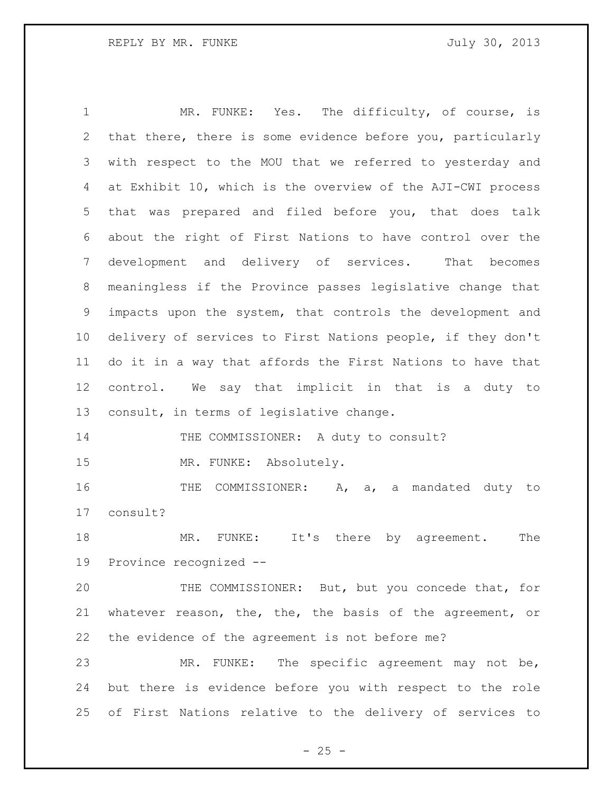MR. FUNKE: Yes. The difficulty, of course, is that there, there is some evidence before you, particularly with respect to the MOU that we referred to yesterday and at Exhibit 10, which is the overview of the AJI-CWI process that was prepared and filed before you, that does talk about the right of First Nations to have control over the development and delivery of services. That becomes meaningless if the Province passes legislative change that impacts upon the system, that controls the development and delivery of services to First Nations people, if they don't do it in a way that affords the First Nations to have that control. We say that implicit in that is a duty to consult, in terms of legislative change. 14 THE COMMISSIONER: A duty to consult? MR. FUNKE: Absolutely. 16 THE COMMISSIONER: A, a, a mandated duty to consult? MR. FUNKE: It's there by agreement. The Province recognized --

 THE COMMISSIONER: But, but you concede that, for whatever reason, the, the, the basis of the agreement, or the evidence of the agreement is not before me?

 MR. FUNKE: The specific agreement may not be, but there is evidence before you with respect to the role of First Nations relative to the delivery of services to

 $- 25 -$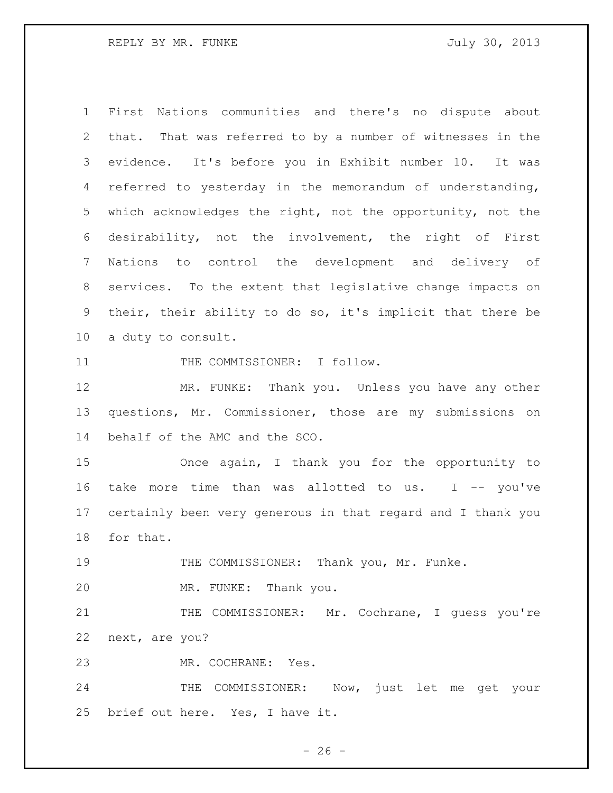First Nations communities and there's no dispute about that. That was referred to by a number of witnesses in the evidence. It's before you in Exhibit number 10. It was referred to yesterday in the memorandum of understanding, which acknowledges the right, not the opportunity, not the desirability, not the involvement, the right of First Nations to control the development and delivery of services. To the extent that legislative change impacts on their, their ability to do so, it's implicit that there be a duty to consult.

11 THE COMMISSIONER: I follow.

 MR. FUNKE: Thank you. Unless you have any other questions, Mr. Commissioner, those are my submissions on behalf of the AMC and the SCO.

 Once again, I thank you for the opportunity to take more time than was allotted to us. I -- you've certainly been very generous in that regard and I thank you for that.

THE COMMISSIONER: Thank you, Mr. Funke.

MR. FUNKE: Thank you.

21 THE COMMISSIONER: Mr. Cochrane, I guess you're next, are you?

MR. COCHRANE: Yes.

24 THE COMMISSIONER: Now, just let me get your brief out here. Yes, I have it.

 $- 26 -$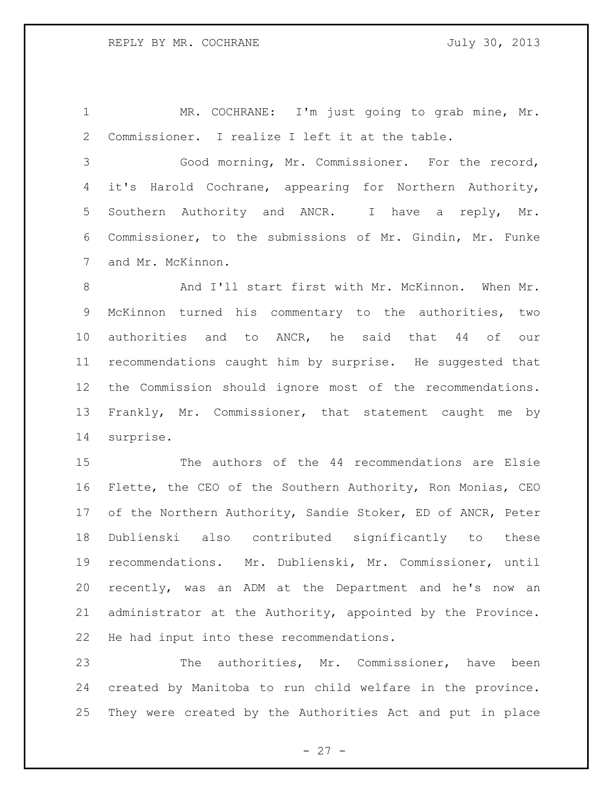1 MR. COCHRANE: I'm just going to grab mine, Mr. Commissioner. I realize I left it at the table.

 Good morning, Mr. Commissioner. For the record, it's Harold Cochrane, appearing for Northern Authority, Southern Authority and ANCR. I have a reply, Mr. Commissioner, to the submissions of Mr. Gindin, Mr. Funke and Mr. McKinnon.

8 And I'll start first with Mr. McKinnon. When Mr. McKinnon turned his commentary to the authorities, two authorities and to ANCR, he said that 44 of our recommendations caught him by surprise. He suggested that the Commission should ignore most of the recommendations. Frankly, Mr. Commissioner, that statement caught me by surprise.

 The authors of the 44 recommendations are Elsie Flette, the CEO of the Southern Authority, Ron Monias, CEO of the Northern Authority, Sandie Stoker, ED of ANCR, Peter Dublienski also contributed significantly to these recommendations. Mr. Dublienski, Mr. Commissioner, until recently, was an ADM at the Department and he's now an administrator at the Authority, appointed by the Province. He had input into these recommendations.

 The authorities, Mr. Commissioner, have been created by Manitoba to run child welfare in the province. They were created by the Authorities Act and put in place

 $- 27 -$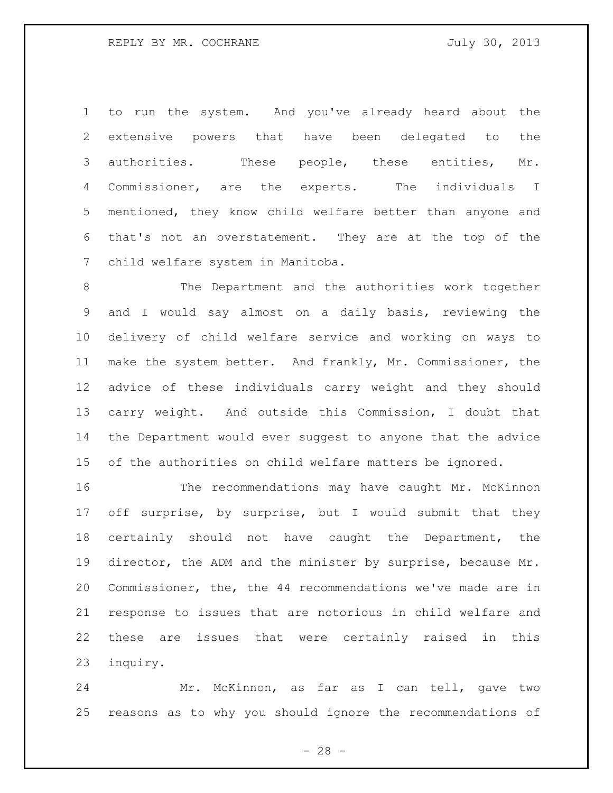to run the system. And you've already heard about the extensive powers that have been delegated to the authorities. These people, these entities, Mr. Commissioner, are the experts. The individuals I mentioned, they know child welfare better than anyone and that's not an overstatement. They are at the top of the child welfare system in Manitoba.

 The Department and the authorities work together and I would say almost on a daily basis, reviewing the delivery of child welfare service and working on ways to make the system better. And frankly, Mr. Commissioner, the advice of these individuals carry weight and they should carry weight. And outside this Commission, I doubt that the Department would ever suggest to anyone that the advice of the authorities on child welfare matters be ignored.

 The recommendations may have caught Mr. McKinnon 17 off surprise, by surprise, but I would submit that they certainly should not have caught the Department, the director, the ADM and the minister by surprise, because Mr. Commissioner, the, the 44 recommendations we've made are in response to issues that are notorious in child welfare and these are issues that were certainly raised in this inquiry.

 Mr. McKinnon, as far as I can tell, gave two reasons as to why you should ignore the recommendations of

 $- 28 -$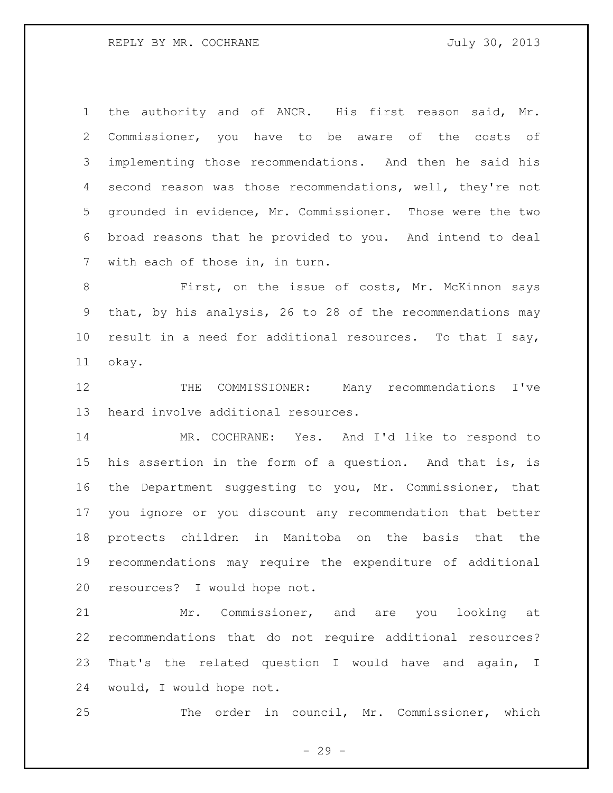the authority and of ANCR. His first reason said, Mr. Commissioner, you have to be aware of the costs of implementing those recommendations. And then he said his second reason was those recommendations, well, they're not grounded in evidence, Mr. Commissioner. Those were the two broad reasons that he provided to you. And intend to deal with each of those in, in turn.

 First, on the issue of costs, Mr. McKinnon says that, by his analysis, 26 to 28 of the recommendations may result in a need for additional resources. To that I say, okay.

 THE COMMISSIONER: Many recommendations I've heard involve additional resources.

 MR. COCHRANE: Yes. And I'd like to respond to his assertion in the form of a question. And that is, is the Department suggesting to you, Mr. Commissioner, that you ignore or you discount any recommendation that better protects children in Manitoba on the basis that the recommendations may require the expenditure of additional resources? I would hope not.

 Mr. Commissioner, and are you looking at recommendations that do not require additional resources? That's the related question I would have and again, I would, I would hope not.

The order in council, Mr. Commissioner, which

- 29 -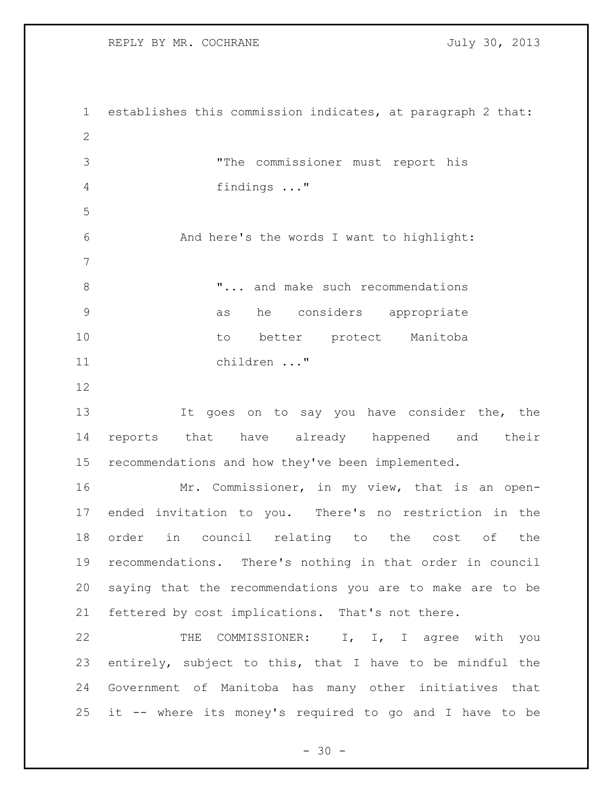REPLY BY MR. COCHRANE 30, 2013

 establishes this commission indicates, at paragraph 2 that: "The commissioner must report his findings ..." And here's the words I want to highlight: **8** T... and make such recommendations as he considers appropriate to better protect Manitoba children ..." It goes on to say you have consider the, the reports that have already happened and their recommendations and how they've been implemented. Mr. Commissioner, in my view, that is an open- ended invitation to you. There's no restriction in the order in council relating to the cost of the recommendations. There's nothing in that order in council saying that the recommendations you are to make are to be fettered by cost implications. That's not there. 22 THE COMMISSIONER: I, I, I agree with you entirely, subject to this, that I have to be mindful the Government of Manitoba has many other initiatives that it -- where its money's required to go and I have to be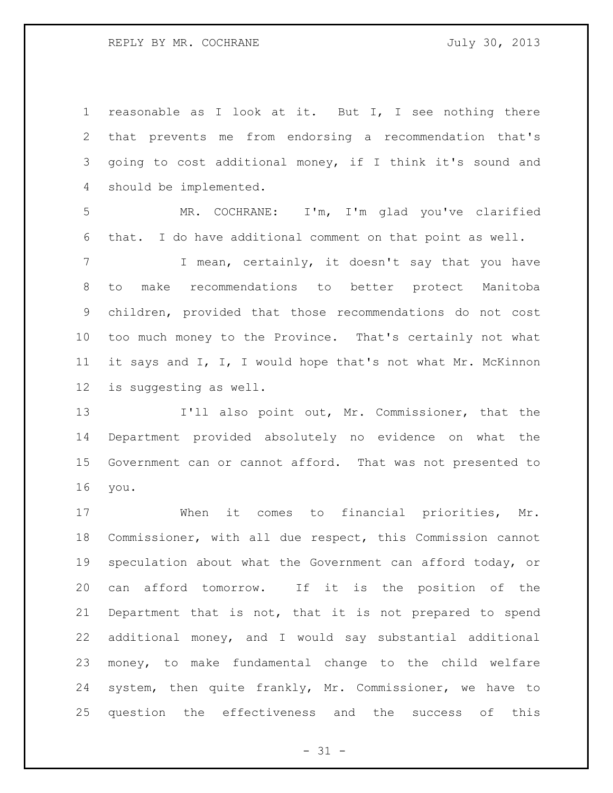REPLY BY MR. COCHRANE JULY 30, 2013

 reasonable as I look at it. But I, I see nothing there that prevents me from endorsing a recommendation that's going to cost additional money, if I think it's sound and should be implemented. MR. COCHRANE: I'm, I'm glad you've clarified that. I do have additional comment on that point as well. 7 T I mean, certainly, it doesn't say that you have to make recommendations to better protect Manitoba children, provided that those recommendations do not cost too much money to the Province. That's certainly not what

 it says and I, I, I would hope that's not what Mr. McKinnon is suggesting as well.

 I'll also point out, Mr. Commissioner, that the Department provided absolutely no evidence on what the Government can or cannot afford. That was not presented to you.

 When it comes to financial priorities, Mr. Commissioner, with all due respect, this Commission cannot speculation about what the Government can afford today, or can afford tomorrow. If it is the position of the Department that is not, that it is not prepared to spend additional money, and I would say substantial additional money, to make fundamental change to the child welfare system, then quite frankly, Mr. Commissioner, we have to question the effectiveness and the success of this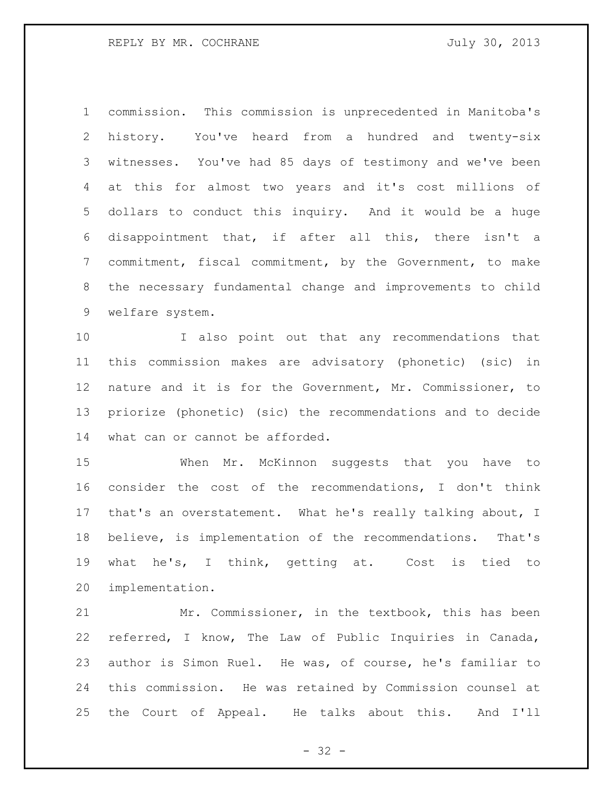commission. This commission is unprecedented in Manitoba's history. You've heard from a hundred and twenty-six witnesses. You've had 85 days of testimony and we've been at this for almost two years and it's cost millions of dollars to conduct this inquiry. And it would be a huge disappointment that, if after all this, there isn't a commitment, fiscal commitment, by the Government, to make the necessary fundamental change and improvements to child welfare system.

 I also point out that any recommendations that this commission makes are advisatory (phonetic) (sic) in nature and it is for the Government, Mr. Commissioner, to priorize (phonetic) (sic) the recommendations and to decide what can or cannot be afforded.

 When Mr. McKinnon suggests that you have to consider the cost of the recommendations, I don't think that's an overstatement. What he's really talking about, I believe, is implementation of the recommendations. That's what he's, I think, getting at. Cost is tied to implementation.

 Mr. Commissioner, in the textbook, this has been referred, I know, The Law of Public Inquiries in Canada, author is Simon Ruel. He was, of course, he's familiar to this commission. He was retained by Commission counsel at the Court of Appeal. He talks about this. And I'll

 $- 32 -$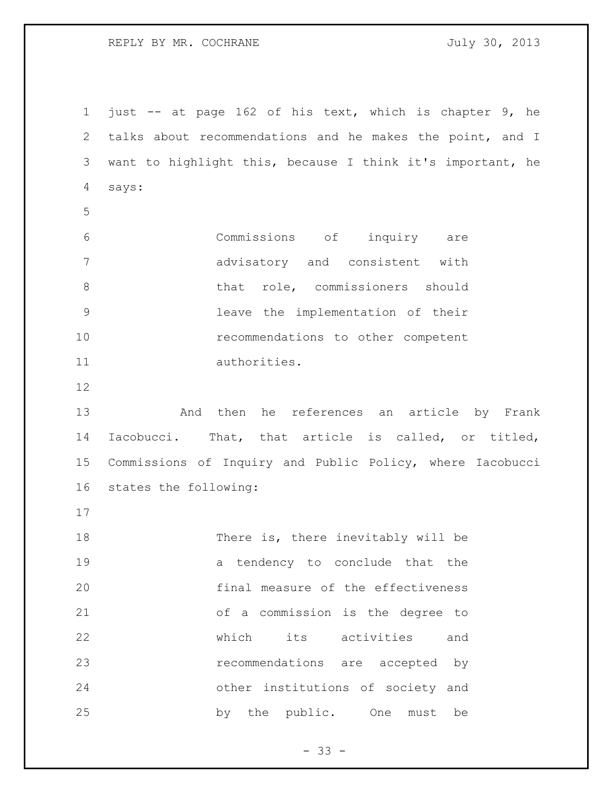REPLY BY MR. COCHRANE 30, 2013

 just -- at page 162 of his text, which is chapter 9, he talks about recommendations and he makes the point, and I want to highlight this, because I think it's important, he says: Commissions of inquiry are advisatory and consistent with 8 bhat role, commissioners should leave the implementation of their recommendations to other competent authorities. And then he references an article by Frank Iacobucci. That, that article is called, or titled,

 Commissions of Inquiry and Public Policy, where Iacobucci states the following:

18 There is, there inevitably will be a tendency to conclude that the final measure of the effectiveness of a commission is the degree to which its activities and recommendations are accepted by other institutions of society and by the public. One must be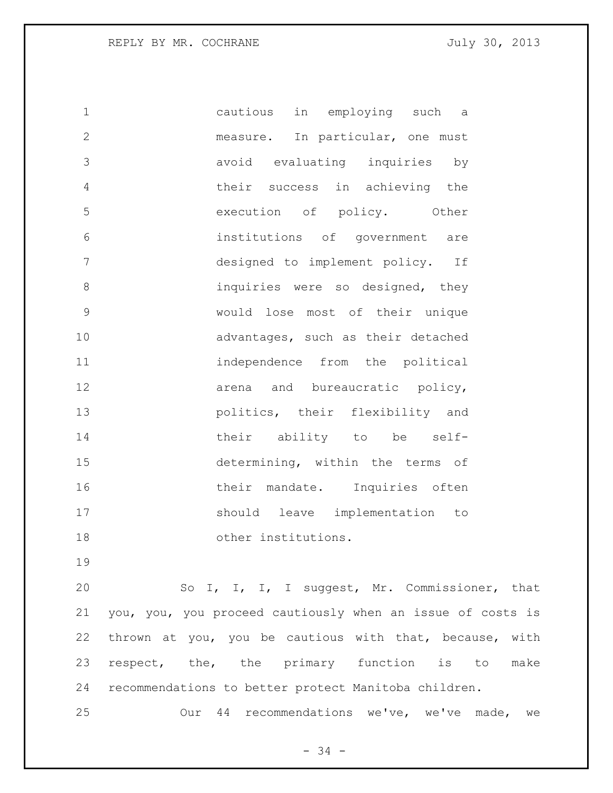cautious in employing such a measure. In particular, one must avoid evaluating inquiries by their success in achieving the execution of policy. Other institutions of government are designed to implement policy. If 8 inquiries were so designed, they would lose most of their unique advantages, such as their detached independence from the political 12 arena and bureaucratic policy, politics, their flexibility and 14 their ability to be self- determining, within the terms of 16 their mandate. Inquiries often should leave implementation to other institutions.

 So I, I, I, I suggest, Mr. Commissioner, that you, you, you proceed cautiously when an issue of costs is thrown at you, you be cautious with that, because, with 23 respect, the, the primary function is to make recommendations to better protect Manitoba children.

Our 44 recommendations we've, we've made, we

 $- 34 -$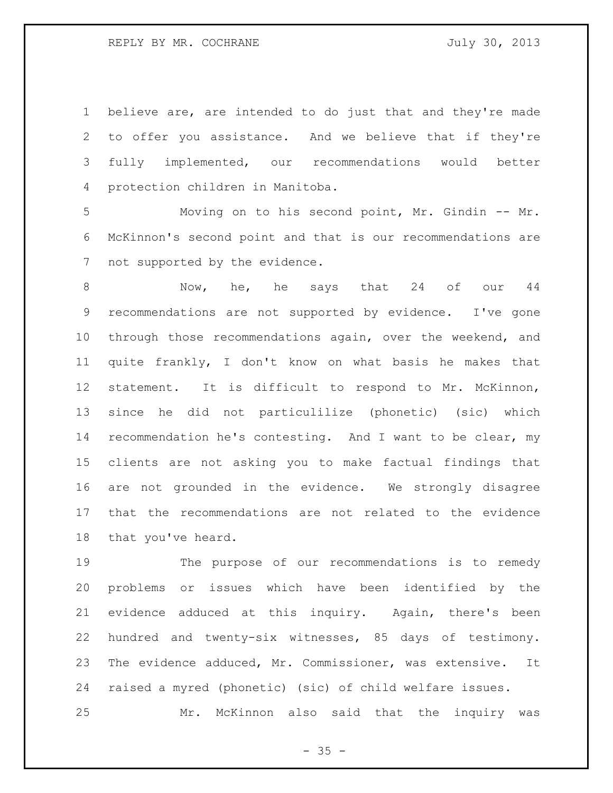believe are, are intended to do just that and they're made to offer you assistance. And we believe that if they're fully implemented, our recommendations would better protection children in Manitoba.

 Moving on to his second point, Mr. Gindin -- Mr. McKinnon's second point and that is our recommendations are not supported by the evidence.

8 Now, he, he says that 24 of our 44 recommendations are not supported by evidence. I've gone through those recommendations again, over the weekend, and quite frankly, I don't know on what basis he makes that statement. It is difficult to respond to Mr. McKinnon, since he did not particulilize (phonetic) (sic) which recommendation he's contesting. And I want to be clear, my clients are not asking you to make factual findings that are not grounded in the evidence. We strongly disagree that the recommendations are not related to the evidence that you've heard.

 The purpose of our recommendations is to remedy problems or issues which have been identified by the evidence adduced at this inquiry. Again, there's been hundred and twenty-six witnesses, 85 days of testimony. The evidence adduced, Mr. Commissioner, was extensive. It raised a myred (phonetic) (sic) of child welfare issues. Mr. McKinnon also said that the inquiry was

 $- 35 -$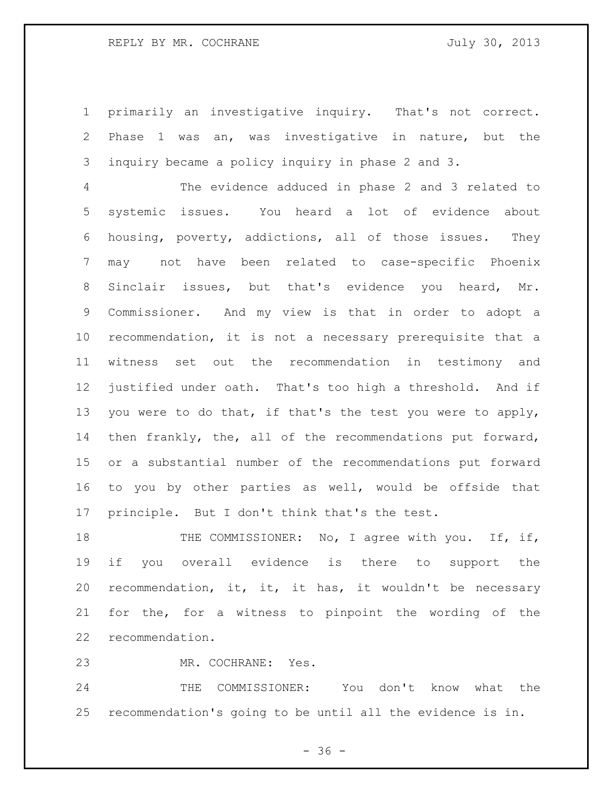## REPLY BY MR. COCHRANE JULY 30, 2013

 primarily an investigative inquiry. That's not correct. Phase 1 was an, was investigative in nature, but the inquiry became a policy inquiry in phase 2 and 3.

 The evidence adduced in phase 2 and 3 related to systemic issues. You heard a lot of evidence about housing, poverty, addictions, all of those issues. They may not have been related to case-specific Phoenix Sinclair issues, but that's evidence you heard, Mr. Commissioner. And my view is that in order to adopt a recommendation, it is not a necessary prerequisite that a witness set out the recommendation in testimony and justified under oath. That's too high a threshold. And if 13 you were to do that, if that's the test you were to apply, then frankly, the, all of the recommendations put forward, or a substantial number of the recommendations put forward to you by other parties as well, would be offside that principle. But I don't think that's the test.

18 THE COMMISSIONER: No, I agree with you. If, if, if you overall evidence is there to support the recommendation, it, it, it has, it wouldn't be necessary for the, for a witness to pinpoint the wording of the recommendation.

MR. COCHRANE: Yes.

 THE COMMISSIONER: You don't know what the recommendation's going to be until all the evidence is in.

 $- 36 -$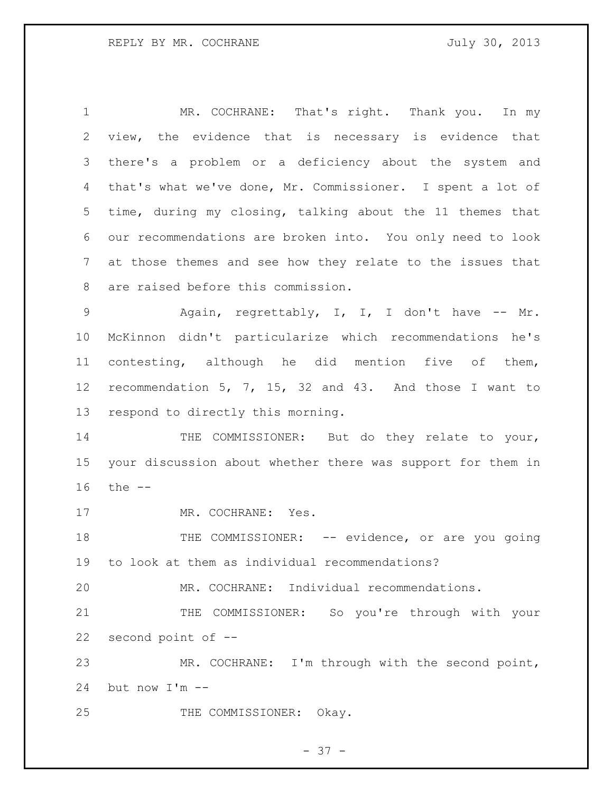MR. COCHRANE: That's right. Thank you. In my view, the evidence that is necessary is evidence that there's a problem or a deficiency about the system and that's what we've done, Mr. Commissioner. I spent a lot of time, during my closing, talking about the 11 themes that our recommendations are broken into. You only need to look at those themes and see how they relate to the issues that are raised before this commission.

 Again, regrettably, I, I, I don't have -- Mr. McKinnon didn't particularize which recommendations he's contesting, although he did mention five of them, recommendation 5, 7, 15, 32 and 43. And those I want to respond to directly this morning.

14 THE COMMISSIONER: But do they relate to your, your discussion about whether there was support for them in the --

17 MR. COCHRANE: Yes.

18 THE COMMISSIONER: -- evidence, or are you going to look at them as individual recommendations?

MR. COCHRANE: Individual recommendations.

 THE COMMISSIONER: So you're through with your second point of --

 MR. COCHRANE: I'm through with the second point, but now I'm --

25 THE COMMISSIONER: Okay.

$$
- 37 -
$$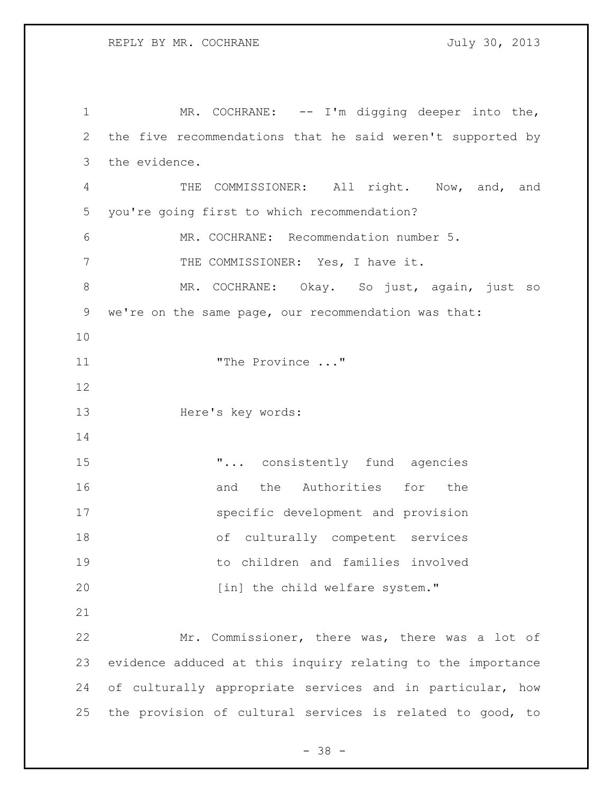1 MR. COCHRANE: -- I'm digging deeper into the, the five recommendations that he said weren't supported by the evidence. 4 THE COMMISSIONER: All right. Now, and, and you're going first to which recommendation? MR. COCHRANE: Recommendation number 5. 7 THE COMMISSIONER: Yes, I have it. MR. COCHRANE: Okay. So just, again, just so we're on the same page, our recommendation was that: "The Province ..." Here's key words:  $\ldots$  consistently fund agencies 16 and the Authorities for the specific development and provision of culturally competent services to children and families involved 20 [in] the child welfare system." Mr. Commissioner, there was, there was a lot of evidence adduced at this inquiry relating to the importance of culturally appropriate services and in particular, how the provision of cultural services is related to good, to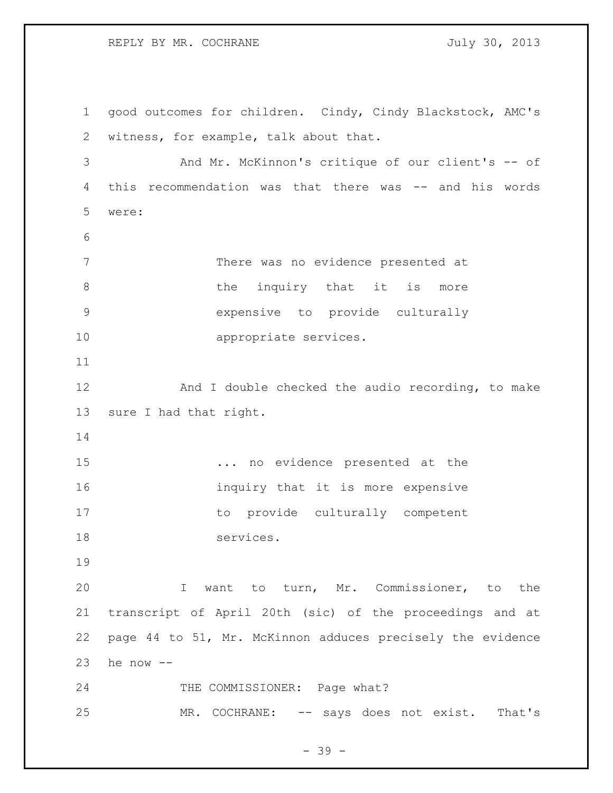## REPLY BY MR. COCHRANE 30, 2013

 good outcomes for children. Cindy, Cindy Blackstock, AMC's witness, for example, talk about that. And Mr. McKinnon's critique of our client's -- of this recommendation was that there was -- and his words were: There was no evidence presented at 8 blue inquiry that it is more expensive to provide culturally appropriate services. 12 And I double checked the audio recording, to make sure I had that right. ... no evidence presented at the **inquiry that it is more expensive**  to provide culturally competent 18 services. I want to turn, Mr. Commissioner, to the transcript of April 20th (sic) of the proceedings and at page 44 to 51, Mr. McKinnon adduces precisely the evidence 23 he now  $--$ 24 THE COMMISSIONER: Page what? MR. COCHRANE: -- says does not exist. That's

- 39 -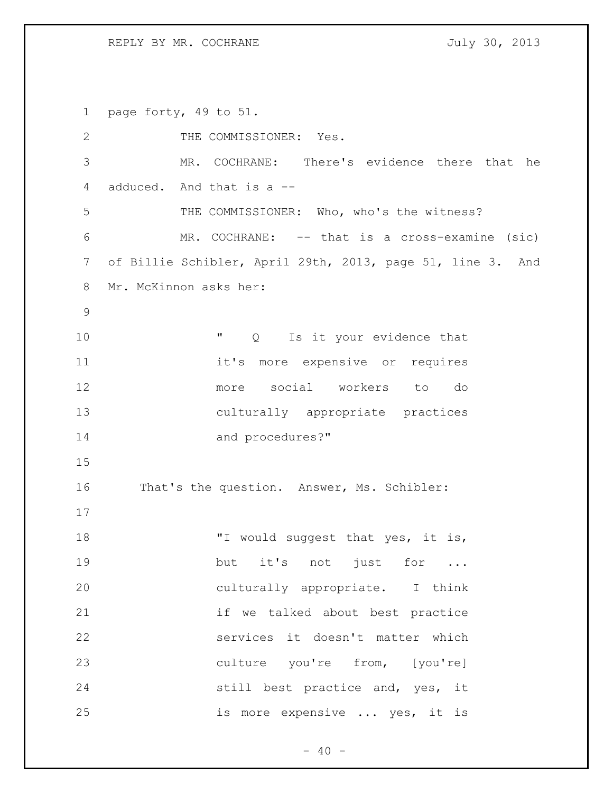REPLY BY MR. COCHRANE 30, 2013

 page forty, 49 to 51. 2 THE COMMISSIONER: Yes. MR. COCHRANE: There's evidence there that he adduced. And that is a -- 5 THE COMMISSIONER: Who, who's the witness? MR. COCHRANE: -- that is a cross-examine (sic) of Billie Schibler, April 29th, 2013, page 51, line 3. And Mr. McKinnon asks her:  $''$  Q Is it your evidence that 11 11 it's more expensive or requires more social workers to do culturally appropriate practices 14 and procedures?" That's the question. Answer, Ms. Schibler: 18 TI would suggest that yes, it is, 19 but it's not just for ... culturally appropriate. I think if we talked about best practice services it doesn't matter which culture you're from, [you're] still best practice and, yes, it is more expensive ... yes, it is

 $- 40 -$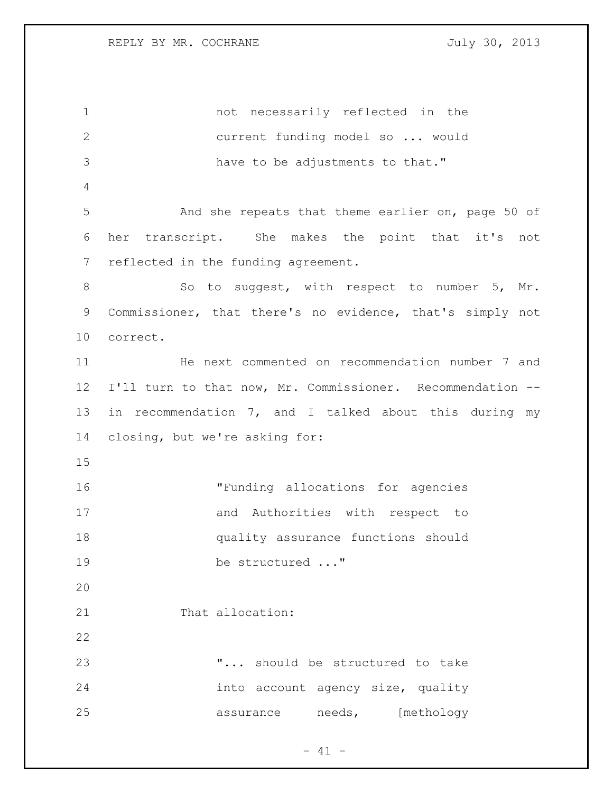| $\mathbf 1$  | not necessarily reflected in the                           |
|--------------|------------------------------------------------------------|
| $\mathbf{2}$ | current funding model so  would                            |
| 3            | have to be adjustments to that."                           |
| 4            |                                                            |
| 5            | And she repeats that theme earlier on, page 50 of          |
| 6            | transcript. She makes the point that it's not<br>her       |
| 7            | reflected in the funding agreement.                        |
| $\,8\,$      | So to suggest, with respect to number 5, Mr.               |
| 9            | Commissioner, that there's no evidence, that's simply not  |
| 10           | correct.                                                   |
| 11           | He next commented on recommendation number 7 and           |
| 12           | I'll turn to that now, Mr. Commissioner. Recommendation -- |
| 13           | in recommendation 7, and I talked about this during my     |
| 14           | closing, but we're asking for:                             |
| 15           |                                                            |
| 16           | "Funding allocations for agencies                          |
| 17           | and Authorities with respect to                            |
| 18           | quality assurance functions should                         |
| 19           | be structured "                                            |
| 20           |                                                            |
| 21           | That allocation:                                           |
| 22           |                                                            |
| 23           | " should be structured to take                             |
| 24           | into account agency size, quality                          |
| 25           | assurance needs, [methology                                |

- 41 -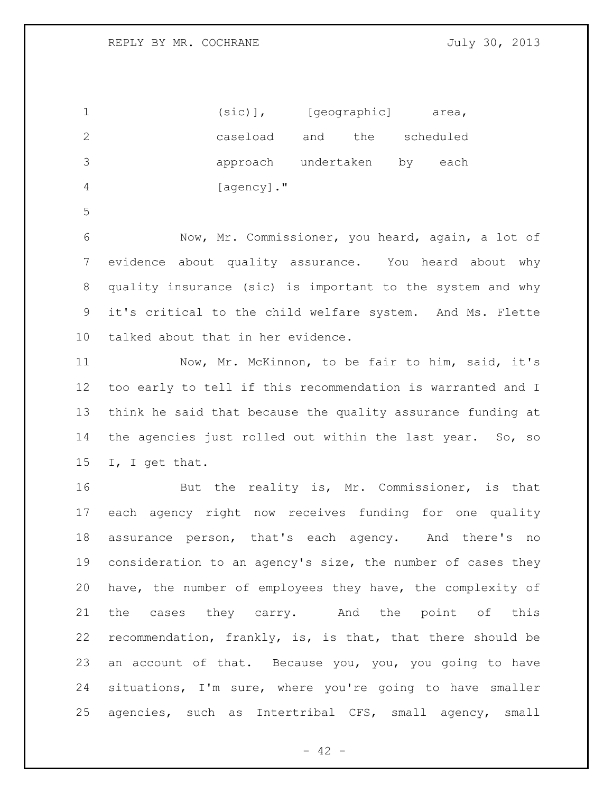1 (sic)], [geographic] area, caseload and the scheduled approach undertaken by each [agency]." Now, Mr. Commissioner, you heard, again, a lot of evidence about quality assurance. You heard about why

 quality insurance (sic) is important to the system and why it's critical to the child welfare system. And Ms. Flette talked about that in her evidence.

11 Now, Mr. McKinnon, to be fair to him, said, it's too early to tell if this recommendation is warranted and I think he said that because the quality assurance funding at the agencies just rolled out within the last year. So, so I, I get that.

16 But the reality is, Mr. Commissioner, is that each agency right now receives funding for one quality assurance person, that's each agency. And there's no consideration to an agency's size, the number of cases they have, the number of employees they have, the complexity of the cases they carry. And the point of this recommendation, frankly, is, is that, that there should be an account of that. Because you, you, you going to have situations, I'm sure, where you're going to have smaller agencies, such as Intertribal CFS, small agency, small

 $- 42 -$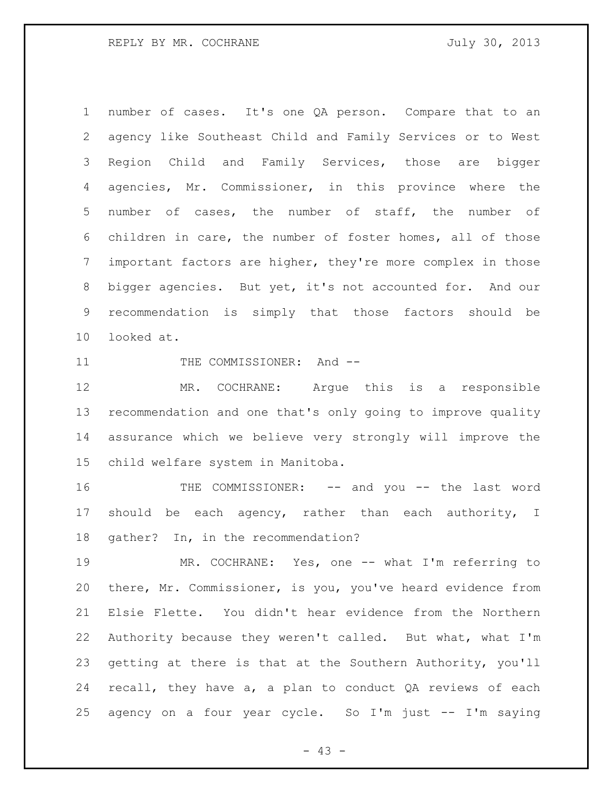number of cases. It's one QA person. Compare that to an agency like Southeast Child and Family Services or to West Region Child and Family Services, those are bigger agencies, Mr. Commissioner, in this province where the number of cases, the number of staff, the number of children in care, the number of foster homes, all of those important factors are higher, they're more complex in those bigger agencies. But yet, it's not accounted for. And our recommendation is simply that those factors should be looked at.

11 THE COMMISSIONER: And --

 MR. COCHRANE: Argue this is a responsible recommendation and one that's only going to improve quality assurance which we believe very strongly will improve the child welfare system in Manitoba.

 THE COMMISSIONER: -- and you -- the last word should be each agency, rather than each authority, I gather? In, in the recommendation?

19 MR. COCHRANE: Yes, one -- what I'm referring to there, Mr. Commissioner, is you, you've heard evidence from Elsie Flette. You didn't hear evidence from the Northern Authority because they weren't called. But what, what I'm getting at there is that at the Southern Authority, you'll recall, they have a, a plan to conduct QA reviews of each agency on a four year cycle. So I'm just -- I'm saying

 $- 43 -$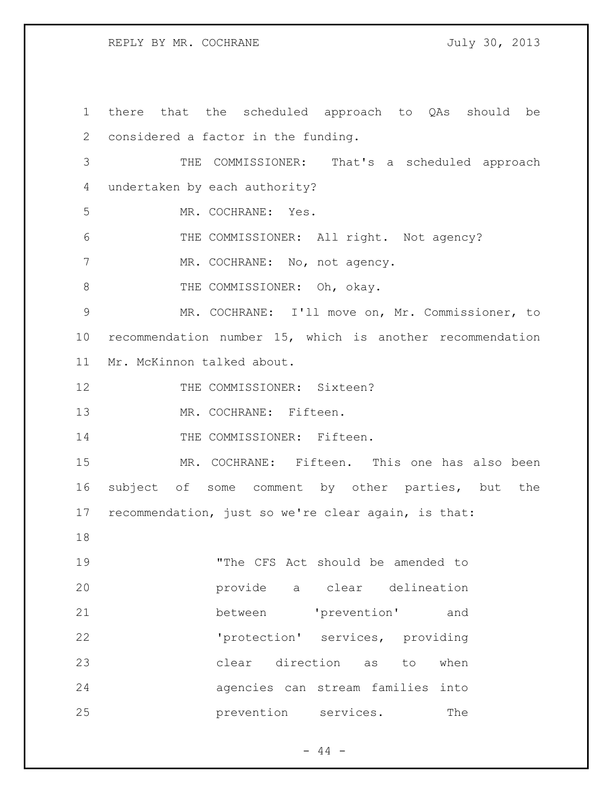REPLY BY MR. COCHRANE JULY 30, 2013

 there that the scheduled approach to QAs should be considered a factor in the funding. THE COMMISSIONER: That's a scheduled approach undertaken by each authority? MR. COCHRANE: Yes. THE COMMISSIONER: All right. Not agency? 7 MR. COCHRANE: No, not agency. 8 THE COMMISSIONER: Oh, okay. MR. COCHRANE: I'll move on, Mr. Commissioner, to recommendation number 15, which is another recommendation Mr. McKinnon talked about. 12 THE COMMISSIONER: Sixteen? MR. COCHRANE: Fifteen. 14 THE COMMISSIONER: Fifteen. MR. COCHRANE: Fifteen. This one has also been subject of some comment by other parties, but the recommendation, just so we're clear again, is that: "The CFS Act should be amended to provide a clear delineation between 'prevention' and 'protection' services, providing clear direction as to when agencies can stream families into **prevention** services. The

 $-44 -$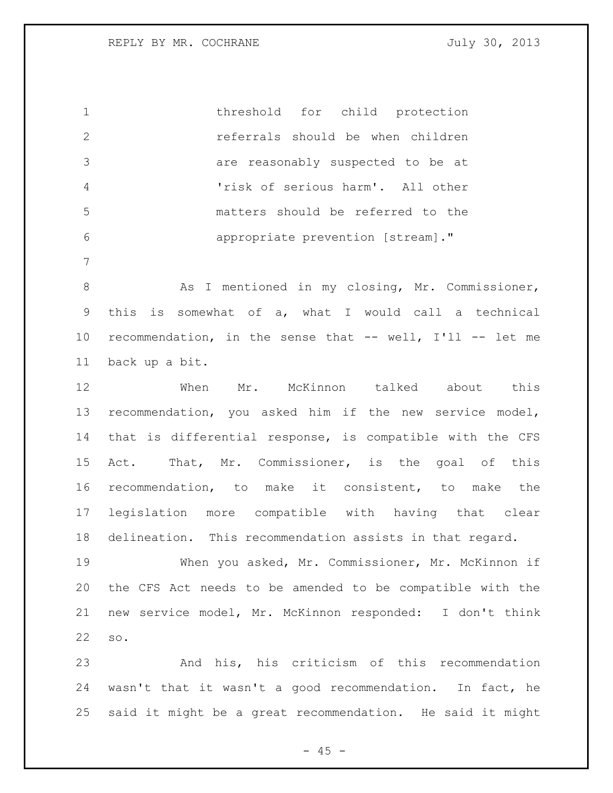threshold for child protection referrals should be when children are reasonably suspected to be at 'risk of serious harm'. All other matters should be referred to the appropriate prevention [stream]."

8 As I mentioned in my closing, Mr. Commissioner, this is somewhat of a, what I would call a technical recommendation, in the sense that -- well, I'll -- let me back up a bit.

12 When Mr. McKinnon talked about this recommendation, you asked him if the new service model, that is differential response, is compatible with the CFS Act. That, Mr. Commissioner, is the goal of this recommendation, to make it consistent, to make the legislation more compatible with having that clear delineation. This recommendation assists in that regard.

 When you asked, Mr. Commissioner, Mr. McKinnon if the CFS Act needs to be amended to be compatible with the new service model, Mr. McKinnon responded: I don't think so.

 And his, his criticism of this recommendation wasn't that it wasn't a good recommendation. In fact, he said it might be a great recommendation. He said it might

 $- 45 -$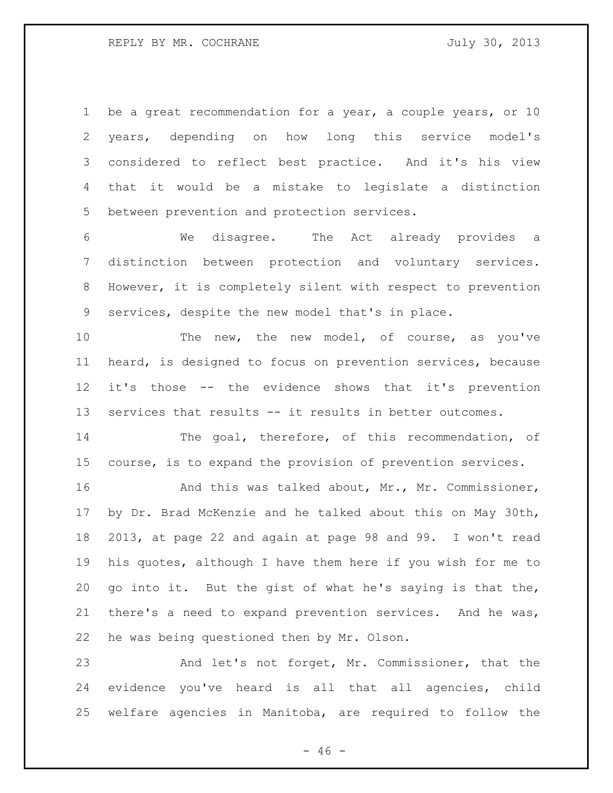1 be a great recommendation for a year, a couple years, or 10 years, depending on how long this service model's considered to reflect best practice. And it's his view that it would be a mistake to legislate a distinction between prevention and protection services.

 We disagree. The Act already provides a distinction between protection and voluntary services. However, it is completely silent with respect to prevention services, despite the new model that's in place.

 The new, the new model, of course, as you've heard, is designed to focus on prevention services, because it's those -- the evidence shows that it's prevention services that results -- it results in better outcomes.

 The goal, therefore, of this recommendation, of course, is to expand the provision of prevention services.

16 And this was talked about, Mr., Mr. Commissioner, by Dr. Brad McKenzie and he talked about this on May 30th, 2013, at page 22 and again at page 98 and 99. I won't read his quotes, although I have them here if you wish for me to go into it. But the gist of what he's saying is that the, there's a need to expand prevention services. And he was, he was being questioned then by Mr. Olson.

 And let's not forget, Mr. Commissioner, that the evidence you've heard is all that all agencies, child welfare agencies in Manitoba, are required to follow the

 $- 46 -$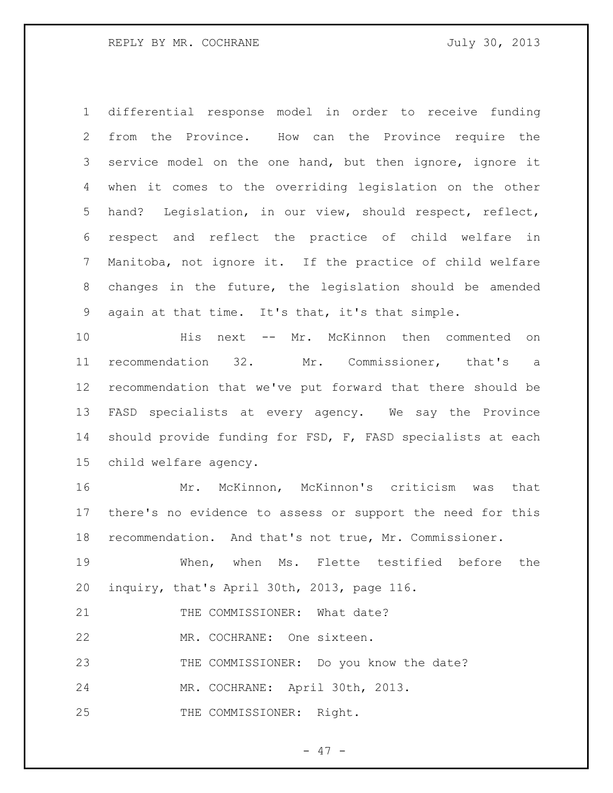differential response model in order to receive funding from the Province. How can the Province require the service model on the one hand, but then ignore, ignore it when it comes to the overriding legislation on the other hand? Legislation, in our view, should respect, reflect, respect and reflect the practice of child welfare in Manitoba, not ignore it. If the practice of child welfare changes in the future, the legislation should be amended again at that time. It's that, it's that simple.

 His next -- Mr. McKinnon then commented on recommendation 32. Mr. Commissioner, that's a recommendation that we've put forward that there should be FASD specialists at every agency. We say the Province should provide funding for FSD, F, FASD specialists at each child welfare agency.

 Mr. McKinnon, McKinnon's criticism was that there's no evidence to assess or support the need for this recommendation. And that's not true, Mr. Commissioner.

 When, when Ms. Flette testified before the inquiry, that's April 30th, 2013, page 116.

21 THE COMMISSIONER: What date?

MR. COCHRANE: One sixteen.

THE COMMISSIONER: Do you know the date?

MR. COCHRANE: April 30th, 2013.

THE COMMISSIONER: Right.

 $- 47 -$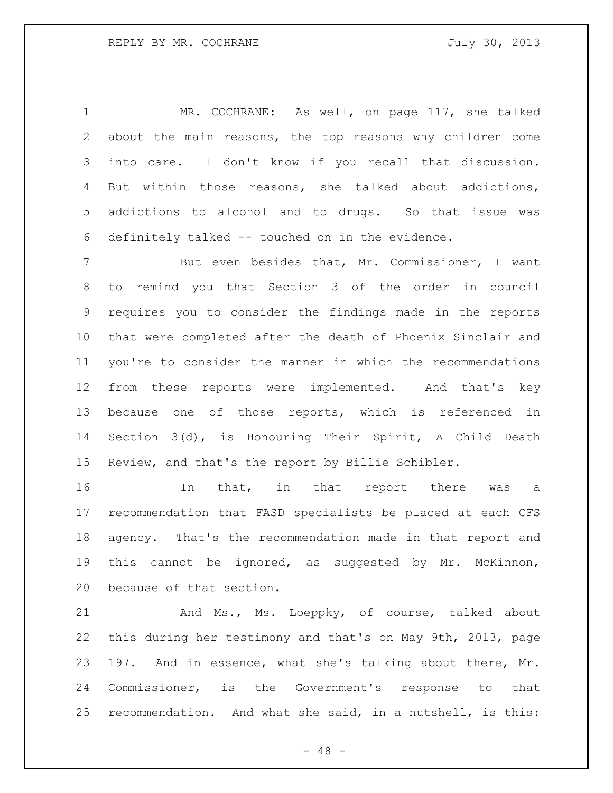MR. COCHRANE: As well, on page 117, she talked about the main reasons, the top reasons why children come into care. I don't know if you recall that discussion. But within those reasons, she talked about addictions, addictions to alcohol and to drugs. So that issue was definitely talked -- touched on in the evidence.

 But even besides that, Mr. Commissioner, I want to remind you that Section 3 of the order in council requires you to consider the findings made in the reports that were completed after the death of Phoenix Sinclair and you're to consider the manner in which the recommendations from these reports were implemented. And that's key because one of those reports, which is referenced in Section 3(d), is Honouring Their Spirit, A Child Death Review, and that's the report by Billie Schibler.

16 10 In that, in that report there was a recommendation that FASD specialists be placed at each CFS agency. That's the recommendation made in that report and this cannot be ignored, as suggested by Mr. McKinnon, because of that section.

21 And Ms., Ms. Loeppky, of course, talked about this during her testimony and that's on May 9th, 2013, page 197. And in essence, what she's talking about there, Mr. Commissioner, is the Government's response to that recommendation. And what she said, in a nutshell, is this:

- 48 -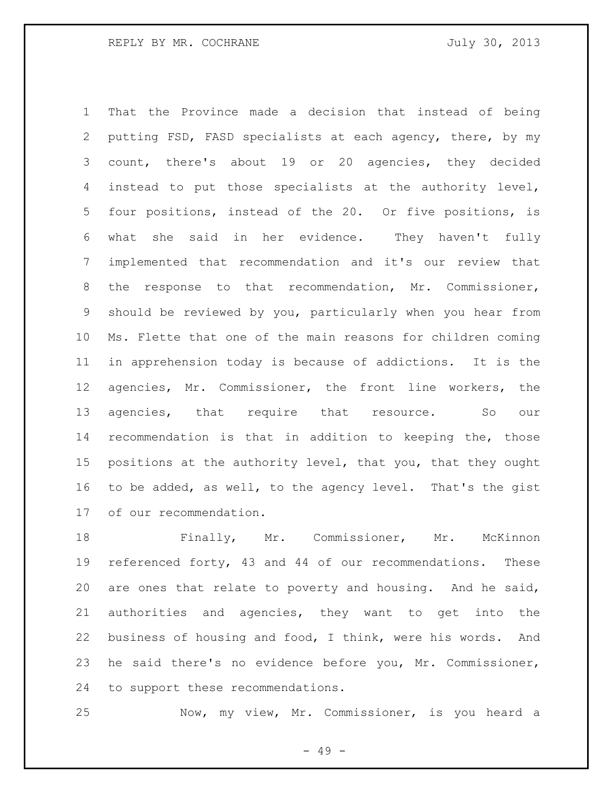That the Province made a decision that instead of being putting FSD, FASD specialists at each agency, there, by my count, there's about 19 or 20 agencies, they decided instead to put those specialists at the authority level, four positions, instead of the 20. Or five positions, is what she said in her evidence. They haven't fully implemented that recommendation and it's our review that the response to that recommendation, Mr. Commissioner, should be reviewed by you, particularly when you hear from Ms. Flette that one of the main reasons for children coming in apprehension today is because of addictions. It is the agencies, Mr. Commissioner, the front line workers, the 13 agencies, that require that resource. So our recommendation is that in addition to keeping the, those positions at the authority level, that you, that they ought to be added, as well, to the agency level. That's the gist of our recommendation.

 Finally, Mr. Commissioner, Mr. McKinnon referenced forty, 43 and 44 of our recommendations. These are ones that relate to poverty and housing. And he said, authorities and agencies, they want to get into the business of housing and food, I think, were his words. And he said there's no evidence before you, Mr. Commissioner, to support these recommendations.

Now, my view, Mr. Commissioner, is you heard a

- 49 -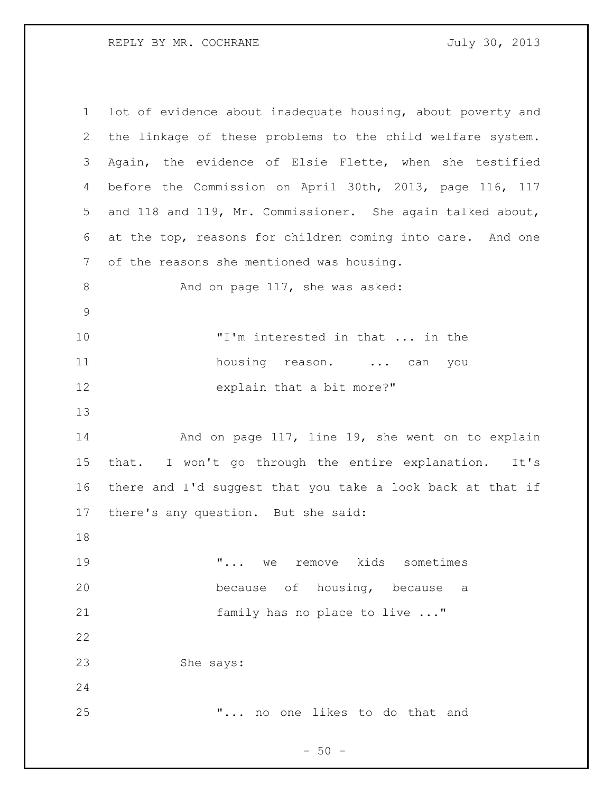| $\mathbf 1$ | lot of evidence about inadequate housing, about poverty and |
|-------------|-------------------------------------------------------------|
| 2           | the linkage of these problems to the child welfare system.  |
| 3           | Again, the evidence of Elsie Flette, when she testified     |
| 4           | before the Commission on April 30th, 2013, page 116, 117    |
| 5           | and 118 and 119, Mr. Commissioner. She again talked about,  |
| 6           | at the top, reasons for children coming into care. And one  |
| 7           | of the reasons she mentioned was housing.                   |
| $8\,$       | And on page 117, she was asked:                             |
| $\mathsf 9$ |                                                             |
| 10          | "I'm interested in that  in the                             |
| 11          | housing reason.  can<br>you                                 |
| 12          | explain that a bit more?"                                   |
|             |                                                             |
| 13          |                                                             |
| 14          | And on page 117, line 19, she went on to explain            |
| 15          | I won't go through the entire explanation. It's<br>that.    |
| 16          | there and I'd suggest that you take a look back at that if  |
| 17          | there's any question. But she said:                         |
| 18          |                                                             |
| 19          | we remove kids sometimes<br>$\mathbf{u}_{\text{max}}$       |
| 20          | because of housing, because a                               |
| 21          | family has no place to live "                               |
| 22          |                                                             |
| 23          | She says:                                                   |
| 24          |                                                             |

- 50 -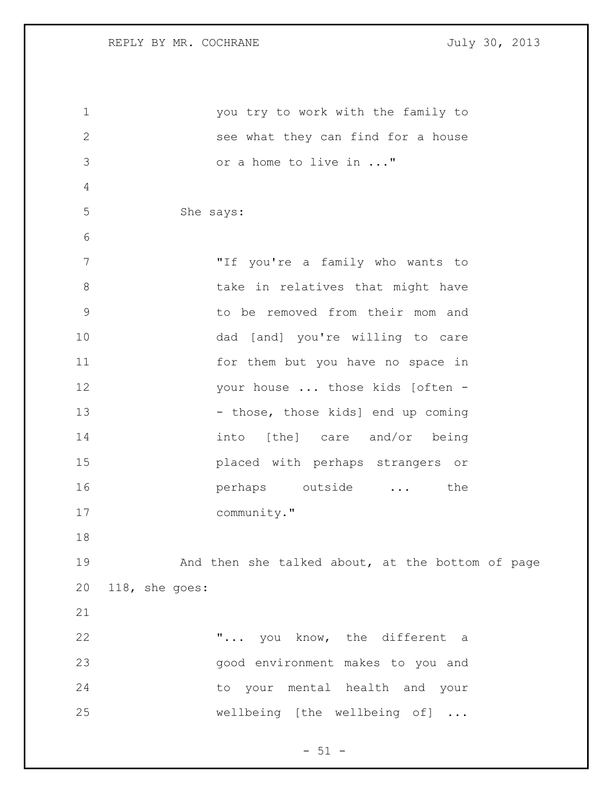| $\mathbf 1$    | you try to work with the family to               |
|----------------|--------------------------------------------------|
| $\mathbf{2}$   | see what they can find for a house               |
| 3              | or a home to live in "                           |
| $\overline{4}$ |                                                  |
| 5              | She says:                                        |
| 6              |                                                  |
| 7              | "If you're a family who wants to                 |
| 8              | take in relatives that might have                |
| $\mathsf 9$    | to be removed from their mom and                 |
| 10             | dad [and] you're willing to care                 |
| 11             | for them but you have no space in                |
| 12             | your house  those kids [often -                  |
| 13             | - those, those kids] end up coming               |
| 14             | into [the] care and/or being                     |
| 15             | placed with perhaps strangers or                 |
| 16             | perhaps outside<br>the                           |
| 17             | community."                                      |
| 18             |                                                  |
| 19             | And then she talked about, at the bottom of page |
| 20             | 118, she goes:                                   |
| 21             |                                                  |
| 22             | " you know, the different a                      |
| 23             | good environment makes to you and                |
| 24             | to your mental health and your                   |
| 25             | wellbeing [the wellbeing of]                     |
|                |                                                  |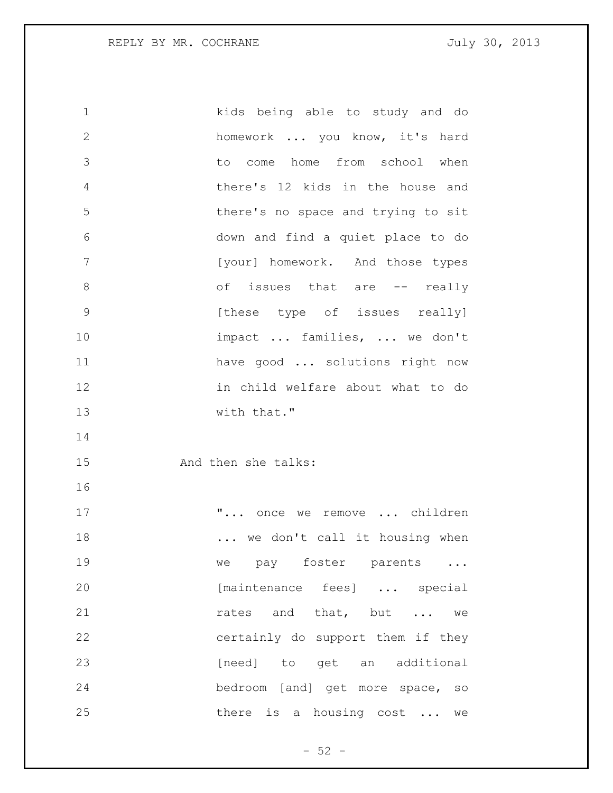1 kids being able to study and do 2 homework ... you know, it's hard 3 to come home from school when 4 there's 12 kids in the house and 5 there's no space and trying to sit 6 down and find a quiet place to do 7 [your] homework. And those types 8 of issues that are -- really 9 **12 [these type of issues really]** 10 impact ... families, ... we don't 11 have good ... solutions right now 12 in child welfare about what to do 13 with that." 14 15 And then she talks: 16 17 **"...** once we remove ... children 18 ... we don't call it housing when 19 we pay foster parents ... 20 [maintenance fees] ... special 21 **rates** and that, but ... we 22 certainly do support them if they 23 [need] to get an additional 24 bedroom [and] get more space, so 25 there is a housing cost ... we

 $-52 -$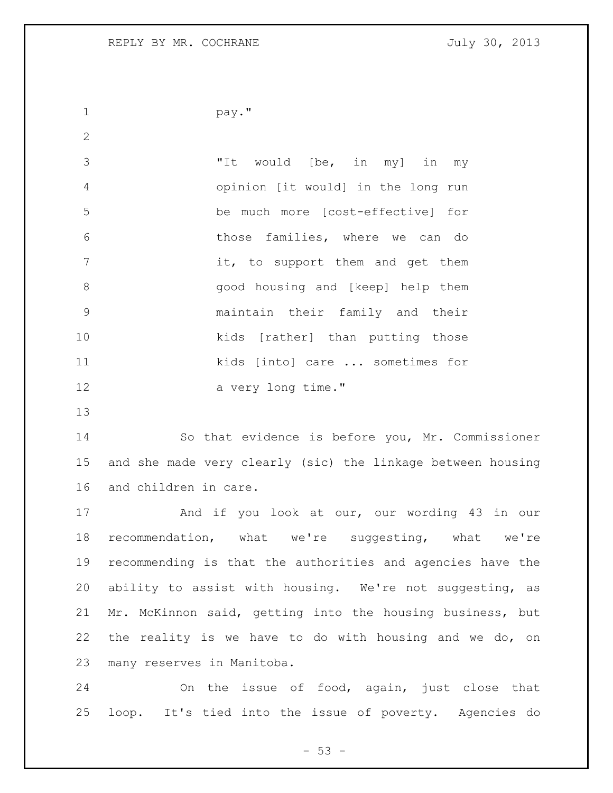```
1 pay."
```
 "It would [be, in my] in my opinion [it would] in the long run be much more [cost-effective] for those families, where we can do 7 it, to support them and get them good housing and [keep] help them maintain their family and their kids [rather] than putting those kids [into] care ... sometimes for 12 a very long time."

 So that evidence is before you, Mr. Commissioner and she made very clearly (sic) the linkage between housing and children in care.

 And if you look at our, our wording 43 in our recommendation, what we're suggesting, what we're recommending is that the authorities and agencies have the ability to assist with housing. We're not suggesting, as Mr. McKinnon said, getting into the housing business, but the reality is we have to do with housing and we do, on many reserves in Manitoba.

 On the issue of food, again, just close that loop. It's tied into the issue of poverty. Agencies do

 $-53 -$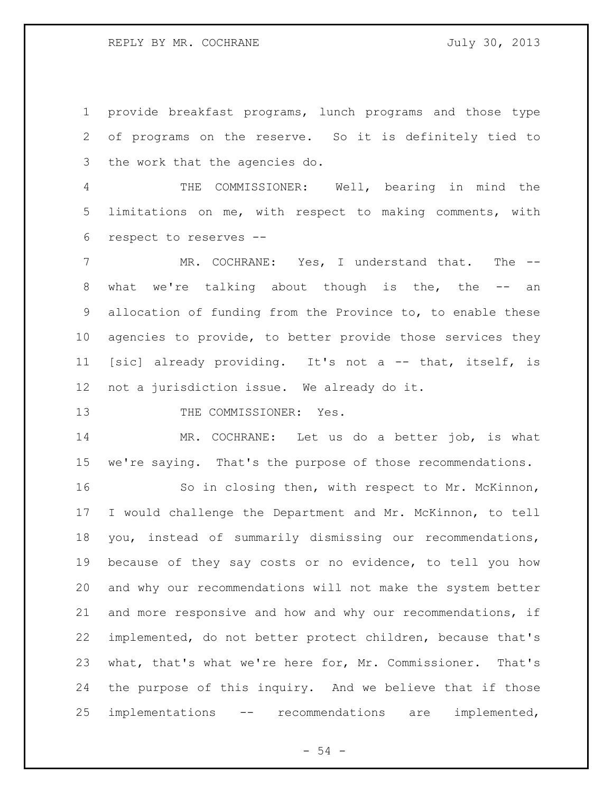provide breakfast programs, lunch programs and those type of programs on the reserve. So it is definitely tied to the work that the agencies do.

 THE COMMISSIONER: Well, bearing in mind the limitations on me, with respect to making comments, with respect to reserves --

 MR. COCHRANE: Yes, I understand that. The -- what we're talking about though is the, the -- an allocation of funding from the Province to, to enable these agencies to provide, to better provide those services they [sic] already providing. It's not a -- that, itself, is not a jurisdiction issue. We already do it.

13 THE COMMISSIONER: Yes.

 MR. COCHRANE: Let us do a better job, is what we're saying. That's the purpose of those recommendations.

 So in closing then, with respect to Mr. McKinnon, I would challenge the Department and Mr. McKinnon, to tell you, instead of summarily dismissing our recommendations, because of they say costs or no evidence, to tell you how and why our recommendations will not make the system better and more responsive and how and why our recommendations, if implemented, do not better protect children, because that's what, that's what we're here for, Mr. Commissioner. That's the purpose of this inquiry. And we believe that if those implementations -- recommendations are implemented,

 $-54 -$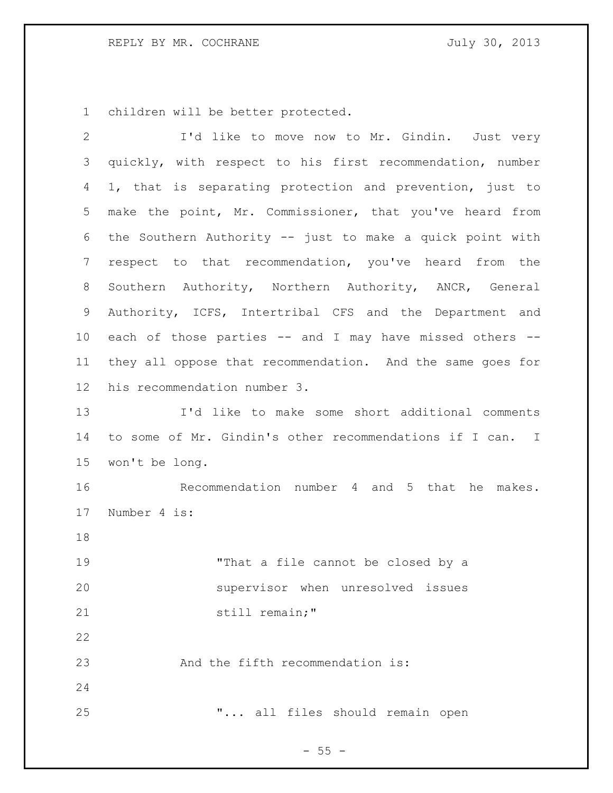children will be better protected.

| $\overline{2}$ | I'd like to move now to Mr. Gindin. Just very              |
|----------------|------------------------------------------------------------|
| 3              | quickly, with respect to his first recommendation, number  |
| 4              | 1, that is separating protection and prevention, just to   |
| 5              | make the point, Mr. Commissioner, that you've heard from   |
| 6              | the Southern Authority -- just to make a quick point with  |
| 7              | respect to that recommendation, you've heard from the      |
| 8              | Southern Authority, Northern Authority, ANCR, General      |
| 9              | Authority, ICFS, Intertribal CFS and the Department and    |
| 10             | each of those parties -- and I may have missed others --   |
| 11             | they all oppose that recommendation. And the same goes for |
| 12             | his recommendation number 3.                               |
| 13             | I'd like to make some short additional comments            |
| 14             | to some of Mr. Gindin's other recommendations if I can. I  |
| 15             | won't be long.                                             |
| 16             | Recommendation number 4 and 5 that he makes.               |
| 17             | Number 4 is:                                               |
| 18             |                                                            |
| 19             | "That a file cannot be closed by a                         |
| 20             | supervisor when unresolved issues                          |
| 21             | still remain;"                                             |
| 22             |                                                            |
| 23             | And the fifth recommendation is:                           |
| 24             |                                                            |
| 25             | " all files should remain open                             |

- 55 -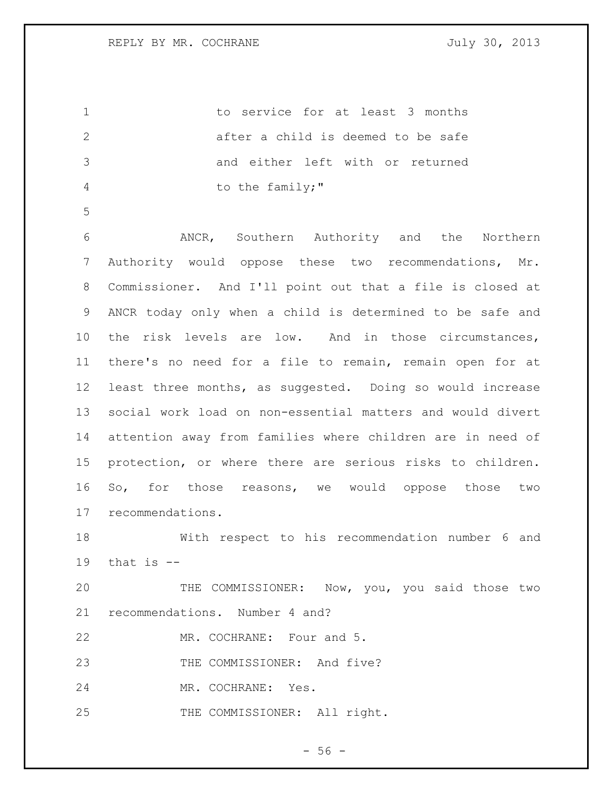to service for at least 3 months 2 after a child is deemed to be safe and either left with or returned 4 to the family;"

 ANCR, Southern Authority and the Northern Authority would oppose these two recommendations, Mr. Commissioner. And I'll point out that a file is closed at ANCR today only when a child is determined to be safe and the risk levels are low. And in those circumstances, there's no need for a file to remain, remain open for at least three months, as suggested. Doing so would increase social work load on non-essential matters and would divert attention away from families where children are in need of protection, or where there are serious risks to children. So, for those reasons, we would oppose those two recommendations.

 With respect to his recommendation number 6 and that is  $-$ 

 THE COMMISSIONER: Now, you, you said those two recommendations. Number 4 and?

MR. COCHRANE: Four and 5.

23 THE COMMISSIONER: And five?

MR. COCHRANE: Yes.

25 THE COMMISSIONER: All right.

 $-56 -$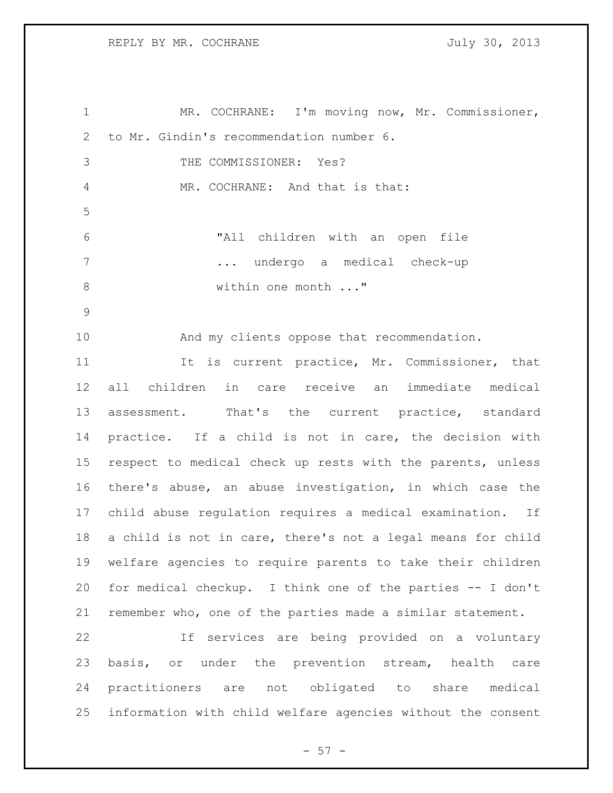MR. COCHRANE: I'm moving now, Mr. Commissioner, to Mr. Gindin's recommendation number 6. THE COMMISSIONER: Yes? 4 MR. COCHRANE: And that is that: "All children with an open file ... undergo a medical check-up 8 within one month ..." And my clients oppose that recommendation. 11 11 It is current practice, Mr. Commissioner, that all children in care receive an immediate medical assessment. That's the current practice, standard practice. If a child is not in care, the decision with respect to medical check up rests with the parents, unless there's abuse, an abuse investigation, in which case the child abuse regulation requires a medical examination. If a child is not in care, there's not a legal means for child welfare agencies to require parents to take their children for medical checkup. I think one of the parties -- I don't remember who, one of the parties made a similar statement. If services are being provided on a voluntary basis, or under the prevention stream, health care practitioners are not obligated to share medical information with child welfare agencies without the consent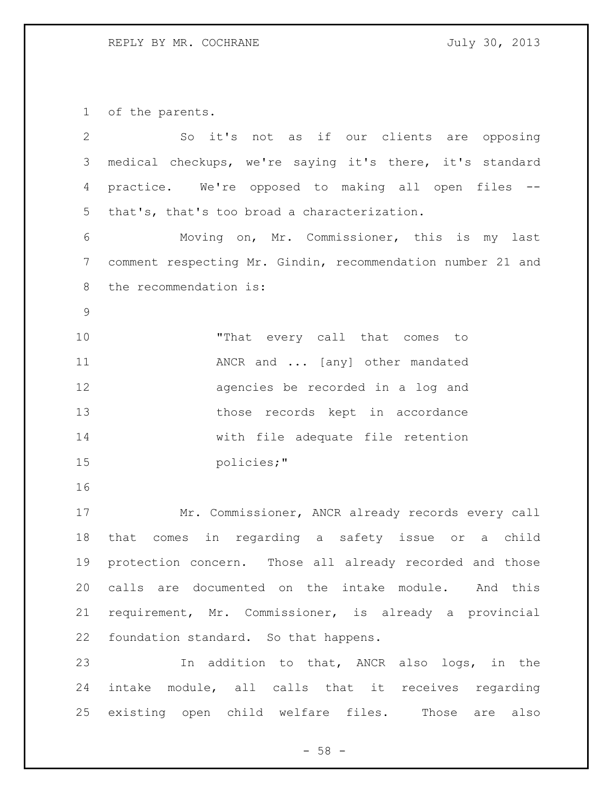of the parents.

| $\mathbf{2}$   | So it's not as if our clients are opposing                  |
|----------------|-------------------------------------------------------------|
| 3              | medical checkups, we're saying it's there, it's standard    |
| 4              | practice. We're opposed to making all open files            |
| 5              | that's, that's too broad a characterization.                |
| 6              | Moving on, Mr. Commissioner, this is my last                |
| $\overline{7}$ | comment respecting Mr. Gindin, recommendation number 21 and |
| 8              | the recommendation is:                                      |
| 9              |                                                             |
| 10             | "That every call that comes to                              |
| 11             | ANCR and  [any] other mandated                              |
| 12             | agencies be recorded in a log and                           |
| 13             | those records kept in accordance                            |
| 14             | with file adequate file retention                           |
| 15             | policies;"                                                  |
| 16             |                                                             |
| 17             | Mr. Commissioner, ANCR already records every call           |
| 18             | that comes in regarding a safety issue or a child           |
| 19             | protection concern. Those all already recorded and those    |
| 20             | calls are documented on the intake module. And this         |
| 21             | requirement, Mr. Commissioner, is already a provincial      |
| 22             | foundation standard. So that happens.                       |
| 23             | In addition to that, ANCR also logs, in the                 |
| 24             | intake module, all calls that it receives regarding         |
| 25             | existing open child welfare files. Those are also           |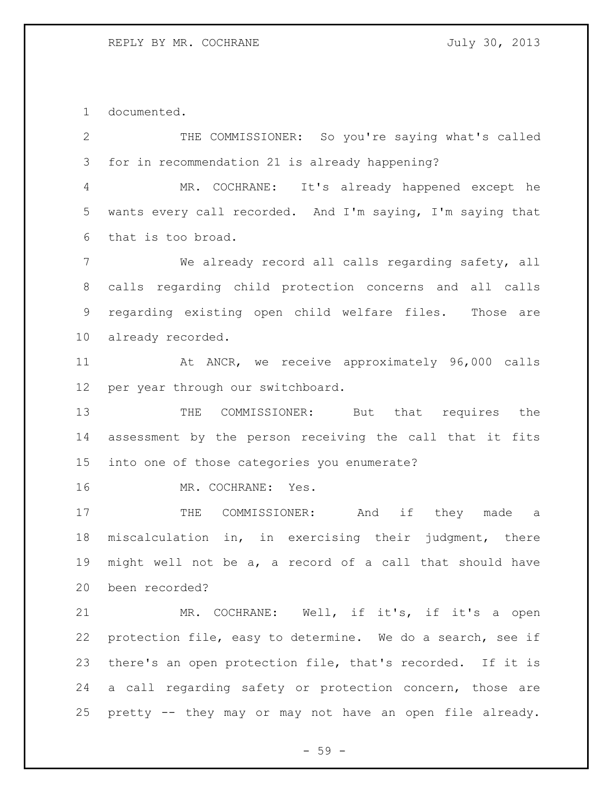documented.

 THE COMMISSIONER: So you're saying what's called for in recommendation 21 is already happening? MR. COCHRANE: It's already happened except he

 wants every call recorded. And I'm saying, I'm saying that that is too broad.

 We already record all calls regarding safety, all calls regarding child protection concerns and all calls regarding existing open child welfare files. Those are already recorded.

 At ANCR, we receive approximately 96,000 calls per year through our switchboard.

13 THE COMMISSIONER: But that requires the assessment by the person receiving the call that it fits into one of those categories you enumerate?

16 MR. COCHRANE: Yes.

17 THE COMMISSIONER: And if they made a miscalculation in, in exercising their judgment, there might well not be a, a record of a call that should have been recorded?

 MR. COCHRANE: Well, if it's, if it's a open protection file, easy to determine. We do a search, see if there's an open protection file, that's recorded. If it is a call regarding safety or protection concern, those are pretty -- they may or may not have an open file already.

- 59 -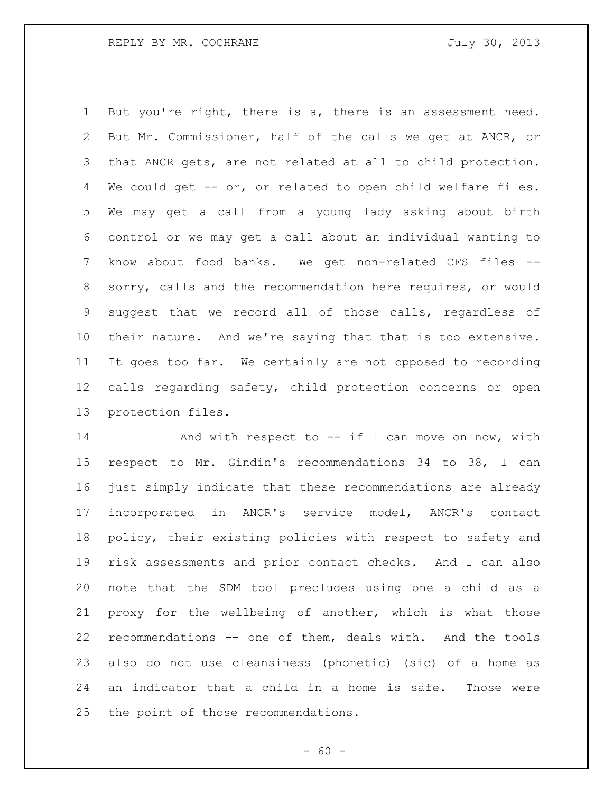But you're right, there is a, there is an assessment need. But Mr. Commissioner, half of the calls we get at ANCR, or that ANCR gets, are not related at all to child protection. We could get -- or, or related to open child welfare files. We may get a call from a young lady asking about birth control or we may get a call about an individual wanting to know about food banks. We get non-related CFS files -- sorry, calls and the recommendation here requires, or would suggest that we record all of those calls, regardless of their nature. And we're saying that that is too extensive. It goes too far. We certainly are not opposed to recording calls regarding safety, child protection concerns or open protection files.

14 And with respect to -- if I can move on now, with respect to Mr. Gindin's recommendations 34 to 38, I can just simply indicate that these recommendations are already incorporated in ANCR's service model, ANCR's contact policy, their existing policies with respect to safety and risk assessments and prior contact checks. And I can also note that the SDM tool precludes using one a child as a proxy for the wellbeing of another, which is what those recommendations -- one of them, deals with. And the tools also do not use cleansiness (phonetic) (sic) of a home as an indicator that a child in a home is safe. Those were the point of those recommendations.

 $- 60 -$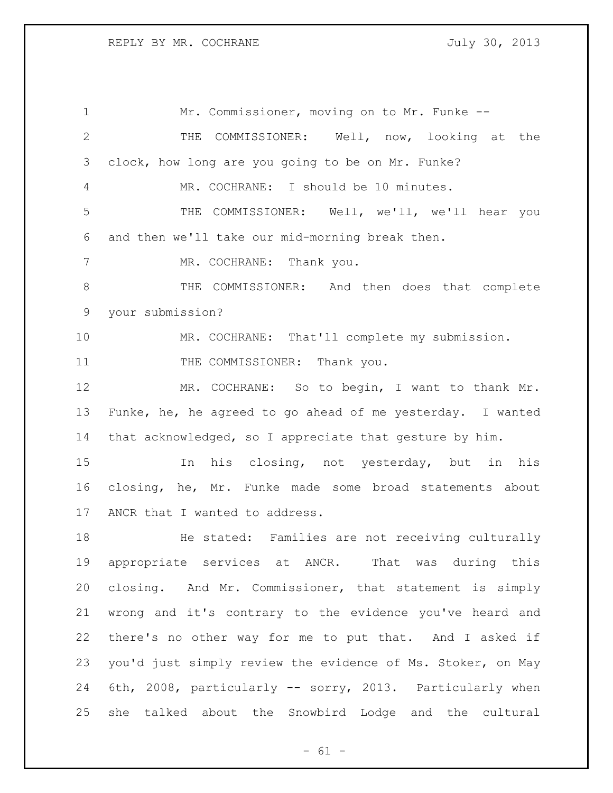Mr. Commissioner, moving on to Mr. Funke -- THE COMMISSIONER: Well, now, looking at the clock, how long are you going to be on Mr. Funke? MR. COCHRANE: I should be 10 minutes. THE COMMISSIONER: Well, we'll, we'll hear you and then we'll take our mid-morning break then. 7 MR. COCHRANE: Thank you. THE COMMISSIONER: And then does that complete your submission? MR. COCHRANE: That'll complete my submission. 11 THE COMMISSIONER: Thank you. 12 MR. COCHRANE: So to begin, I want to thank Mr. Funke, he, he agreed to go ahead of me yesterday. I wanted that acknowledged, so I appreciate that gesture by him. In his closing, not yesterday, but in his closing, he, Mr. Funke made some broad statements about ANCR that I wanted to address. He stated: Families are not receiving culturally appropriate services at ANCR. That was during this closing. And Mr. Commissioner, that statement is simply wrong and it's contrary to the evidence you've heard and there's no other way for me to put that. And I asked if you'd just simply review the evidence of Ms. Stoker, on May 6th, 2008, particularly -- sorry, 2013. Particularly when she talked about the Snowbird Lodge and the cultural

 $- 61 -$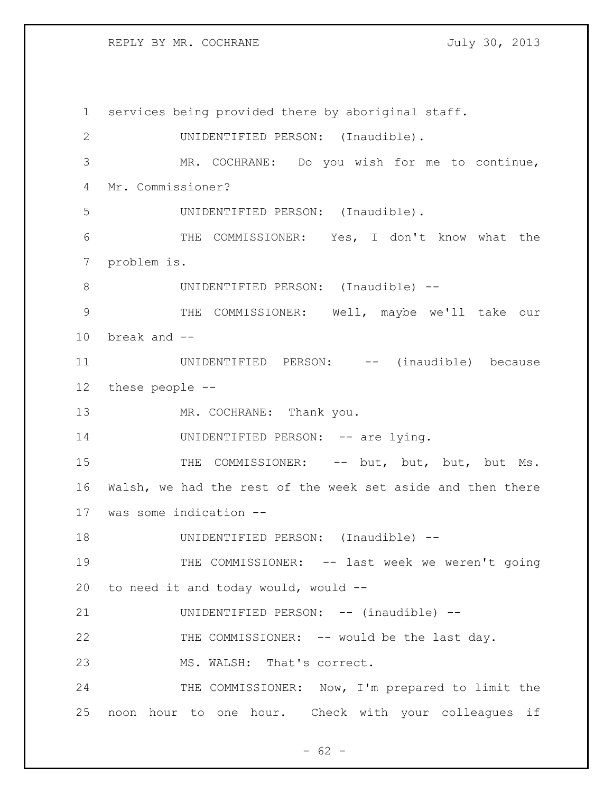REPLY BY MR. COCHRANE 30, 2013

 services being provided there by aboriginal staff. UNIDENTIFIED PERSON: (Inaudible). MR. COCHRANE: Do you wish for me to continue, Mr. Commissioner? UNIDENTIFIED PERSON: (Inaudible). THE COMMISSIONER: Yes, I don't know what the problem is. 8 UNIDENTIFIED PERSON: (Inaudible) -- THE COMMISSIONER: Well, maybe we'll take our break and -- 11 UNIDENTIFIED PERSON: -- (inaudible) because these people -- 13 MR. COCHRANE: Thank you. 14 UNIDENTIFIED PERSON: -- are lying. 15 THE COMMISSIONER: -- but, but, but, but Ms. Walsh, we had the rest of the week set aside and then there was some indication -- UNIDENTIFIED PERSON: (Inaudible) -- THE COMMISSIONER: -- last week we weren't going to need it and today would, would -- UNIDENTIFIED PERSON: -- (inaudible) -- THE COMMISSIONER: -- would be the last day. MS. WALSH: That's correct. 24 THE COMMISSIONER: Now, I'm prepared to limit the noon hour to one hour. Check with your colleagues if

 $- 62 -$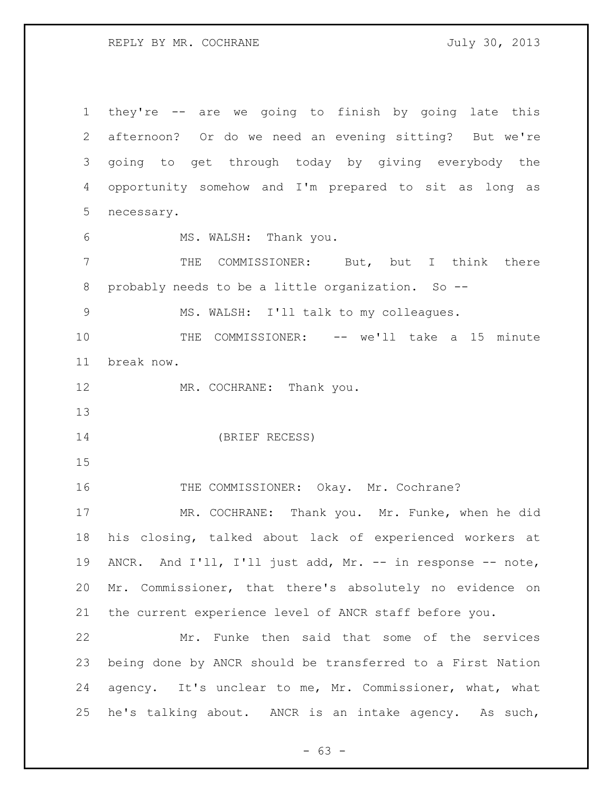REPLY BY MR. COCHRANE 30, 2013

 they're -- are we going to finish by going late this afternoon? Or do we need an evening sitting? But we're going to get through today by giving everybody the opportunity somehow and I'm prepared to sit as long as necessary. MS. WALSH: Thank you. THE COMMISSIONER: But, but I think there probably needs to be a little organization. So -- MS. WALSH: I'll talk to my colleagues. THE COMMISSIONER: -- we'll take a 15 minute break now. 12 MR. COCHRANE: Thank you. (BRIEF RECESS) 16 THE COMMISSIONER: Okay. Mr. Cochrane? MR. COCHRANE: Thank you. Mr. Funke, when he did his closing, talked about lack of experienced workers at ANCR. And I'll, I'll just add, Mr. -- in response -- note, Mr. Commissioner, that there's absolutely no evidence on the current experience level of ANCR staff before you. Mr. Funke then said that some of the services being done by ANCR should be transferred to a First Nation agency. It's unclear to me, Mr. Commissioner, what, what he's talking about. ANCR is an intake agency. As such,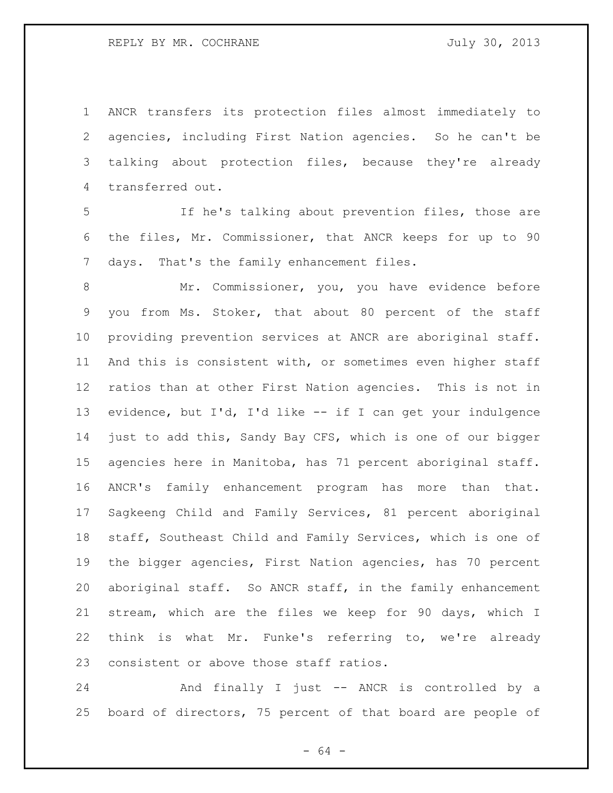ANCR transfers its protection files almost immediately to agencies, including First Nation agencies. So he can't be talking about protection files, because they're already transferred out.

 If he's talking about prevention files, those are the files, Mr. Commissioner, that ANCR keeps for up to 90 days. That's the family enhancement files.

8 Mr. Commissioner, you, you have evidence before you from Ms. Stoker, that about 80 percent of the staff providing prevention services at ANCR are aboriginal staff. And this is consistent with, or sometimes even higher staff ratios than at other First Nation agencies. This is not in evidence, but I'd, I'd like -- if I can get your indulgence just to add this, Sandy Bay CFS, which is one of our bigger agencies here in Manitoba, has 71 percent aboriginal staff. ANCR's family enhancement program has more than that. Sagkeeng Child and Family Services, 81 percent aboriginal staff, Southeast Child and Family Services, which is one of the bigger agencies, First Nation agencies, has 70 percent aboriginal staff. So ANCR staff, in the family enhancement stream, which are the files we keep for 90 days, which I think is what Mr. Funke's referring to, we're already consistent or above those staff ratios.

 And finally I just -- ANCR is controlled by a board of directors, 75 percent of that board are people of

- 64 -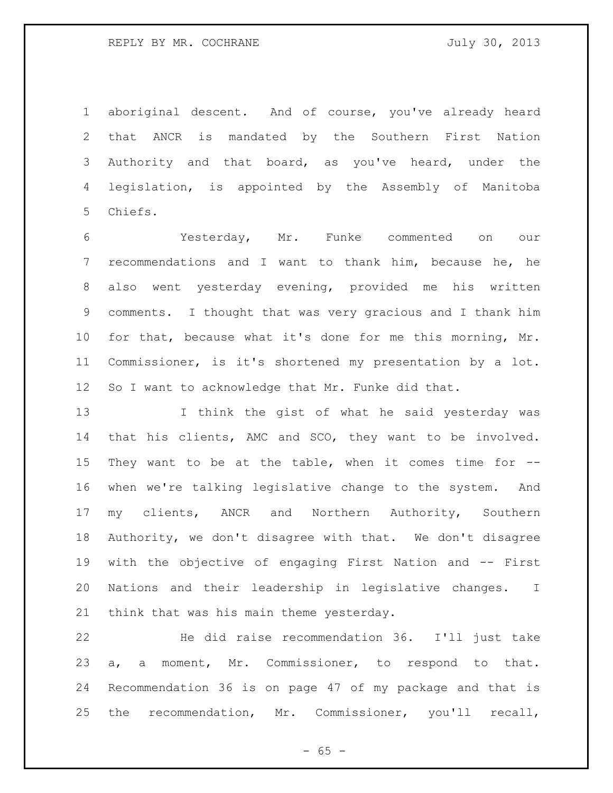## REPLY BY MR. COCHRANE JULY 30, 2013

 aboriginal descent. And of course, you've already heard that ANCR is mandated by the Southern First Nation Authority and that board, as you've heard, under the legislation, is appointed by the Assembly of Manitoba Chiefs.

 Yesterday, Mr. Funke commented on our recommendations and I want to thank him, because he, he also went yesterday evening, provided me his written comments. I thought that was very gracious and I thank him for that, because what it's done for me this morning, Mr. Commissioner, is it's shortened my presentation by a lot. So I want to acknowledge that Mr. Funke did that.

 I think the gist of what he said yesterday was that his clients, AMC and SCO, they want to be involved. They want to be at the table, when it comes time for -- when we're talking legislative change to the system. And my clients, ANCR and Northern Authority, Southern Authority, we don't disagree with that. We don't disagree with the objective of engaging First Nation and -- First Nations and their leadership in legislative changes. I think that was his main theme yesterday.

 He did raise recommendation 36. I'll just take a, a moment, Mr. Commissioner, to respond to that. Recommendation 36 is on page 47 of my package and that is the recommendation, Mr. Commissioner, you'll recall,

 $- 65 -$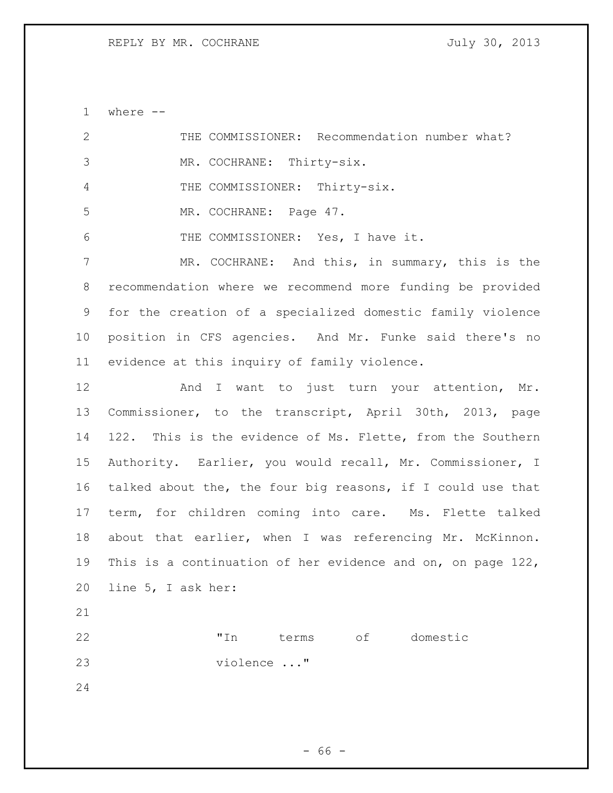where --

| $\mathbf{2}$   | THE COMMISSIONER: Recommendation number what?               |
|----------------|-------------------------------------------------------------|
| $\mathfrak{Z}$ | MR. COCHRANE: Thirty-six.                                   |
| 4              | THE COMMISSIONER: Thirty-six.                               |
| 5              | MR. COCHRANE: Page 47.                                      |
| 6              | THE COMMISSIONER: Yes, I have it.                           |
| 7              | MR. COCHRANE: And this, in summary, this is the             |
| 8              | recommendation where we recommend more funding be provided  |
| 9              | for the creation of a specialized domestic family violence  |
| 10             | position in CFS agencies. And Mr. Funke said there's no     |
| 11             | evidence at this inquiry of family violence.                |
| 12             | And I want to just turn your attention, Mr.                 |
| 13             | Commissioner, to the transcript, April 30th, 2013, page     |
| 14             | 122. This is the evidence of Ms. Flette, from the Southern  |
| 15             | Authority. Earlier, you would recall, Mr. Commissioner, I   |
| 16             | talked about the, the four big reasons, if I could use that |
| 17             | term, for children coming into care. Ms. Flette talked      |
| 18             | about that earlier, when I was referencing Mr. McKinnon.    |
| 19             | This is a continuation of her evidence and on, on page 122, |
| 20             | line 5, I ask her:                                          |
| 21             |                                                             |
| 22             | terms of domestic<br>"In                                    |
| 23             | violence "                                                  |
| 24             |                                                             |
|                |                                                             |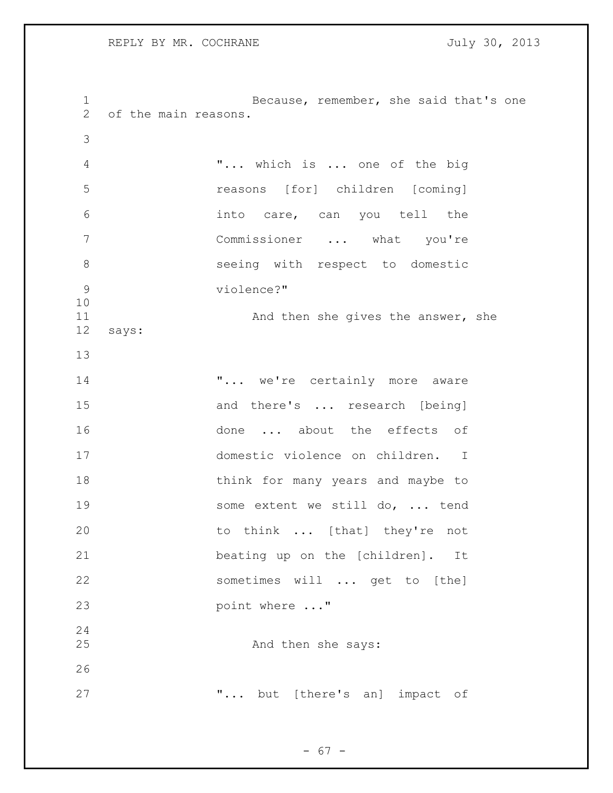Because, remember, she said that's one of the main reasons. "... which is ... one of the big reasons [for] children [coming] into care, can you tell the Commissioner ... what you're seeing with respect to domestic violence?" 11 And then she gives the answer, she says: **"...** we're certainly more aware 15 and there's ... research [being] 16 done ... about the effects of domestic violence on children. I 18 think for many years and maybe to 19 some extent we still do, ... tend 20 to think ... [that] they're not beating up on the [children]. It sometimes will ... get to [the] 23 point where ..." 25 And then she says: **...** but [there's an] impact of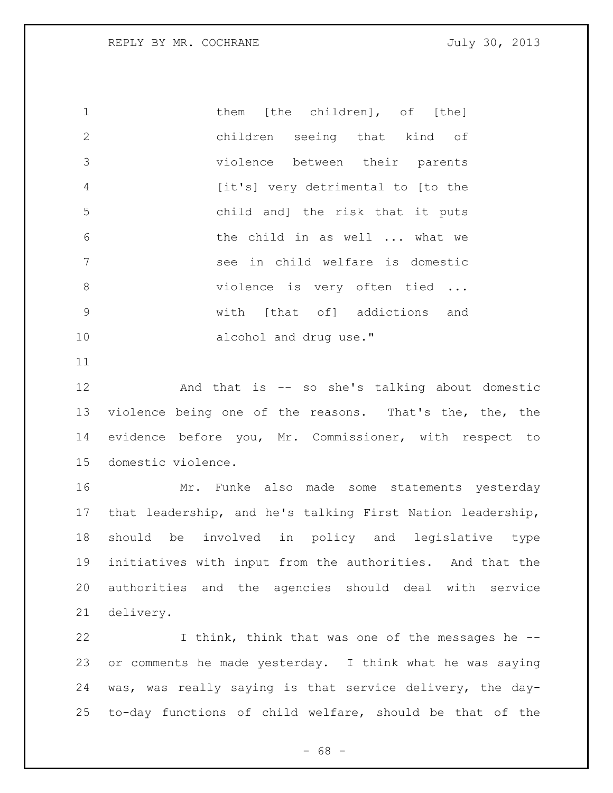1 them [the children], of [the] children seeing that kind of violence between their parents [it's] very detrimental to [to the child and] the risk that it puts the child in as well ... what we see in child welfare is domestic 8 violence is very often tied ... with [that of] addictions and 10 alcohol and drug use."

 And that is -- so she's talking about domestic violence being one of the reasons. That's the, the, the evidence before you, Mr. Commissioner, with respect to domestic violence.

 Mr. Funke also made some statements yesterday that leadership, and he's talking First Nation leadership, should be involved in policy and legislative type initiatives with input from the authorities. And that the authorities and the agencies should deal with service delivery.

 I think, think that was one of the messages he -- or comments he made yesterday. I think what he was saying was, was really saying is that service delivery, the day-to-day functions of child welfare, should be that of the

- 68 -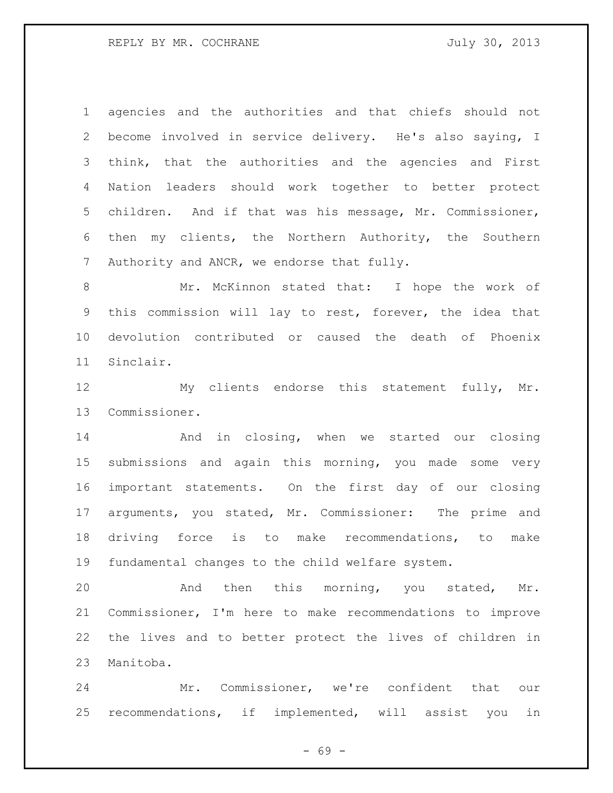agencies and the authorities and that chiefs should not become involved in service delivery. He's also saying, I think, that the authorities and the agencies and First Nation leaders should work together to better protect children. And if that was his message, Mr. Commissioner, then my clients, the Northern Authority, the Southern 7 Authority and ANCR, we endorse that fully.

8 Mr. McKinnon stated that: I hope the work of this commission will lay to rest, forever, the idea that devolution contributed or caused the death of Phoenix Sinclair.

 My clients endorse this statement fully, Mr. Commissioner.

 And in closing, when we started our closing submissions and again this morning, you made some very important statements. On the first day of our closing arguments, you stated, Mr. Commissioner: The prime and driving force is to make recommendations, to make fundamental changes to the child welfare system.

 And then this morning, you stated, Mr. Commissioner, I'm here to make recommendations to improve the lives and to better protect the lives of children in Manitoba.

 Mr. Commissioner, we're confident that our recommendations, if implemented, will assist you in

 $- 69 -$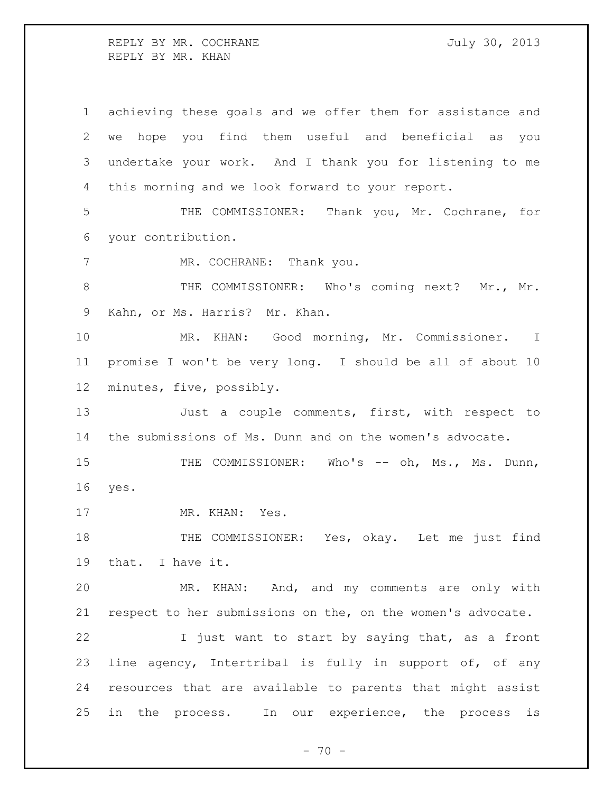REPLY BY MR. COCHRANE 30, 2013 REPLY BY MR. KHAN

 achieving these goals and we offer them for assistance and we hope you find them useful and beneficial as you undertake your work. And I thank you for listening to me this morning and we look forward to your report. THE COMMISSIONER: Thank you, Mr. Cochrane, for your contribution. 7 MR. COCHRANE: Thank you. 8 THE COMMISSIONER: Who's coming next? Mr., Mr. Kahn, or Ms. Harris? Mr. Khan. MR. KHAN: Good morning, Mr. Commissioner. I promise I won't be very long. I should be all of about 10 minutes, five, possibly. 13 Just a couple comments, first, with respect to the submissions of Ms. Dunn and on the women's advocate. 15 THE COMMISSIONER: Who's -- oh, Ms., Ms. Dunn, yes. 17 MR. KHAN: Yes. 18 THE COMMISSIONER: Yes, okay. Let me just find that. I have it. MR. KHAN: And, and my comments are only with respect to her submissions on the, on the women's advocate. 22 I just want to start by saying that, as a front line agency, Intertribal is fully in support of, of any resources that are available to parents that might assist in the process. In our experience, the process is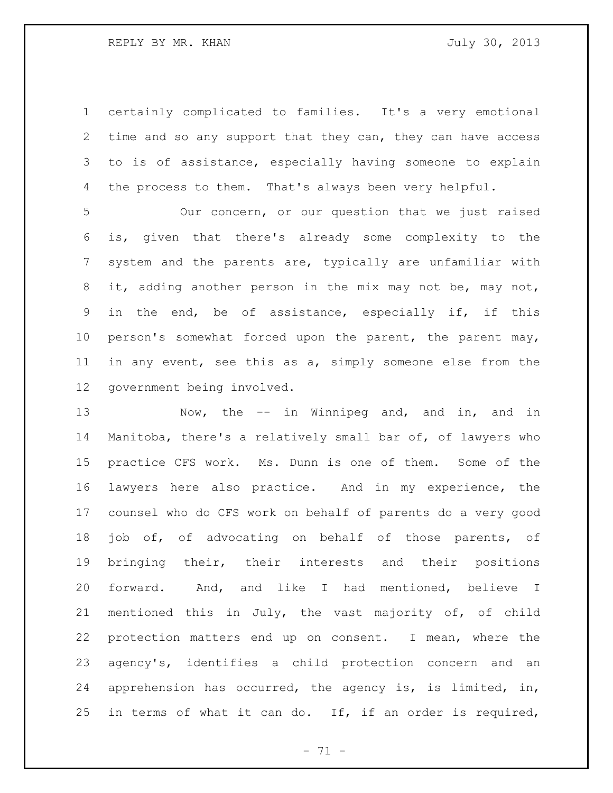certainly complicated to families. It's a very emotional time and so any support that they can, they can have access to is of assistance, especially having someone to explain 4 the process to them. That's always been very helpful.

 Our concern, or our question that we just raised is, given that there's already some complexity to the system and the parents are, typically are unfamiliar with it, adding another person in the mix may not be, may not, in the end, be of assistance, especially if, if this person's somewhat forced upon the parent, the parent may, in any event, see this as a, simply someone else from the government being involved.

13 Now, the -- in Winnipeg and, and in, and in Manitoba, there's a relatively small bar of, of lawyers who practice CFS work. Ms. Dunn is one of them. Some of the lawyers here also practice. And in my experience, the counsel who do CFS work on behalf of parents do a very good 18 job of, of advocating on behalf of those parents, of bringing their, their interests and their positions forward. And, and like I had mentioned, believe I mentioned this in July, the vast majority of, of child protection matters end up on consent. I mean, where the agency's, identifies a child protection concern and an apprehension has occurred, the agency is, is limited, in, in terms of what it can do. If, if an order is required,

- 71 -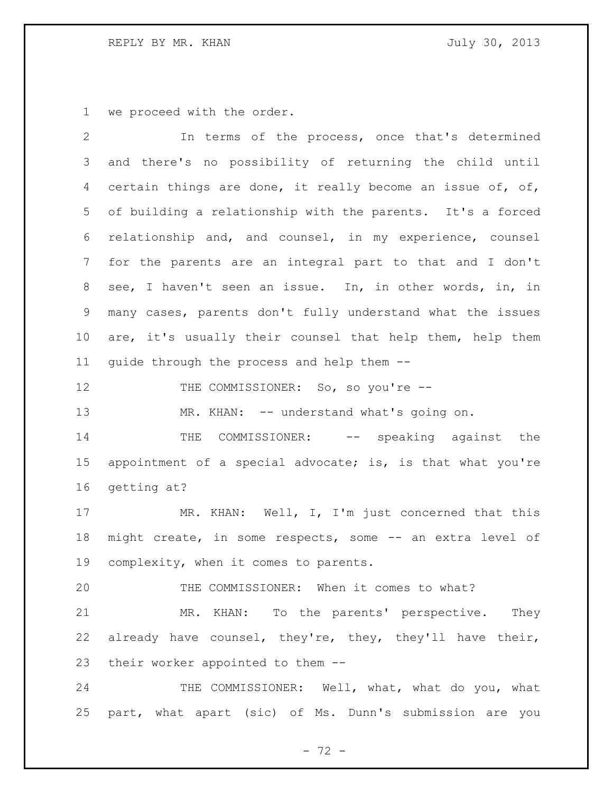## REPLY BY MR. KHAN GARAGE STATES TO MALLY 30, 2013

we proceed with the order.

 In terms of the process, once that's determined and there's no possibility of returning the child until certain things are done, it really become an issue of, of, of building a relationship with the parents. It's a forced relationship and, and counsel, in my experience, counsel for the parents are an integral part to that and I don't see, I haven't seen an issue. In, in other words, in, in many cases, parents don't fully understand what the issues are, it's usually their counsel that help them, help them guide through the process and help them -- 12 THE COMMISSIONER: So, so you're --13 MR. KHAN: -- understand what's going on. 14 THE COMMISSIONER: -- speaking against the appointment of a special advocate; is, is that what you're getting at? 17 MR. KHAN: Well, I, I'm just concerned that this might create, in some respects, some -- an extra level of complexity, when it comes to parents. THE COMMISSIONER: When it comes to what? MR. KHAN: To the parents' perspective. They already have counsel, they're, they, they'll have their, their worker appointed to them -- 24 THE COMMISSIONER: Well, what, what do you, what part, what apart (sic) of Ms. Dunn's submission are you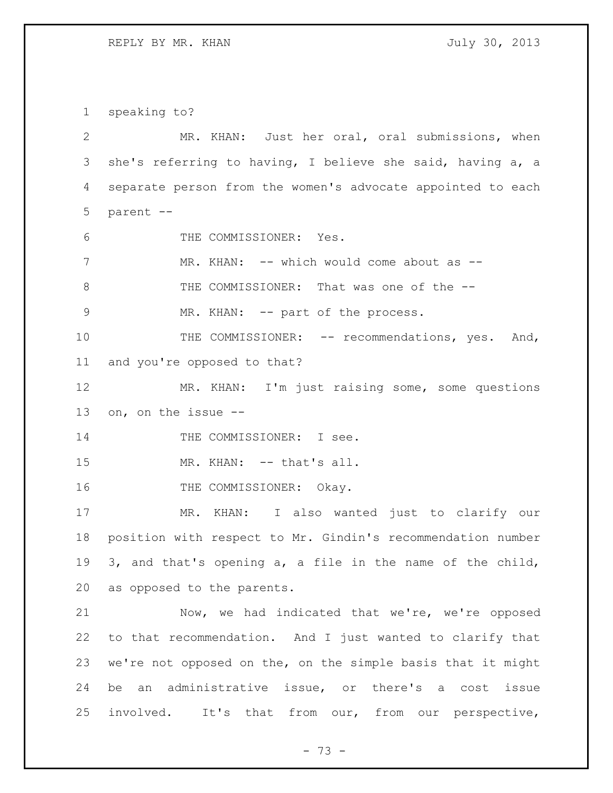REPLY BY MR. KHAN GARAGE STATES TO MALLY 30, 2013

speaking to?

 MR. KHAN: Just her oral, oral submissions, when she's referring to having, I believe she said, having a, a separate person from the women's advocate appointed to each parent -- THE COMMISSIONER: Yes. 7 MR. KHAN: -- which would come about as -- THE COMMISSIONER: That was one of the -- 9 MR. KHAN: -- part of the process. 10 THE COMMISSIONER: -- recommendations, yes. And, and you're opposed to that? MR. KHAN: I'm just raising some, some questions on, on the issue -- 14 THE COMMISSIONER: I see. 15 MR. KHAN: -- that's all. 16 THE COMMISSIONER: Okay. MR. KHAN: I also wanted just to clarify our position with respect to Mr. Gindin's recommendation number 3, and that's opening a, a file in the name of the child, as opposed to the parents. Now, we had indicated that we're, we're opposed to that recommendation. And I just wanted to clarify that we're not opposed on the, on the simple basis that it might be an administrative issue, or there's a cost issue involved. It's that from our, from our perspective,

- 73 -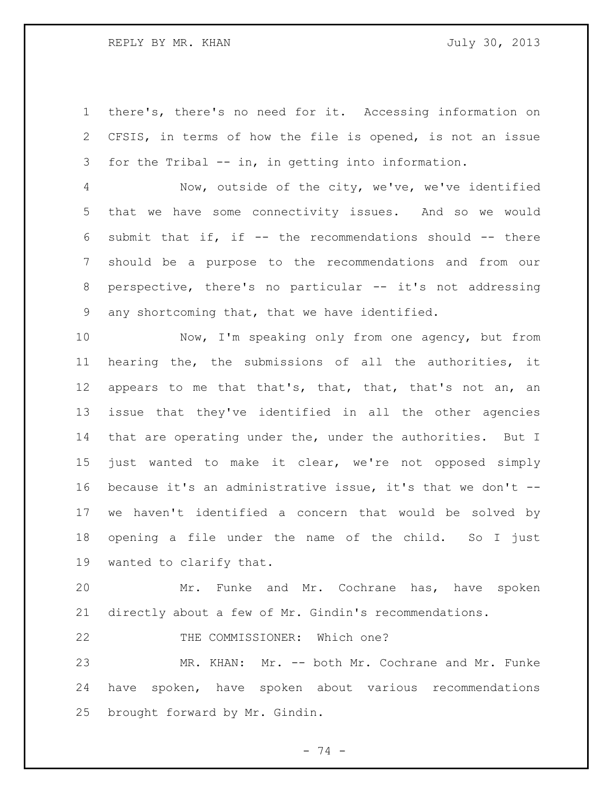## REPLY BY MR. KHAN GARD STATES STATES THAT A SUIT AND JULY 30, 2013

 there's, there's no need for it. Accessing information on CFSIS, in terms of how the file is opened, is not an issue for the Tribal -- in, in getting into information.

 Now, outside of the city, we've, we've identified that we have some connectivity issues. And so we would submit that if, if -- the recommendations should -- there should be a purpose to the recommendations and from our perspective, there's no particular -- it's not addressing any shortcoming that, that we have identified.

 Now, I'm speaking only from one agency, but from hearing the, the submissions of all the authorities, it 12 appears to me that that's, that, that, that's not an, an issue that they've identified in all the other agencies 14 that are operating under the, under the authorities. But I just wanted to make it clear, we're not opposed simply because it's an administrative issue, it's that we don't -- we haven't identified a concern that would be solved by opening a file under the name of the child. So I just wanted to clarify that.

 Mr. Funke and Mr. Cochrane has, have spoken directly about a few of Mr. Gindin's recommendations.

22 THE COMMISSIONER: Which one?

 MR. KHAN: Mr. -- both Mr. Cochrane and Mr. Funke have spoken, have spoken about various recommendations brought forward by Mr. Gindin.

- 74 -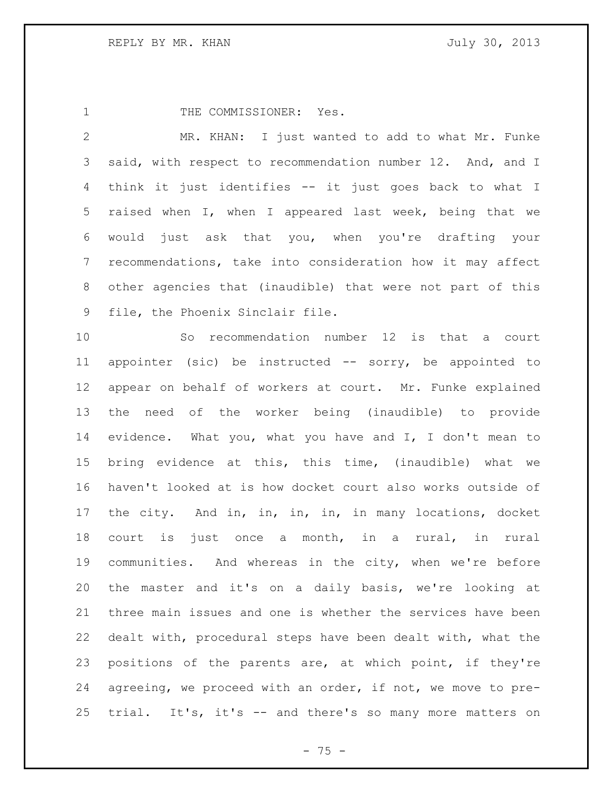1 THE COMMISSIONER: Yes.

 MR. KHAN: I just wanted to add to what Mr. Funke said, with respect to recommendation number 12. And, and I think it just identifies -- it just goes back to what I raised when I, when I appeared last week, being that we would just ask that you, when you're drafting your recommendations, take into consideration how it may affect other agencies that (inaudible) that were not part of this file, the Phoenix Sinclair file.

 So recommendation number 12 is that a court appointer (sic) be instructed -- sorry, be appointed to appear on behalf of workers at court. Mr. Funke explained the need of the worker being (inaudible) to provide evidence. What you, what you have and I, I don't mean to bring evidence at this, this time, (inaudible) what we haven't looked at is how docket court also works outside of the city. And in, in, in, in, in many locations, docket court is just once a month, in a rural, in rural communities. And whereas in the city, when we're before the master and it's on a daily basis, we're looking at three main issues and one is whether the services have been dealt with, procedural steps have been dealt with, what the positions of the parents are, at which point, if they're agreeing, we proceed with an order, if not, we move to pre-trial. It's, it's -- and there's so many more matters on

- 75 -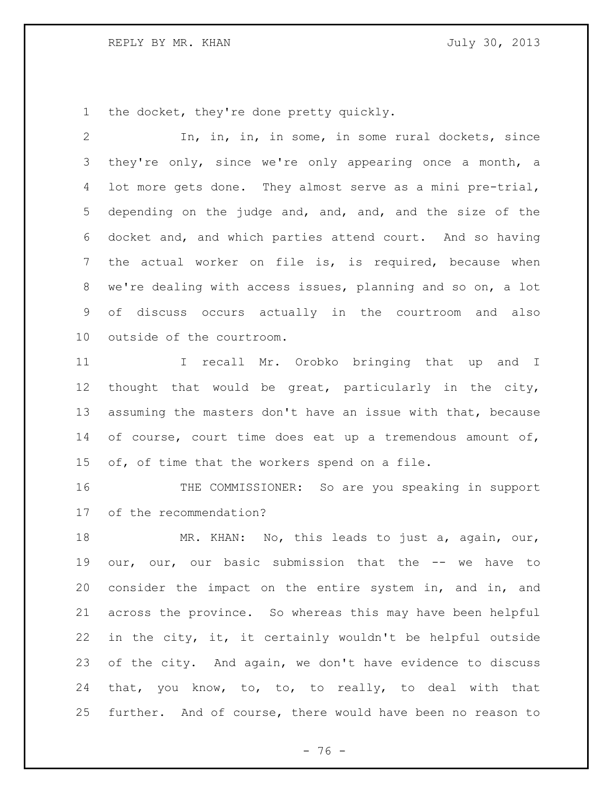REPLY BY MR. KHAN GARAGE STATES TO MALLY 30, 2013

the docket, they're done pretty quickly.

 In, in, in, in some, in some rural dockets, since 3 they're only, since we're only appearing once a month, a lot more gets done. They almost serve as a mini pre-trial, depending on the judge and, and, and, and the size of the docket and, and which parties attend court. And so having the actual worker on file is, is required, because when we're dealing with access issues, planning and so on, a lot of discuss occurs actually in the courtroom and also outside of the courtroom.

11 11 I recall Mr. Orobko bringing that up and I thought that would be great, particularly in the city, assuming the masters don't have an issue with that, because 14 of course, court time does eat up a tremendous amount of, of, of time that the workers spend on a file.

 THE COMMISSIONER: So are you speaking in support of the recommendation?

18 MR. KHAN: No, this leads to just a, again, our, our, our, our basic submission that the -- we have to consider the impact on the entire system in, and in, and across the province. So whereas this may have been helpful in the city, it, it certainly wouldn't be helpful outside of the city. And again, we don't have evidence to discuss that, you know, to, to, to really, to deal with that further. And of course, there would have been no reason to

 $- 76 -$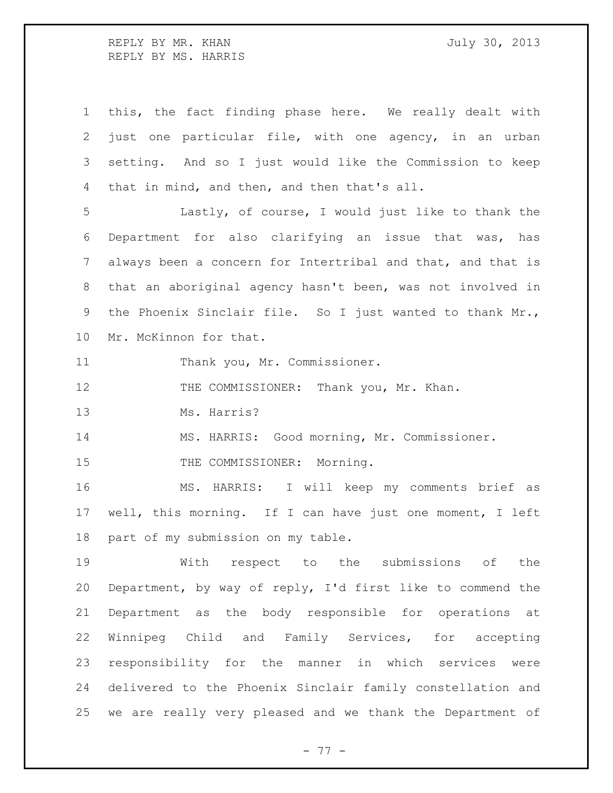REPLY BY MR. KHAN GARD STATES STATES THAT A SUIT AND JULY 30, 2013 REPLY BY MS. HARRIS

 this, the fact finding phase here. We really dealt with just one particular file, with one agency, in an urban setting. And so I just would like the Commission to keep that in mind, and then, and then that's all. Lastly, of course, I would just like to thank the Department for also clarifying an issue that was, has always been a concern for Intertribal and that, and that is that an aboriginal agency hasn't been, was not involved in the Phoenix Sinclair file. So I just wanted to thank Mr., Mr. McKinnon for that. 11 Thank you, Mr. Commissioner. 12 THE COMMISSIONER: Thank you, Mr. Khan. Ms. Harris? MS. HARRIS: Good morning, Mr. Commissioner. 15 THE COMMISSIONER: Morning. MS. HARRIS: I will keep my comments brief as

 well, this morning. If I can have just one moment, I left part of my submission on my table.

 With respect to the submissions of the Department, by way of reply, I'd first like to commend the Department as the body responsible for operations at Winnipeg Child and Family Services, for accepting responsibility for the manner in which services were delivered to the Phoenix Sinclair family constellation and we are really very pleased and we thank the Department of

- 77 -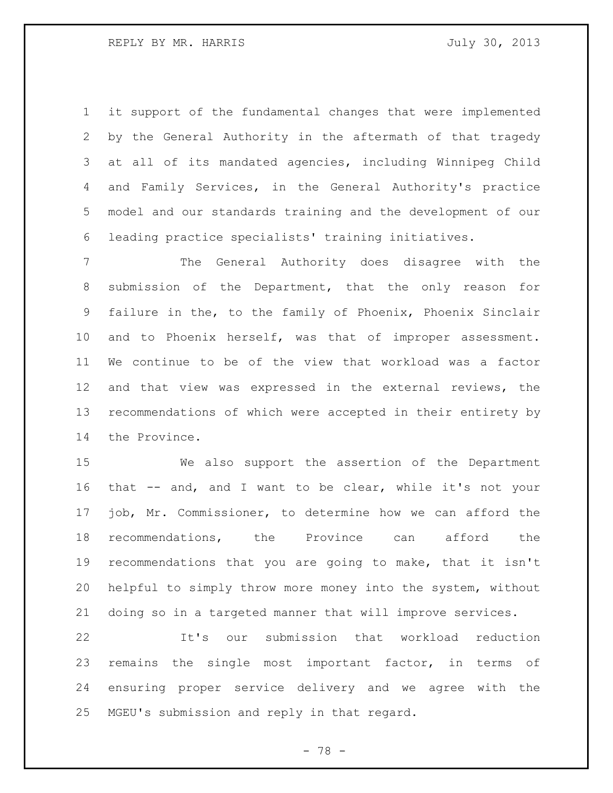it support of the fundamental changes that were implemented by the General Authority in the aftermath of that tragedy at all of its mandated agencies, including Winnipeg Child and Family Services, in the General Authority's practice model and our standards training and the development of our leading practice specialists' training initiatives.

 The General Authority does disagree with the submission of the Department, that the only reason for failure in the, to the family of Phoenix, Phoenix Sinclair and to Phoenix herself, was that of improper assessment. We continue to be of the view that workload was a factor and that view was expressed in the external reviews, the recommendations of which were accepted in their entirety by the Province.

 We also support the assertion of the Department that -- and, and I want to be clear, while it's not your job, Mr. Commissioner, to determine how we can afford the recommendations, the Province can afford the recommendations that you are going to make, that it isn't helpful to simply throw more money into the system, without doing so in a targeted manner that will improve services.

 It's our submission that workload reduction remains the single most important factor, in terms of ensuring proper service delivery and we agree with the MGEU's submission and reply in that regard.

- 78 -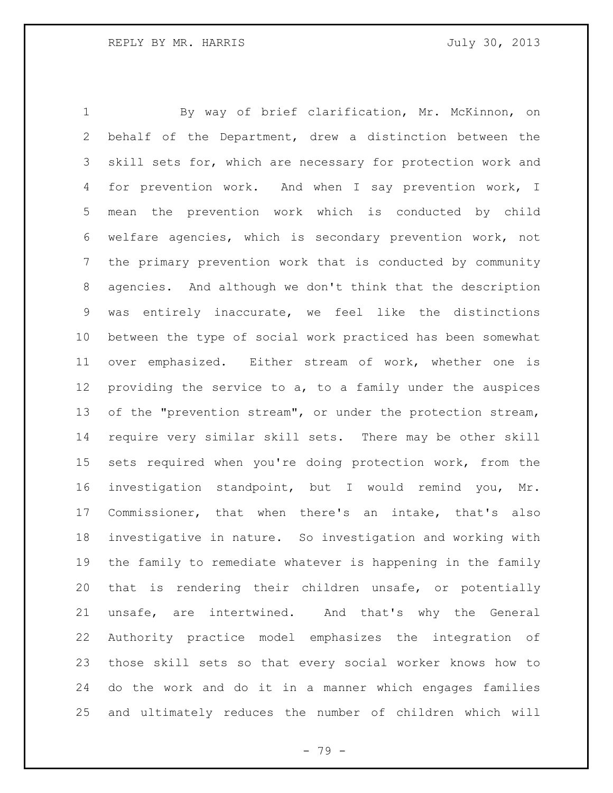By way of brief clarification, Mr. McKinnon, on behalf of the Department, drew a distinction between the skill sets for, which are necessary for protection work and for prevention work. And when I say prevention work, I mean the prevention work which is conducted by child welfare agencies, which is secondary prevention work, not the primary prevention work that is conducted by community agencies. And although we don't think that the description was entirely inaccurate, we feel like the distinctions between the type of social work practiced has been somewhat over emphasized. Either stream of work, whether one is providing the service to a, to a family under the auspices 13 of the "prevention stream", or under the protection stream, require very similar skill sets. There may be other skill sets required when you're doing protection work, from the investigation standpoint, but I would remind you, Mr. Commissioner, that when there's an intake, that's also investigative in nature. So investigation and working with the family to remediate whatever is happening in the family that is rendering their children unsafe, or potentially unsafe, are intertwined. And that's why the General Authority practice model emphasizes the integration of those skill sets so that every social worker knows how to do the work and do it in a manner which engages families and ultimately reduces the number of children which will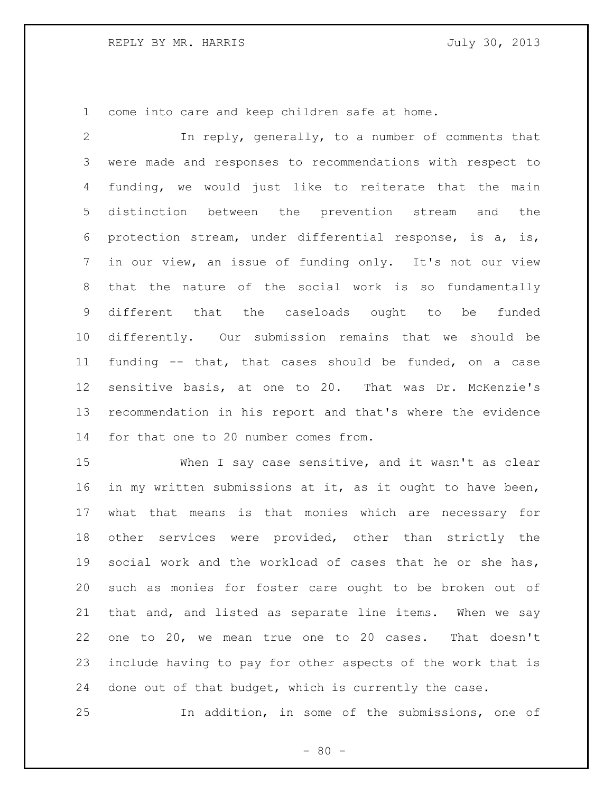come into care and keep children safe at home.

 In reply, generally, to a number of comments that were made and responses to recommendations with respect to funding, we would just like to reiterate that the main distinction between the prevention stream and the protection stream, under differential response, is a, is, in our view, an issue of funding only. It's not our view that the nature of the social work is so fundamentally different that the caseloads ought to be funded differently. Our submission remains that we should be funding -- that, that cases should be funded, on a case sensitive basis, at one to 20. That was Dr. McKenzie's recommendation in his report and that's where the evidence for that one to 20 number comes from.

 When I say case sensitive, and it wasn't as clear in my written submissions at it, as it ought to have been, what that means is that monies which are necessary for other services were provided, other than strictly the social work and the workload of cases that he or she has, such as monies for foster care ought to be broken out of that and, and listed as separate line items. When we say one to 20, we mean true one to 20 cases. That doesn't include having to pay for other aspects of the work that is done out of that budget, which is currently the case.

In addition, in some of the submissions, one of

 $- 80 -$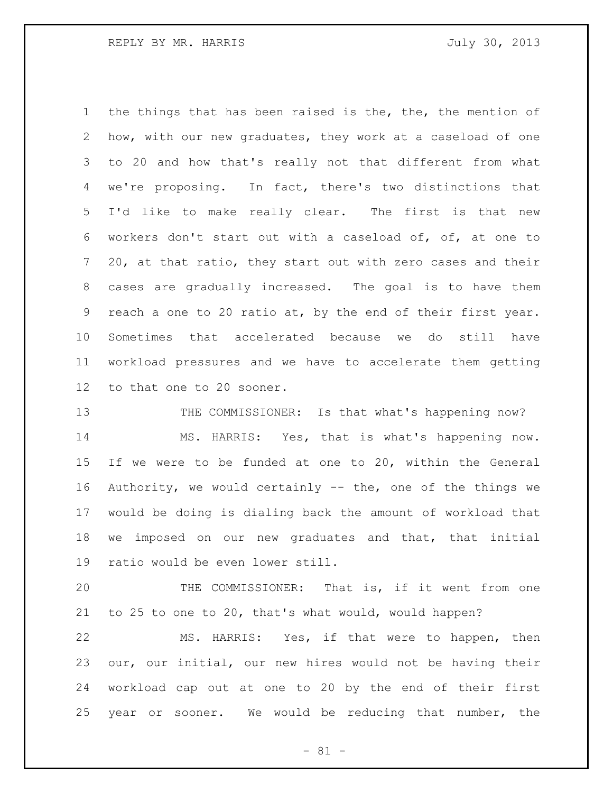the things that has been raised is the, the, the mention of how, with our new graduates, they work at a caseload of one to 20 and how that's really not that different from what we're proposing. In fact, there's two distinctions that I'd like to make really clear. The first is that new workers don't start out with a caseload of, of, at one to 20, at that ratio, they start out with zero cases and their cases are gradually increased. The goal is to have them reach a one to 20 ratio at, by the end of their first year. Sometimes that accelerated because we do still have workload pressures and we have to accelerate them getting to that one to 20 sooner.

13 THE COMMISSIONER: Is that what's happening now? MS. HARRIS: Yes, that is what's happening now. If we were to be funded at one to 20, within the General Authority, we would certainly -- the, one of the things we would be doing is dialing back the amount of workload that we imposed on our new graduates and that, that initial ratio would be even lower still.

 THE COMMISSIONER: That is, if it went from one to 25 to one to 20, that's what would, would happen?

 MS. HARRIS: Yes, if that were to happen, then our, our initial, our new hires would not be having their workload cap out at one to 20 by the end of their first year or sooner. We would be reducing that number, the

 $- 81 -$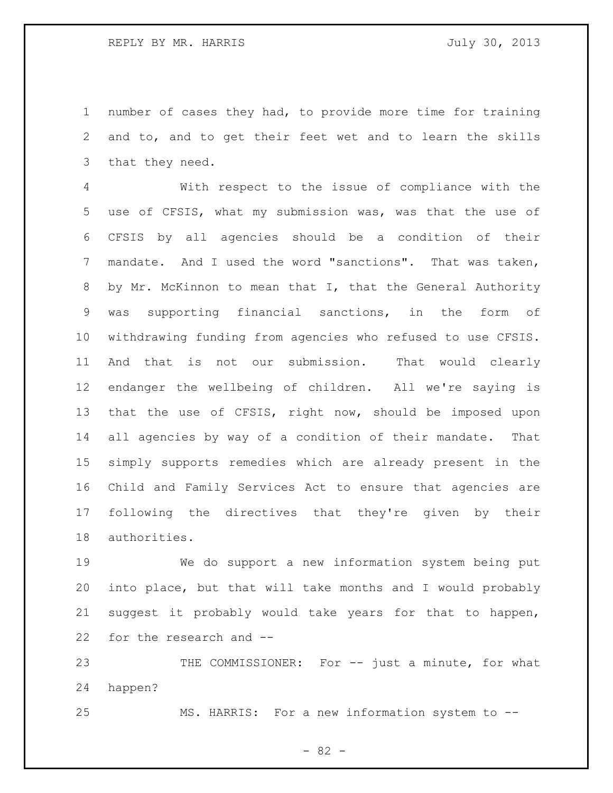number of cases they had, to provide more time for training and to, and to get their feet wet and to learn the skills that they need.

 With respect to the issue of compliance with the use of CFSIS, what my submission was, was that the use of CFSIS by all agencies should be a condition of their mandate. And I used the word "sanctions". That was taken, by Mr. McKinnon to mean that I, that the General Authority was supporting financial sanctions, in the form of withdrawing funding from agencies who refused to use CFSIS. And that is not our submission. That would clearly endanger the wellbeing of children. All we're saying is that the use of CFSIS, right now, should be imposed upon all agencies by way of a condition of their mandate. That simply supports remedies which are already present in the Child and Family Services Act to ensure that agencies are following the directives that they're given by their authorities.

 We do support a new information system being put into place, but that will take months and I would probably suggest it probably would take years for that to happen, for the research and --

23 THE COMMISSIONER: For -- just a minute, for what happen?

MS. HARRIS: For a new information system to --

- 82 -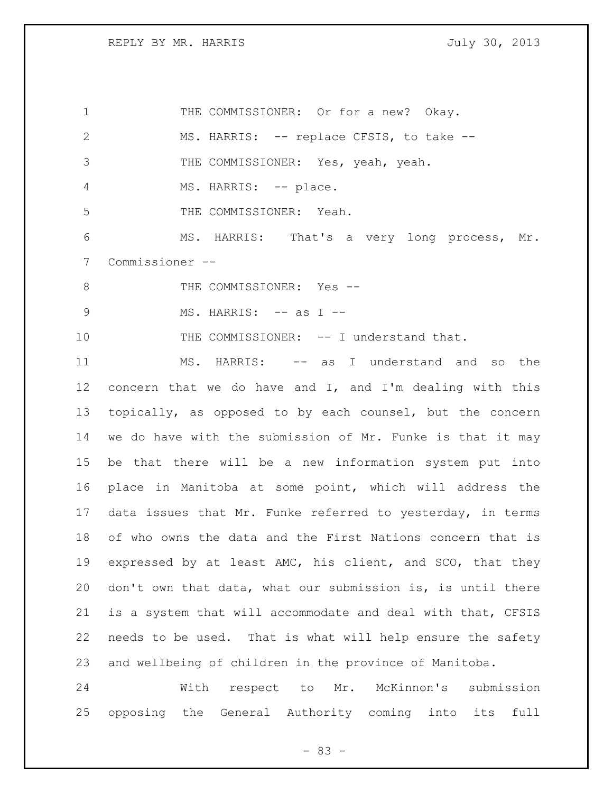1 THE COMMISSIONER: Or for a new? Okay. MS. HARRIS: -- replace CFSIS, to take -- THE COMMISSIONER: Yes, yeah, yeah. 4 MS. HARRIS: -- place. THE COMMISSIONER: Yeah. MS. HARRIS: That's a very long process, Mr. Commissioner -- 8 THE COMMISSIONER: Yes --9 MS. HARRIS: -- as I --10 THE COMMISSIONER: -- I understand that. MS. HARRIS: -- as I understand and so the concern that we do have and I, and I'm dealing with this topically, as opposed to by each counsel, but the concern we do have with the submission of Mr. Funke is that it may be that there will be a new information system put into place in Manitoba at some point, which will address the data issues that Mr. Funke referred to yesterday, in terms of who owns the data and the First Nations concern that is expressed by at least AMC, his client, and SCO, that they don't own that data, what our submission is, is until there is a system that will accommodate and deal with that, CFSIS needs to be used. That is what will help ensure the safety and wellbeing of children in the province of Manitoba. With respect to Mr. McKinnon's submission

- 83 -

opposing the General Authority coming into its full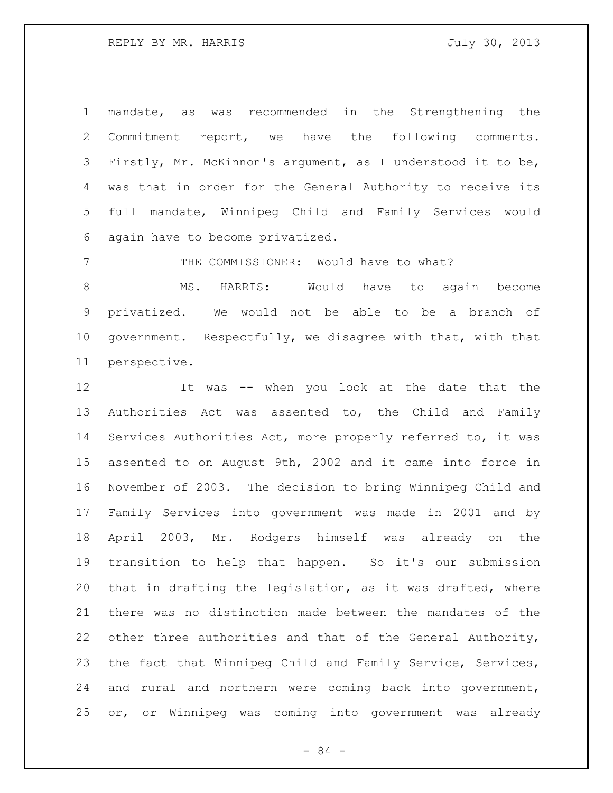mandate, as was recommended in the Strengthening the Commitment report, we have the following comments. Firstly, Mr. McKinnon's argument, as I understood it to be, was that in order for the General Authority to receive its full mandate, Winnipeg Child and Family Services would again have to become privatized.

THE COMMISSIONER: Would have to what?

8 MS. HARRIS: Would have to again become privatized. We would not be able to be a branch of government. Respectfully, we disagree with that, with that perspective.

 It was -- when you look at the date that the Authorities Act was assented to, the Child and Family Services Authorities Act, more properly referred to, it was assented to on August 9th, 2002 and it came into force in November of 2003. The decision to bring Winnipeg Child and Family Services into government was made in 2001 and by April 2003, Mr. Rodgers himself was already on the transition to help that happen. So it's our submission that in drafting the legislation, as it was drafted, where there was no distinction made between the mandates of the other three authorities and that of the General Authority, the fact that Winnipeg Child and Family Service, Services, and rural and northern were coming back into government, or, or Winnipeg was coming into government was already

- 84 -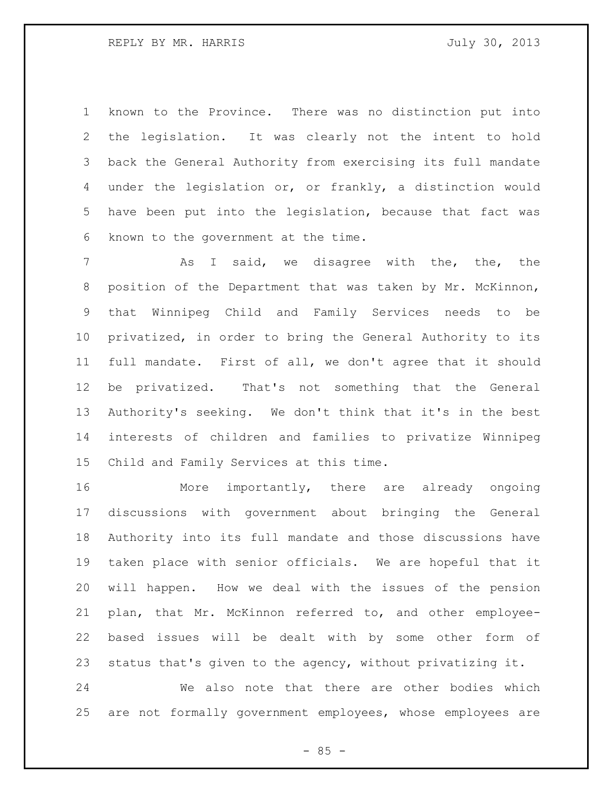known to the Province. There was no distinction put into the legislation. It was clearly not the intent to hold back the General Authority from exercising its full mandate under the legislation or, or frankly, a distinction would have been put into the legislation, because that fact was known to the government at the time.

7 The As I said, we disagree with the, the, the position of the Department that was taken by Mr. McKinnon, that Winnipeg Child and Family Services needs to be privatized, in order to bring the General Authority to its full mandate. First of all, we don't agree that it should be privatized. That's not something that the General Authority's seeking. We don't think that it's in the best interests of children and families to privatize Winnipeg Child and Family Services at this time.

 More importantly, there are already ongoing discussions with government about bringing the General Authority into its full mandate and those discussions have taken place with senior officials. We are hopeful that it will happen. How we deal with the issues of the pension plan, that Mr. McKinnon referred to, and other employee- based issues will be dealt with by some other form of status that's given to the agency, without privatizing it.

 We also note that there are other bodies which are not formally government employees, whose employees are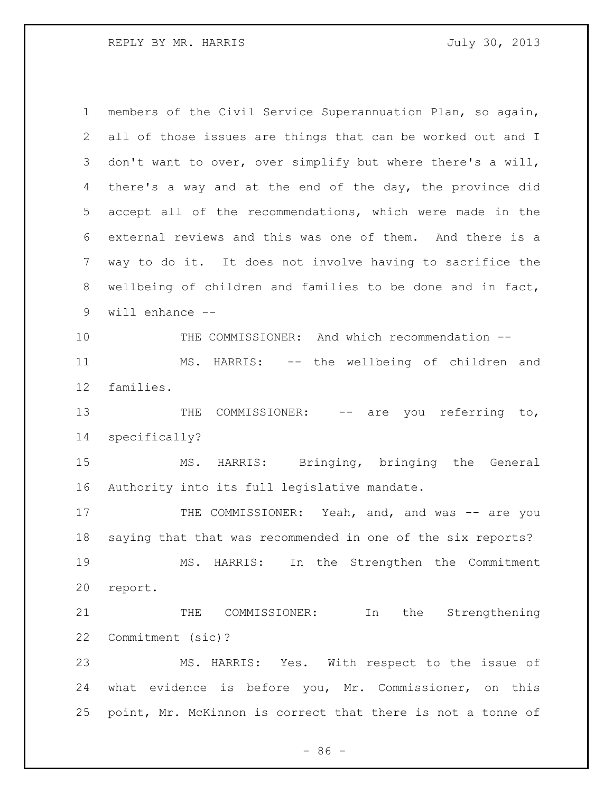| $\mathbf 1$ | members of the Civil Service Superannuation Plan, so again, |
|-------------|-------------------------------------------------------------|
| 2           | all of those issues are things that can be worked out and I |
| 3           | don't want to over, over simplify but where there's a will, |
| 4           | there's a way and at the end of the day, the province did   |
| 5           | accept all of the recommendations, which were made in the   |
| 6           | external reviews and this was one of them. And there is a   |
| 7           | way to do it. It does not involve having to sacrifice the   |
| 8           | wellbeing of children and families to be done and in fact,  |
| 9           | will enhance --                                             |
| 10          | THE COMMISSIONER: And which recommendation --               |
| 11          | MS. HARRIS: -- the wellbeing of children and                |
| 12          | families.                                                   |
| 13          | you referring to,<br>COMMISSIONER: -- are<br>THE            |
| 14          | specifically?                                               |
| 15          | MS. HARRIS: Bringing, bringing the General                  |
| 16          | Authority into its full legislative mandate.                |
| 17          | THE COMMISSIONER: Yeah, and, and was -- are you             |
| 18          | saying that that was recommended in one of the six reports? |
| 19          | In the Strengthen the Commitment<br>MS. HARRIS:             |
| 20          | report.                                                     |
| 21          | In the Strengthening<br>THE<br>COMMISSIONER:                |
| 22          | Commitment (sic)?                                           |
| 23          | MS. HARRIS: Yes. With respect to the issue of               |
| 24          | what evidence is before you, Mr. Commissioner, on this      |
| 25          | point, Mr. McKinnon is correct that there is not a tonne of |

- 86 -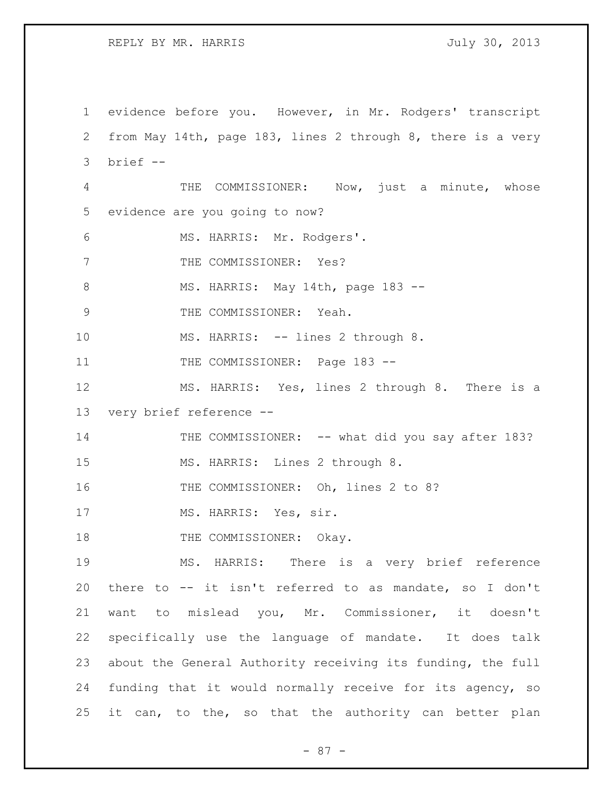REPLY BY MR. HARRIS **FOULD SEE ASSESSED A** July 30, 2013

1 evidence before you. However, in Mr. Rodgers' transcript 2 from May 14th, page 183, lines 2 through 8, there is a very 3 brief -- 4 THE COMMISSIONER: Now, just a minute, whose 5 evidence are you going to now? 6 MS. HARRIS: Mr. Rodgers'. 7 THE COMMISSIONER: Yes? 8 MS. HARRIS: May 14th, page 183 --9 THE COMMISSIONER: Yeah. 10 MS. HARRIS: -- lines 2 through 8. 11 THE COMMISSIONER: Page 183 --12 MS. HARRIS: Yes, lines 2 through 8. There is a 13 very brief reference -- 14 THE COMMISSIONER: -- what did you say after 183? 15 MS. HARRIS: Lines 2 through 8. 16 THE COMMISSIONER: Oh, lines 2 to 8? 17 MS. HARRIS: Yes, sir. 18 THE COMMISSIONER: Okay. 19 MS. HARRIS: There is a very brief reference 20 there to -- it isn't referred to as mandate, so I don't 21 want to mislead you, Mr. Commissioner, it doesn't 22 specifically use the language of mandate. It does talk 23 about the General Authority receiving its funding, the full 24 funding that it would normally receive for its agency, so 25 it can, to the, so that the authority can better plan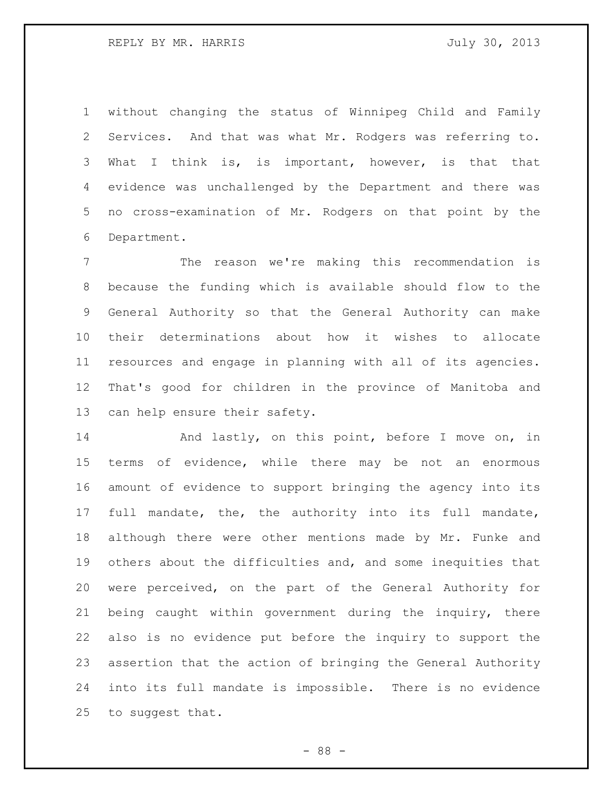without changing the status of Winnipeg Child and Family Services. And that was what Mr. Rodgers was referring to. What I think is, is important, however, is that that evidence was unchallenged by the Department and there was no cross-examination of Mr. Rodgers on that point by the Department.

 The reason we're making this recommendation is because the funding which is available should flow to the General Authority so that the General Authority can make their determinations about how it wishes to allocate resources and engage in planning with all of its agencies. That's good for children in the province of Manitoba and can help ensure their safety.

14 And lastly, on this point, before I move on, in terms of evidence, while there may be not an enormous amount of evidence to support bringing the agency into its full mandate, the, the authority into its full mandate, although there were other mentions made by Mr. Funke and others about the difficulties and, and some inequities that were perceived, on the part of the General Authority for being caught within government during the inquiry, there also is no evidence put before the inquiry to support the assertion that the action of bringing the General Authority into its full mandate is impossible. There is no evidence to suggest that.

- 88 -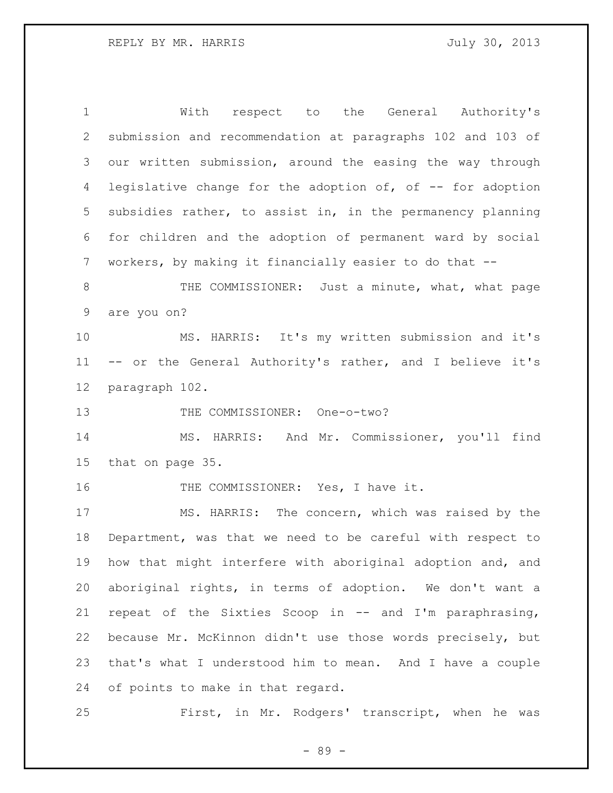| $\mathbf 1$     | With respect to the General Authority's                    |
|-----------------|------------------------------------------------------------|
| 2               | submission and recommendation at paragraphs 102 and 103 of |
| 3               | our written submission, around the easing the way through  |
| 4               | legislative change for the adoption of, of -- for adoption |
| 5               | subsidies rather, to assist in, in the permanency planning |
| 6               | for children and the adoption of permanent ward by social  |
| $7\phantom{.0}$ | workers, by making it financially easier to do that --     |
| 8               | THE COMMISSIONER: Just a minute, what, what page           |
| $\mathsf 9$     | are you on?                                                |
| 10              | MS. HARRIS: It's my written submission and it's            |
| 11              | -- or the General Authority's rather, and I believe it's   |
| 12              | paragraph 102.                                             |
| 13              | THE COMMISSIONER: One-o-two?                               |
| 14              | MS. HARRIS: And Mr. Commissioner, you'll find              |
| 15              | that on page 35.                                           |
| 16              | THE COMMISSIONER: Yes, I have it.                          |
| 17              | MS. HARRIS: The concern, which was raised by the           |
| 18              | Department, was that we need to be careful with respect to |
| 19              | how that might interfere with aboriginal adoption and, and |
| 20              | aboriginal rights, in terms of adoption. We don't want a   |
| 21              | repeat of the Sixties Scoop in -- and I'm paraphrasing,    |
| 22              | because Mr. McKinnon didn't use those words precisely, but |
| 23              | that's what I understood him to mean. And I have a couple  |
| 24              | of points to make in that regard.                          |
|                 |                                                            |

First, in Mr. Rodgers' transcript, when he was

- 89 -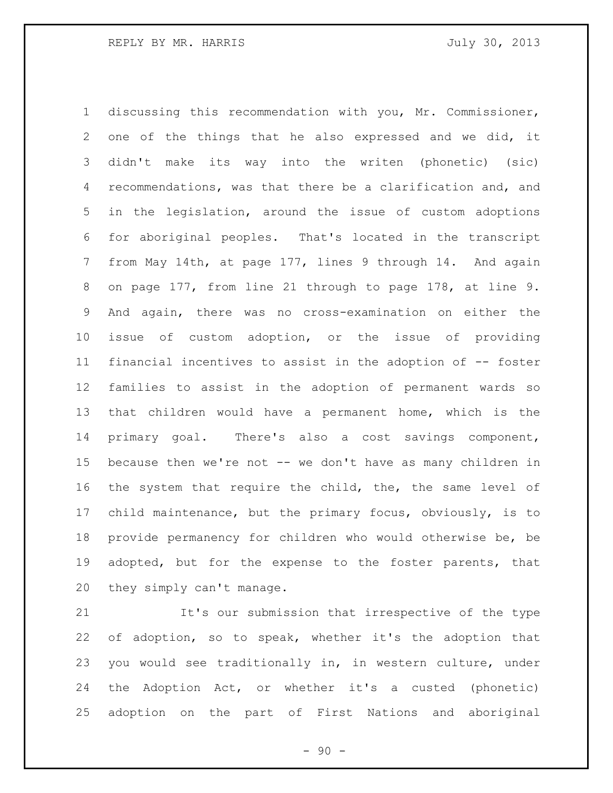discussing this recommendation with you, Mr. Commissioner, one of the things that he also expressed and we did, it didn't make its way into the writen (phonetic) (sic) recommendations, was that there be a clarification and, and in the legislation, around the issue of custom adoptions for aboriginal peoples. That's located in the transcript from May 14th, at page 177, lines 9 through 14. And again on page 177, from line 21 through to page 178, at line 9. And again, there was no cross-examination on either the issue of custom adoption, or the issue of providing financial incentives to assist in the adoption of -- foster families to assist in the adoption of permanent wards so that children would have a permanent home, which is the primary goal. There's also a cost savings component, 15 because then we're not -- we don't have as many children in the system that require the child, the, the same level of child maintenance, but the primary focus, obviously, is to provide permanency for children who would otherwise be, be adopted, but for the expense to the foster parents, that they simply can't manage.

 It's our submission that irrespective of the type of adoption, so to speak, whether it's the adoption that you would see traditionally in, in western culture, under the Adoption Act, or whether it's a custed (phonetic) adoption on the part of First Nations and aboriginal

 $-90 -$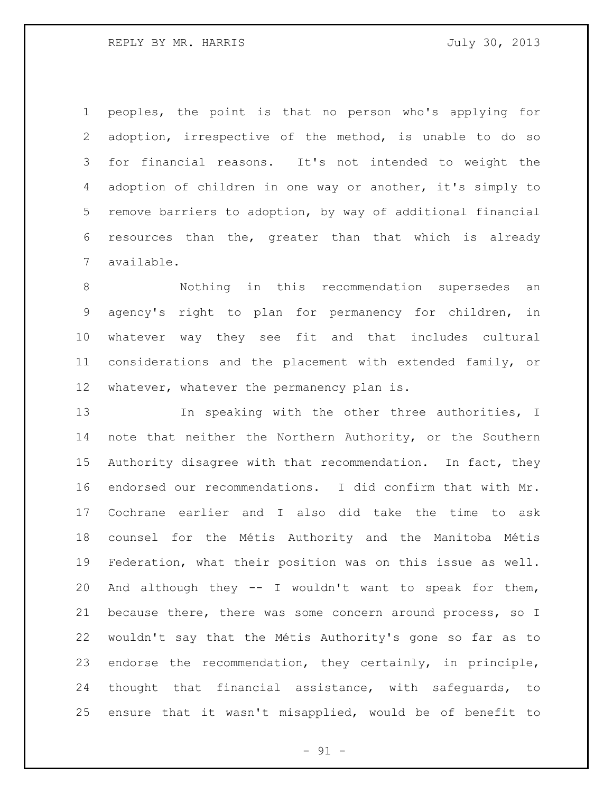REPLY BY MR. HARRIS **FOULD SEE ASSESSED A** July 30, 2013

 peoples, the point is that no person who's applying for adoption, irrespective of the method, is unable to do so for financial reasons. It's not intended to weight the adoption of children in one way or another, it's simply to remove barriers to adoption, by way of additional financial resources than the, greater than that which is already available.

 Nothing in this recommendation supersedes an agency's right to plan for permanency for children, in whatever way they see fit and that includes cultural considerations and the placement with extended family, or whatever, whatever the permanency plan is.

13 In speaking with the other three authorities, I note that neither the Northern Authority, or the Southern Authority disagree with that recommendation. In fact, they endorsed our recommendations. I did confirm that with Mr. Cochrane earlier and I also did take the time to ask counsel for the Métis Authority and the Manitoba Métis Federation, what their position was on this issue as well. And although they -- I wouldn't want to speak for them, because there, there was some concern around process, so I wouldn't say that the Métis Authority's gone so far as to endorse the recommendation, they certainly, in principle, thought that financial assistance, with safeguards, to ensure that it wasn't misapplied, would be of benefit to

 $-91 -$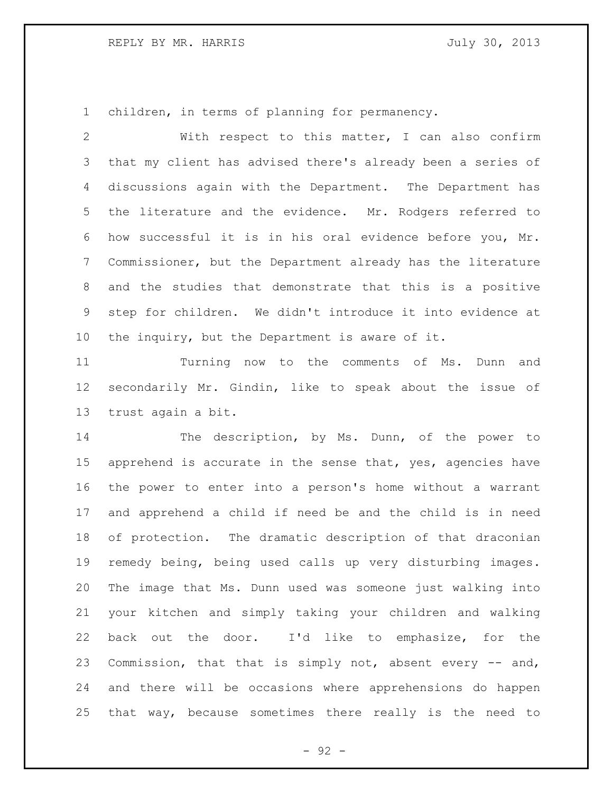## REPLY BY MR. HARRIS **FOULD SEE ASSESSED A** July 30, 2013

children, in terms of planning for permanency.

 With respect to this matter, I can also confirm that my client has advised there's already been a series of discussions again with the Department. The Department has the literature and the evidence. Mr. Rodgers referred to how successful it is in his oral evidence before you, Mr. Commissioner, but the Department already has the literature and the studies that demonstrate that this is a positive step for children. We didn't introduce it into evidence at the inquiry, but the Department is aware of it.

 Turning now to the comments of Ms. Dunn and secondarily Mr. Gindin, like to speak about the issue of trust again a bit.

 The description, by Ms. Dunn, of the power to apprehend is accurate in the sense that, yes, agencies have the power to enter into a person's home without a warrant and apprehend a child if need be and the child is in need of protection. The dramatic description of that draconian remedy being, being used calls up very disturbing images. The image that Ms. Dunn used was someone just walking into your kitchen and simply taking your children and walking back out the door. I'd like to emphasize, for the Commission, that that is simply not, absent every -- and, and there will be occasions where apprehensions do happen that way, because sometimes there really is the need to

- 92 -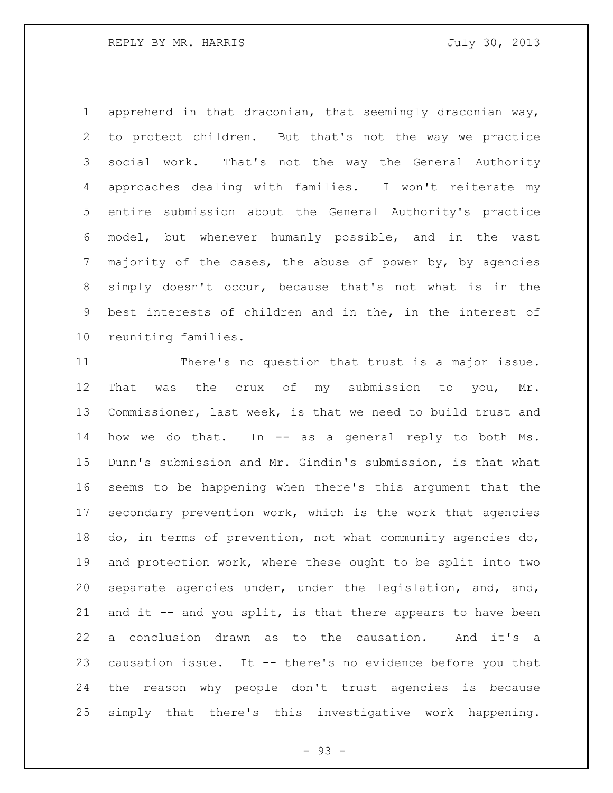apprehend in that draconian, that seemingly draconian way, to protect children. But that's not the way we practice social work. That's not the way the General Authority approaches dealing with families. I won't reiterate my entire submission about the General Authority's practice model, but whenever humanly possible, and in the vast majority of the cases, the abuse of power by, by agencies simply doesn't occur, because that's not what is in the best interests of children and in the, in the interest of reuniting families.

 There's no question that trust is a major issue. That was the crux of my submission to you, Mr. Commissioner, last week, is that we need to build trust and 14 how we do that. In -- as a general reply to both Ms. Dunn's submission and Mr. Gindin's submission, is that what seems to be happening when there's this argument that the secondary prevention work, which is the work that agencies do, in terms of prevention, not what community agencies do, and protection work, where these ought to be split into two separate agencies under, under the legislation, and, and, and it -- and you split, is that there appears to have been a conclusion drawn as to the causation. And it's a causation issue. It -- there's no evidence before you that the reason why people don't trust agencies is because simply that there's this investigative work happening.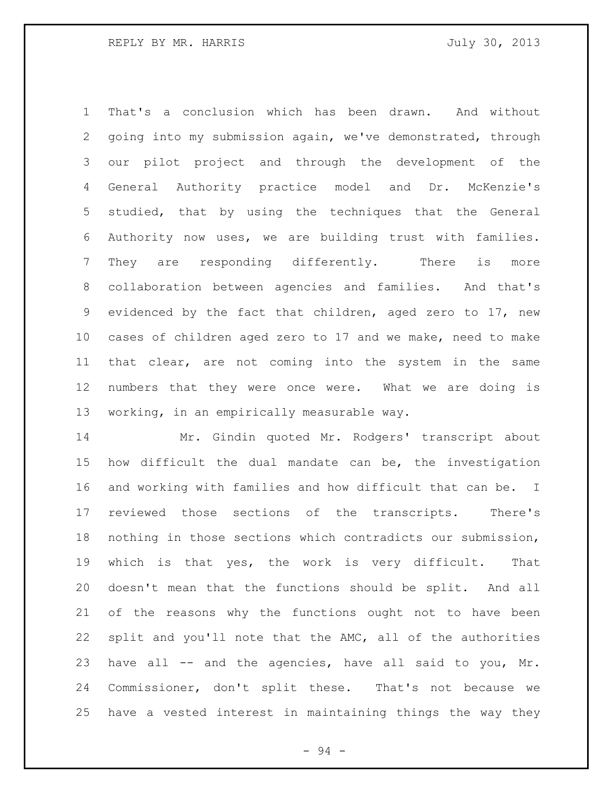That's a conclusion which has been drawn. And without going into my submission again, we've demonstrated, through our pilot project and through the development of the General Authority practice model and Dr. McKenzie's studied, that by using the techniques that the General Authority now uses, we are building trust with families. They are responding differently. There is more collaboration between agencies and families. And that's evidenced by the fact that children, aged zero to 17, new cases of children aged zero to 17 and we make, need to make that clear, are not coming into the system in the same numbers that they were once were. What we are doing is working, in an empirically measurable way.

 Mr. Gindin quoted Mr. Rodgers' transcript about how difficult the dual mandate can be, the investigation and working with families and how difficult that can be. I reviewed those sections of the transcripts. There's nothing in those sections which contradicts our submission, which is that yes, the work is very difficult. That doesn't mean that the functions should be split. And all of the reasons why the functions ought not to have been split and you'll note that the AMC, all of the authorities have all -- and the agencies, have all said to you, Mr. Commissioner, don't split these. That's not because we have a vested interest in maintaining things the way they

- 94 -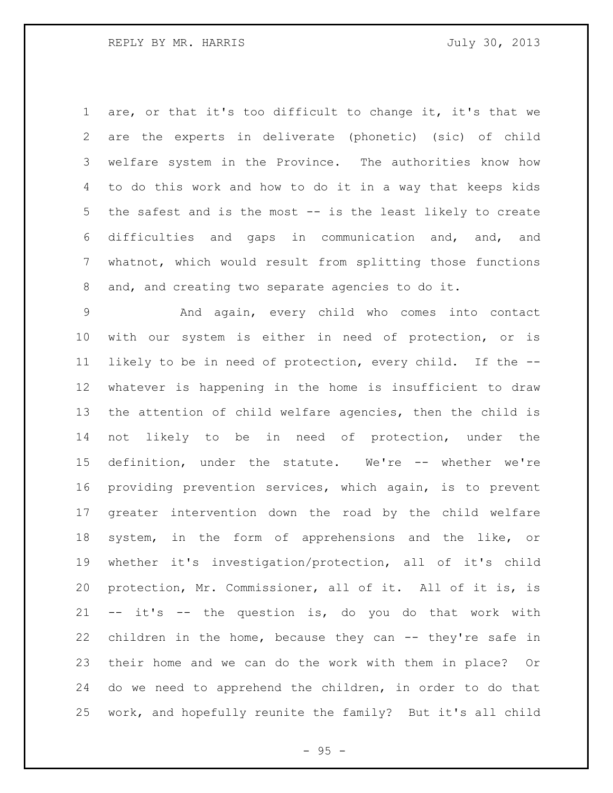are, or that it's too difficult to change it, it's that we are the experts in deliverate (phonetic) (sic) of child welfare system in the Province. The authorities know how to do this work and how to do it in a way that keeps kids the safest and is the most -- is the least likely to create difficulties and gaps in communication and, and, and whatnot, which would result from splitting those functions and, and creating two separate agencies to do it.

 And again, every child who comes into contact with our system is either in need of protection, or is likely to be in need of protection, every child. If the -- whatever is happening in the home is insufficient to draw the attention of child welfare agencies, then the child is not likely to be in need of protection, under the definition, under the statute. We're -- whether we're providing prevention services, which again, is to prevent greater intervention down the road by the child welfare system, in the form of apprehensions and the like, or whether it's investigation/protection, all of it's child protection, Mr. Commissioner, all of it. All of it is, is -- it's -- the question is, do you do that work with children in the home, because they can -- they're safe in their home and we can do the work with them in place? Or do we need to apprehend the children, in order to do that work, and hopefully reunite the family? But it's all child

 $- 95 -$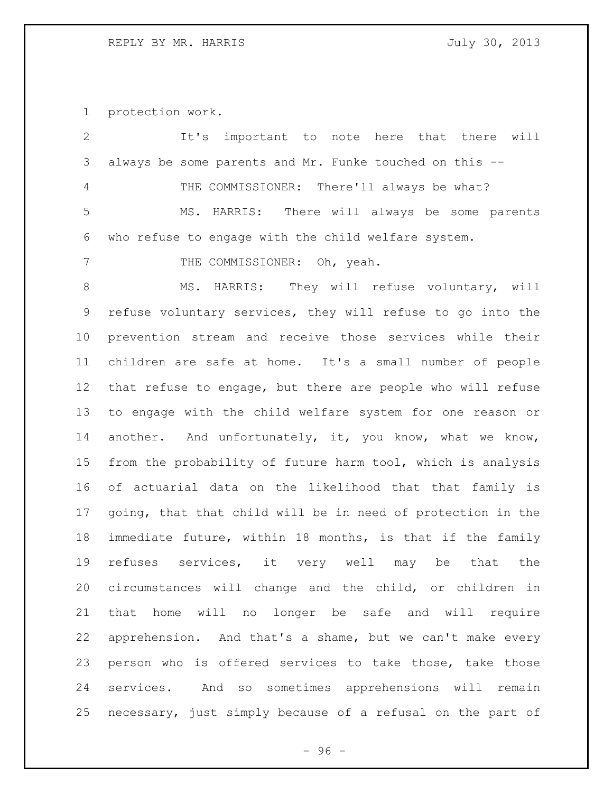protection work.

| $\mathbf{2}$ | It's important to note here that there will                 |
|--------------|-------------------------------------------------------------|
| 3            | always be some parents and Mr. Funke touched on this --     |
| 4            | THE COMMISSIONER: There'll always be what?                  |
| 5            | MS. HARRIS: There will always be some parents               |
| 6            | who refuse to engage with the child welfare system.         |
| 7            | THE COMMISSIONER: Oh, yeah.                                 |
| $\,8\,$      | MS. HARRIS: They will refuse voluntary, will                |
| 9            | refuse voluntary services, they will refuse to go into the  |
| 10           | prevention stream and receive those services while their    |
| 11           | children are safe at home. It's a small number of people    |
| 12           | that refuse to engage, but there are people who will refuse |
| 13           | to engage with the child welfare system for one reason or   |
| 14           | another. And unfortunately, it, you know, what we know,     |
| 15           | from the probability of future harm tool, which is analysis |
| 16           | of actuarial data on the likelihood that that family is     |
| 17           | going, that that child will be in need of protection in the |
| 18           | immediate future, within 18 months, is that if the family   |
| 19           | refuses services, it very well may be that the              |
| 20           | circumstances will change and the child, or children in     |
| 21           | that home will no longer be safe and will require           |
| 22           | apprehension. And that's a shame, but we can't make every   |
| 23           | person who is offered services to take those, take those    |
| 24           | services. And so sometimes apprehensions will remain        |
| 25           | necessary, just simply because of a refusal on the part of  |

- 96 -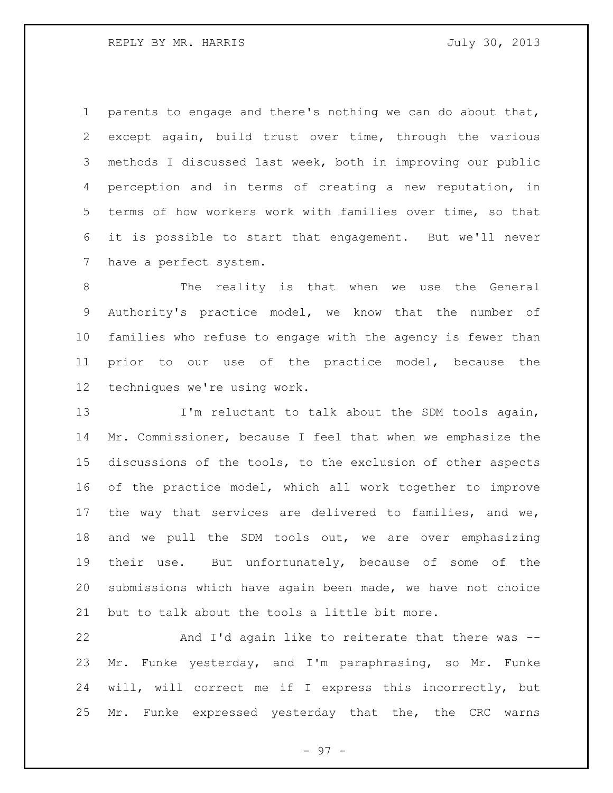parents to engage and there's nothing we can do about that, except again, build trust over time, through the various methods I discussed last week, both in improving our public perception and in terms of creating a new reputation, in terms of how workers work with families over time, so that it is possible to start that engagement. But we'll never have a perfect system.

 The reality is that when we use the General Authority's practice model, we know that the number of families who refuse to engage with the agency is fewer than prior to our use of the practice model, because the techniques we're using work.

13 I'm reluctant to talk about the SDM tools again, Mr. Commissioner, because I feel that when we emphasize the discussions of the tools, to the exclusion of other aspects of the practice model, which all work together to improve the way that services are delivered to families, and we, and we pull the SDM tools out, we are over emphasizing their use. But unfortunately, because of some of the submissions which have again been made, we have not choice but to talk about the tools a little bit more.

 And I'd again like to reiterate that there was -- Mr. Funke yesterday, and I'm paraphrasing, so Mr. Funke will, will correct me if I express this incorrectly, but Mr. Funke expressed yesterday that the, the CRC warns

- 97 -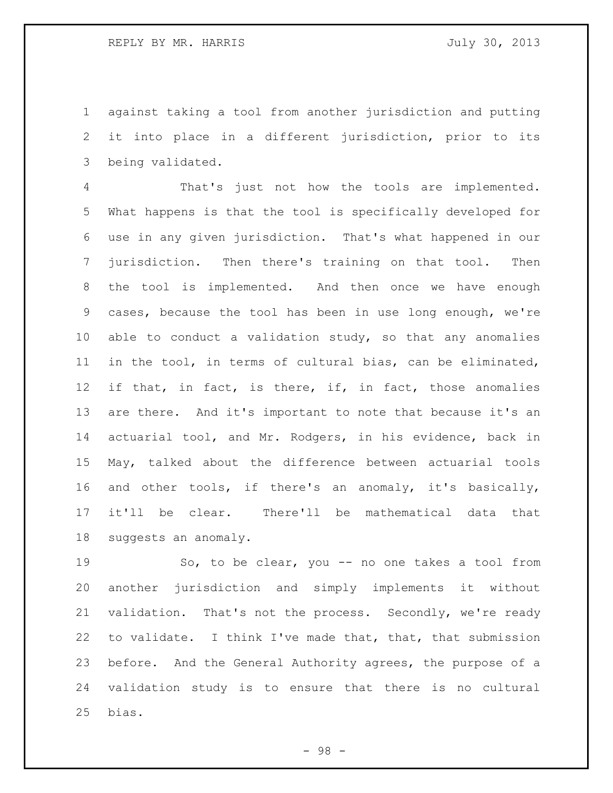against taking a tool from another jurisdiction and putting it into place in a different jurisdiction, prior to its being validated.

 That's just not how the tools are implemented. What happens is that the tool is specifically developed for use in any given jurisdiction. That's what happened in our jurisdiction. Then there's training on that tool. Then 8 the tool is implemented. And then once we have enough cases, because the tool has been in use long enough, we're able to conduct a validation study, so that any anomalies in the tool, in terms of cultural bias, can be eliminated, if that, in fact, is there, if, in fact, those anomalies are there. And it's important to note that because it's an actuarial tool, and Mr. Rodgers, in his evidence, back in May, talked about the difference between actuarial tools and other tools, if there's an anomaly, it's basically, it'll be clear. There'll be mathematical data that suggests an anomaly.

 So, to be clear, you -- no one takes a tool from another jurisdiction and simply implements it without validation. That's not the process. Secondly, we're ready to validate. I think I've made that, that, that submission before. And the General Authority agrees, the purpose of a validation study is to ensure that there is no cultural bias.

- 98 -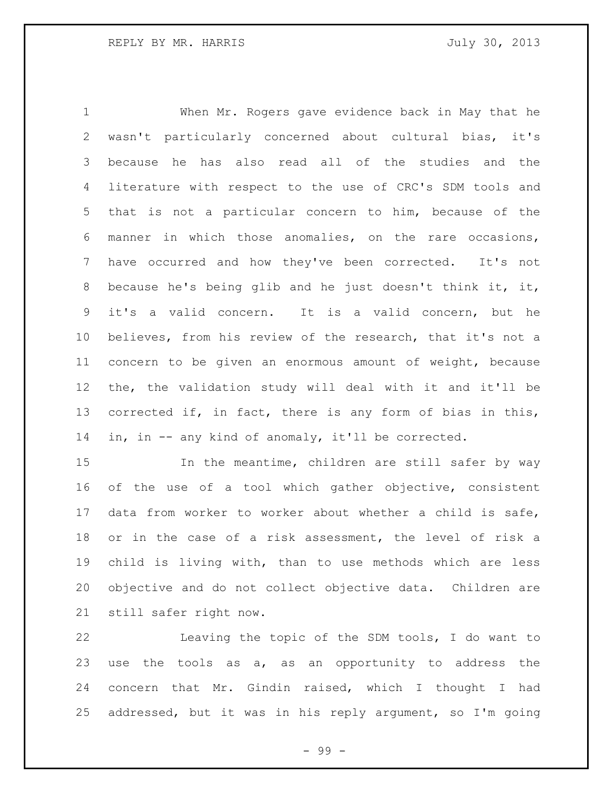When Mr. Rogers gave evidence back in May that he wasn't particularly concerned about cultural bias, it's because he has also read all of the studies and the literature with respect to the use of CRC's SDM tools and that is not a particular concern to him, because of the manner in which those anomalies, on the rare occasions, have occurred and how they've been corrected. It's not because he's being glib and he just doesn't think it, it, it's a valid concern. It is a valid concern, but he believes, from his review of the research, that it's not a concern to be given an enormous amount of weight, because the, the validation study will deal with it and it'll be corrected if, in fact, there is any form of bias in this, in, in -- any kind of anomaly, it'll be corrected.

15 15 In the meantime, children are still safer by way of the use of a tool which gather objective, consistent data from worker to worker about whether a child is safe, or in the case of a risk assessment, the level of risk a child is living with, than to use methods which are less objective and do not collect objective data. Children are still safer right now.

 Leaving the topic of the SDM tools, I do want to use the tools as a, as an opportunity to address the concern that Mr. Gindin raised, which I thought I had addressed, but it was in his reply argument, so I'm going

- 99 -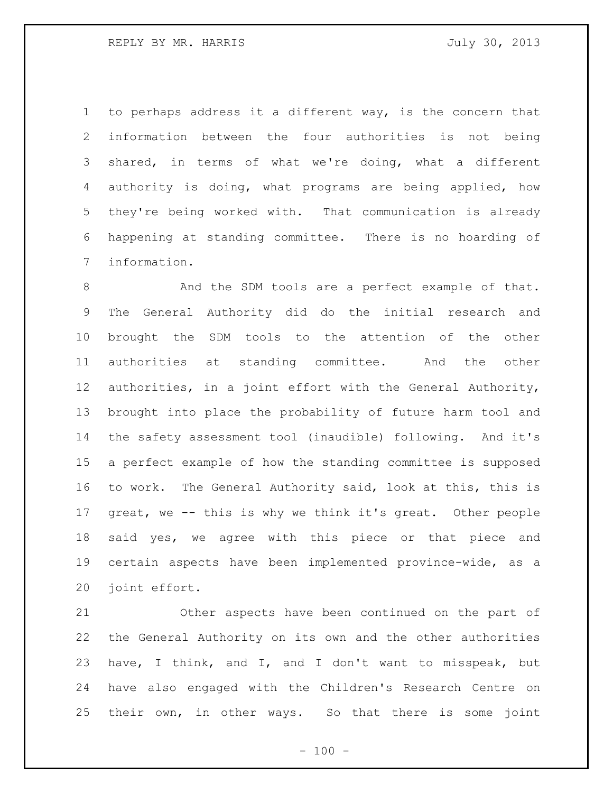to perhaps address it a different way, is the concern that information between the four authorities is not being shared, in terms of what we're doing, what a different authority is doing, what programs are being applied, how they're being worked with. That communication is already happening at standing committee. There is no hoarding of information.

8 And the SDM tools are a perfect example of that. The General Authority did do the initial research and brought the SDM tools to the attention of the other authorities at standing committee. And the other authorities, in a joint effort with the General Authority, brought into place the probability of future harm tool and the safety assessment tool (inaudible) following. And it's a perfect example of how the standing committee is supposed to work. The General Authority said, look at this, this is great, we -- this is why we think it's great. Other people said yes, we agree with this piece or that piece and certain aspects have been implemented province-wide, as a joint effort.

 Other aspects have been continued on the part of the General Authority on its own and the other authorities have, I think, and I, and I don't want to misspeak, but have also engaged with the Children's Research Centre on their own, in other ways. So that there is some joint

 $- 100 -$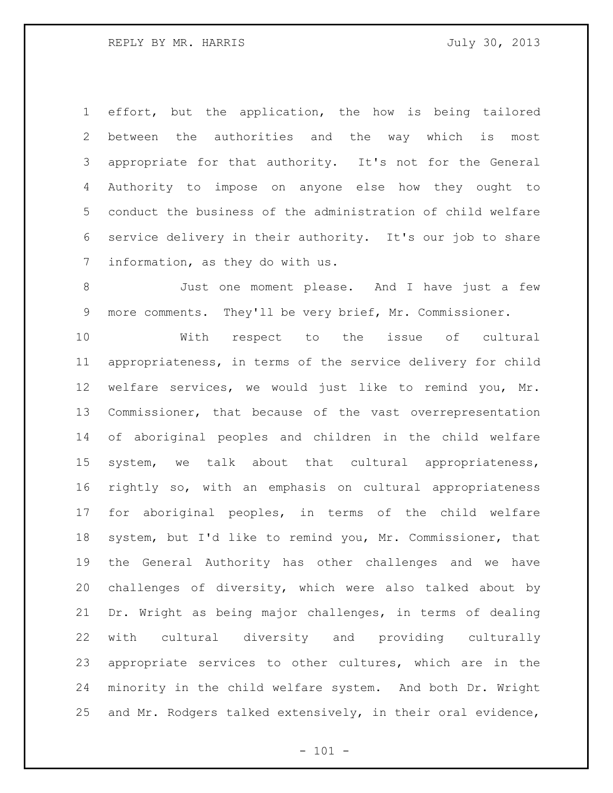effort, but the application, the how is being tailored between the authorities and the way which is most appropriate for that authority. It's not for the General Authority to impose on anyone else how they ought to conduct the business of the administration of child welfare service delivery in their authority. It's our job to share information, as they do with us.

 Just one moment please. And I have just a few more comments. They'll be very brief, Mr. Commissioner.

 With respect to the issue of cultural appropriateness, in terms of the service delivery for child welfare services, we would just like to remind you, Mr. Commissioner, that because of the vast overrepresentation of aboriginal peoples and children in the child welfare system, we talk about that cultural appropriateness, rightly so, with an emphasis on cultural appropriateness for aboriginal peoples, in terms of the child welfare system, but I'd like to remind you, Mr. Commissioner, that the General Authority has other challenges and we have challenges of diversity, which were also talked about by Dr. Wright as being major challenges, in terms of dealing with cultural diversity and providing culturally appropriate services to other cultures, which are in the minority in the child welfare system. And both Dr. Wright and Mr. Rodgers talked extensively, in their oral evidence,

 $- 101 -$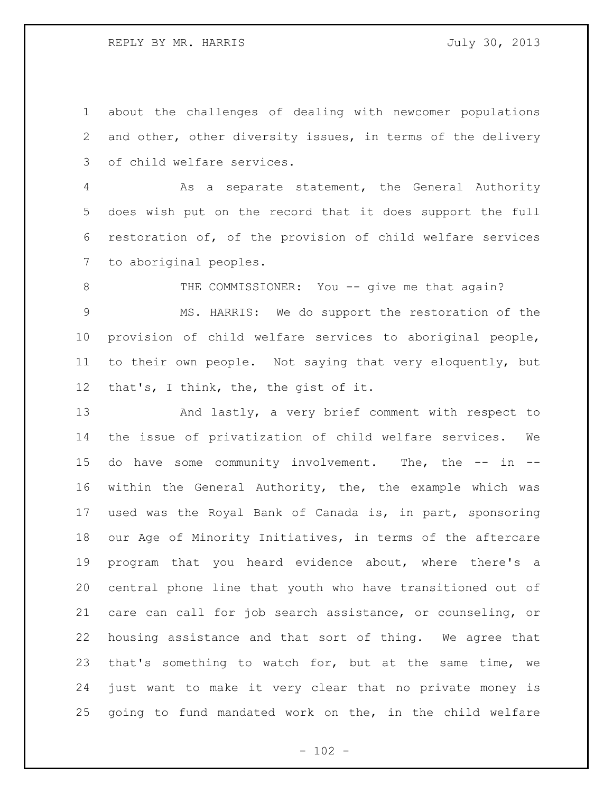REPLY BY MR. HARRIS **FOULD SEE ASSESSED A** July 30, 2013

 about the challenges of dealing with newcomer populations and other, other diversity issues, in terms of the delivery of child welfare services.

 As a separate statement, the General Authority does wish put on the record that it does support the full restoration of, of the provision of child welfare services to aboriginal peoples.

8 THE COMMISSIONER: You -- give me that again? MS. HARRIS: We do support the restoration of the provision of child welfare services to aboriginal people, to their own people. Not saying that very eloquently, but that's, I think, the, the gist of it.

 And lastly, a very brief comment with respect to the issue of privatization of child welfare services. We 15 do have some community involvement. The, the -- in -- within the General Authority, the, the example which was used was the Royal Bank of Canada is, in part, sponsoring our Age of Minority Initiatives, in terms of the aftercare program that you heard evidence about, where there's a central phone line that youth who have transitioned out of care can call for job search assistance, or counseling, or housing assistance and that sort of thing. We agree that that's something to watch for, but at the same time, we just want to make it very clear that no private money is going to fund mandated work on the, in the child welfare

 $- 102 -$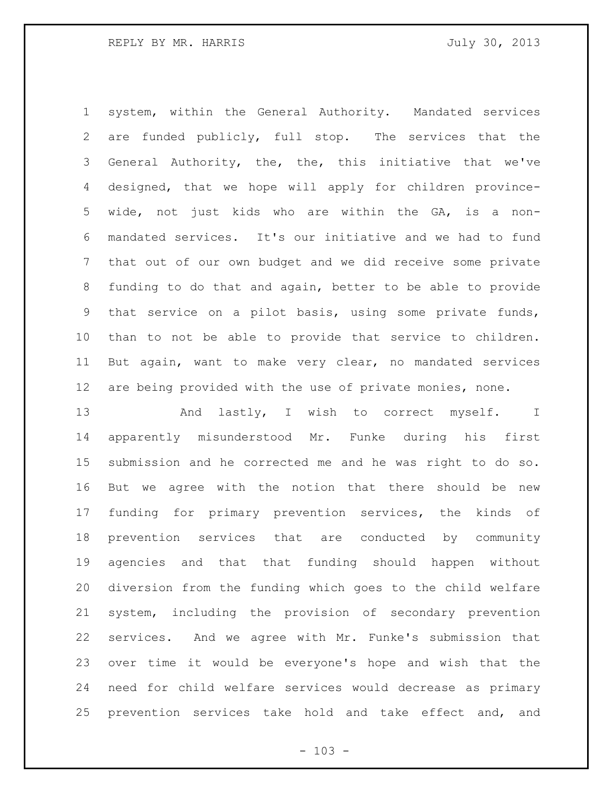system, within the General Authority. Mandated services are funded publicly, full stop. The services that the General Authority, the, the, this initiative that we've designed, that we hope will apply for children province- wide, not just kids who are within the GA, is a non- mandated services. It's our initiative and we had to fund that out of our own budget and we did receive some private funding to do that and again, better to be able to provide that service on a pilot basis, using some private funds, than to not be able to provide that service to children. But again, want to make very clear, no mandated services are being provided with the use of private monies, none.

13 And lastly, I wish to correct myself. I apparently misunderstood Mr. Funke during his first submission and he corrected me and he was right to do so. But we agree with the notion that there should be new funding for primary prevention services, the kinds of prevention services that are conducted by community agencies and that that funding should happen without diversion from the funding which goes to the child welfare system, including the provision of secondary prevention services. And we agree with Mr. Funke's submission that over time it would be everyone's hope and wish that the need for child welfare services would decrease as primary prevention services take hold and take effect and, and

 $- 103 -$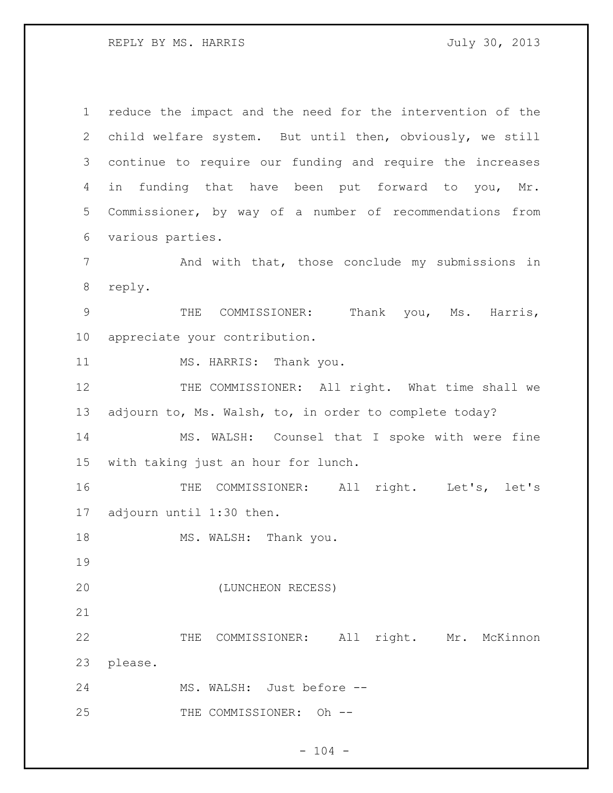REPLY BY MS. HARRIS **FOULD SEE ASSESSED ASSESSED** July 30, 2013

 reduce the impact and the need for the intervention of the child welfare system. But until then, obviously, we still continue to require our funding and require the increases in funding that have been put forward to you, Mr. Commissioner, by way of a number of recommendations from various parties. And with that, those conclude my submissions in reply. THE COMMISSIONER: Thank you, Ms. Harris, appreciate your contribution. 11 MS. HARRIS: Thank you. 12 THE COMMISSIONER: All right. What time shall we adjourn to, Ms. Walsh, to, in order to complete today? MS. WALSH: Counsel that I spoke with were fine with taking just an hour for lunch. THE COMMISSIONER: All right. Let's, let's adjourn until 1:30 then. 18 MS. WALSH: Thank you. (LUNCHEON RECESS) THE COMMISSIONER: All right. Mr. McKinnon please. MS. WALSH: Just before -- 25 THE COMMISSIONER: Oh --

 $- 104 -$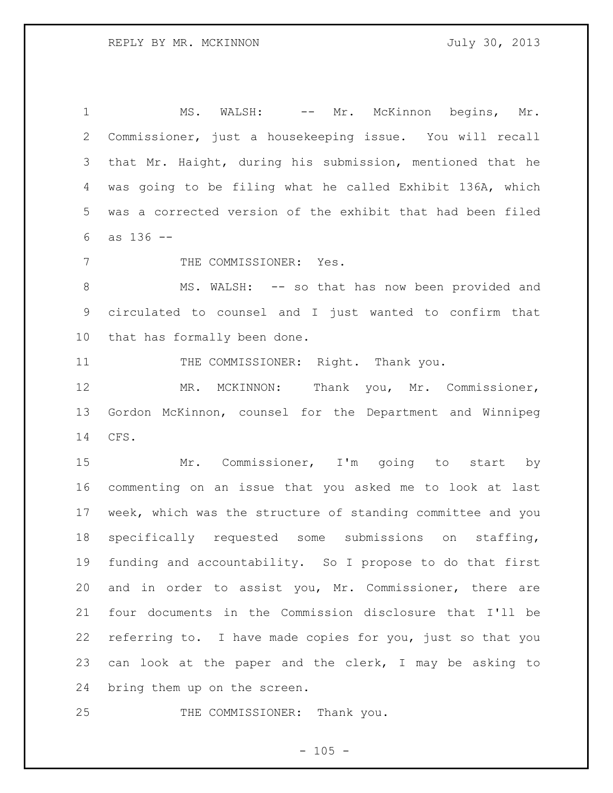1 MS. WALSH: -- Mr. McKinnon begins, Mr. Commissioner, just a housekeeping issue. You will recall that Mr. Haight, during his submission, mentioned that he was going to be filing what he called Exhibit 136A, which was a corrected version of the exhibit that had been filed as 136 --

7 THE COMMISSIONER: Yes.

 MS. WALSH: -- so that has now been provided and circulated to counsel and I just wanted to confirm that that has formally been done.

11 THE COMMISSIONER: Right. Thank you.

 MR. MCKINNON: Thank you, Mr. Commissioner, Gordon McKinnon, counsel for the Department and Winnipeg CFS.

15 Mr. Commissioner, I'm going to start by commenting on an issue that you asked me to look at last week, which was the structure of standing committee and you specifically requested some submissions on staffing, funding and accountability. So I propose to do that first and in order to assist you, Mr. Commissioner, there are four documents in the Commission disclosure that I'll be referring to. I have made copies for you, just so that you can look at the paper and the clerk, I may be asking to bring them up on the screen.

25 THE COMMISSIONER: Thank you.

 $- 105 -$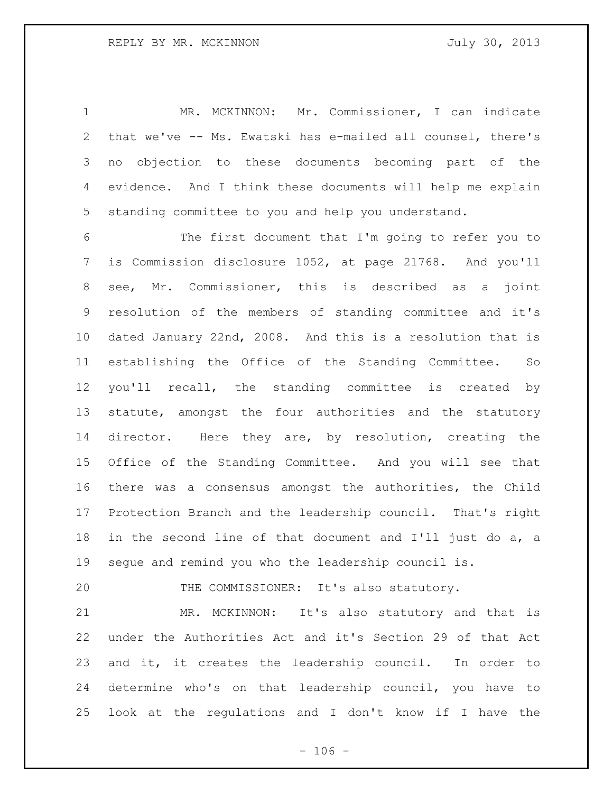MR. MCKINNON: Mr. Commissioner, I can indicate that we've -- Ms. Ewatski has e-mailed all counsel, there's no objection to these documents becoming part of the evidence. And I think these documents will help me explain standing committee to you and help you understand.

 The first document that I'm going to refer you to is Commission disclosure 1052, at page 21768. And you'll see, Mr. Commissioner, this is described as a joint resolution of the members of standing committee and it's dated January 22nd, 2008. And this is a resolution that is establishing the Office of the Standing Committee. So you'll recall, the standing committee is created by statute, amongst the four authorities and the statutory director. Here they are, by resolution, creating the Office of the Standing Committee. And you will see that there was a consensus amongst the authorities, the Child Protection Branch and the leadership council. That's right in the second line of that document and I'll just do a, a segue and remind you who the leadership council is.

THE COMMISSIONER: It's also statutory.

 MR. MCKINNON: It's also statutory and that is under the Authorities Act and it's Section 29 of that Act and it, it creates the leadership council. In order to determine who's on that leadership council, you have to look at the regulations and I don't know if I have the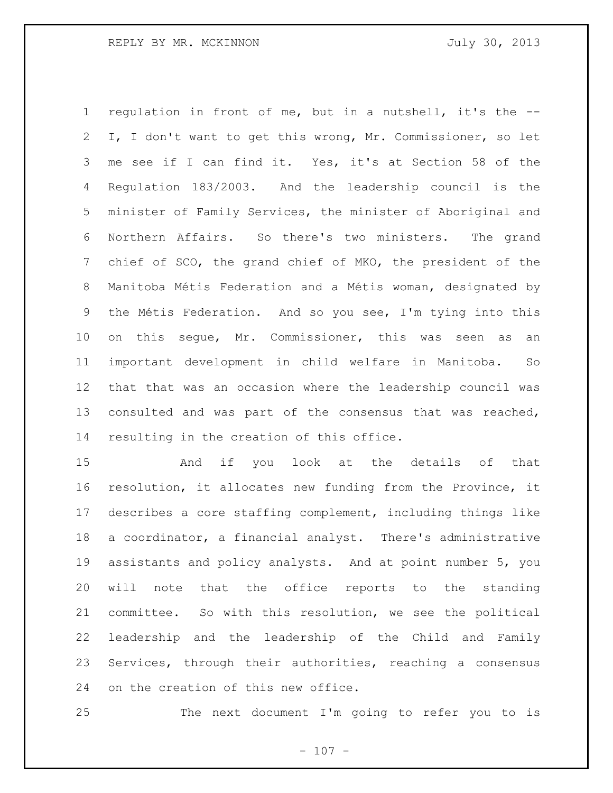regulation in front of me, but in a nutshell, it's the -- I, I don't want to get this wrong, Mr. Commissioner, so let me see if I can find it. Yes, it's at Section 58 of the Regulation 183/2003. And the leadership council is the minister of Family Services, the minister of Aboriginal and Northern Affairs. So there's two ministers. The grand chief of SCO, the grand chief of MKO, the president of the Manitoba Métis Federation and a Métis woman, designated by the Métis Federation. And so you see, I'm tying into this on this segue, Mr. Commissioner, this was seen as an important development in child welfare in Manitoba. So that that was an occasion where the leadership council was consulted and was part of the consensus that was reached, resulting in the creation of this office.

 And if you look at the details of that resolution, it allocates new funding from the Province, it describes a core staffing complement, including things like a coordinator, a financial analyst. There's administrative assistants and policy analysts. And at point number 5, you will note that the office reports to the standing committee. So with this resolution, we see the political leadership and the leadership of the Child and Family Services, through their authorities, reaching a consensus on the creation of this new office.

The next document I'm going to refer you to is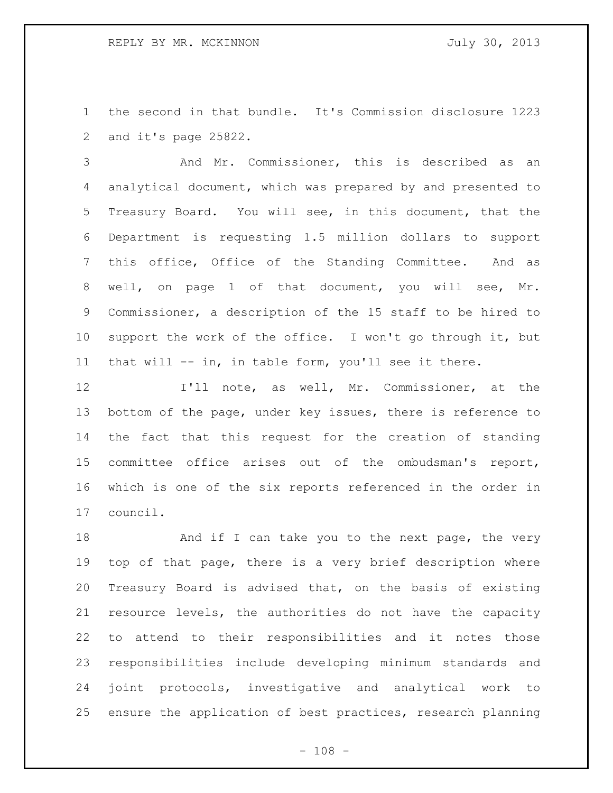the second in that bundle. It's Commission disclosure 1223 and it's page 25822.

 And Mr. Commissioner, this is described as an analytical document, which was prepared by and presented to Treasury Board. You will see, in this document, that the Department is requesting 1.5 million dollars to support this office, Office of the Standing Committee. And as well, on page 1 of that document, you will see, Mr. Commissioner, a description of the 15 staff to be hired to support the work of the office. I won't go through it, but that will -- in, in table form, you'll see it there.

 I'll note, as well, Mr. Commissioner, at the bottom of the page, under key issues, there is reference to the fact that this request for the creation of standing committee office arises out of the ombudsman's report, which is one of the six reports referenced in the order in council.

18 And if I can take you to the next page, the very top of that page, there is a very brief description where Treasury Board is advised that, on the basis of existing resource levels, the authorities do not have the capacity to attend to their responsibilities and it notes those responsibilities include developing minimum standards and joint protocols, investigative and analytical work to ensure the application of best practices, research planning

 $- 108 -$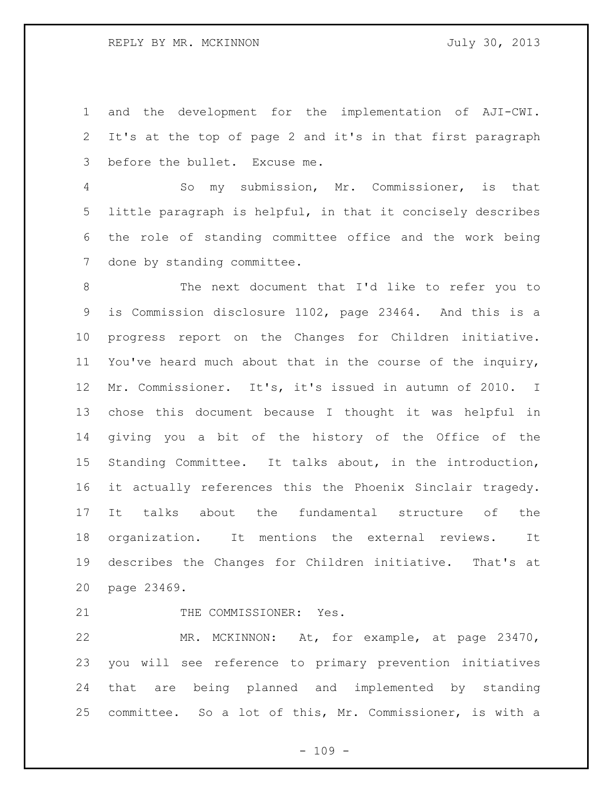and the development for the implementation of AJI-CWI. It's at the top of page 2 and it's in that first paragraph before the bullet. Excuse me.

 So my submission, Mr. Commissioner, is that little paragraph is helpful, in that it concisely describes the role of standing committee office and the work being done by standing committee.

 The next document that I'd like to refer you to is Commission disclosure 1102, page 23464. And this is a progress report on the Changes for Children initiative. You've heard much about that in the course of the inquiry, Mr. Commissioner. It's, it's issued in autumn of 2010. I chose this document because I thought it was helpful in giving you a bit of the history of the Office of the Standing Committee. It talks about, in the introduction, it actually references this the Phoenix Sinclair tragedy. It talks about the fundamental structure of the organization. It mentions the external reviews. It describes the Changes for Children initiative. That's at page 23469.

21 THE COMMISSIONER: Yes.

 MR. MCKINNON: At, for example, at page 23470, you will see reference to primary prevention initiatives that are being planned and implemented by standing committee. So a lot of this, Mr. Commissioner, is with a

 $- 109 -$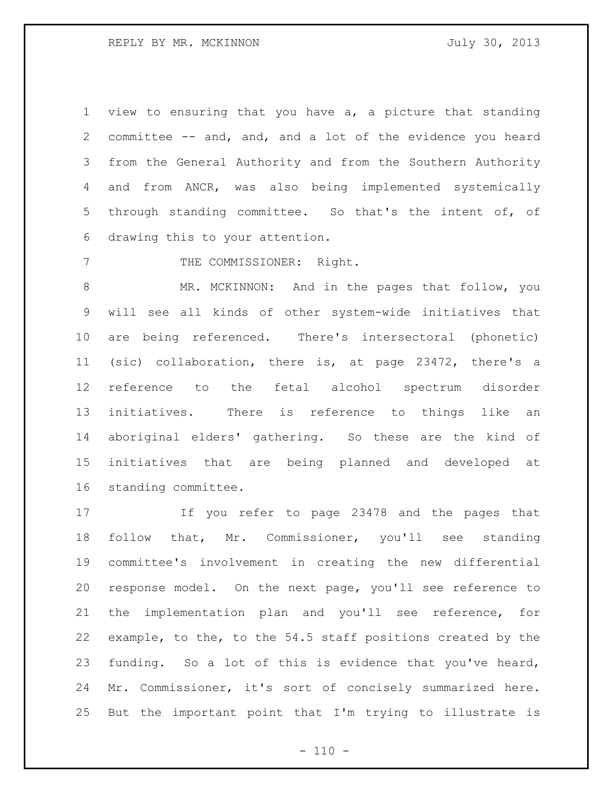view to ensuring that you have a, a picture that standing committee -- and, and, and a lot of the evidence you heard from the General Authority and from the Southern Authority and from ANCR, was also being implemented systemically through standing committee. So that's the intent of, of drawing this to your attention.

7 THE COMMISSIONER: Right.

 MR. MCKINNON: And in the pages that follow, you will see all kinds of other system-wide initiatives that are being referenced. There's intersectoral (phonetic) (sic) collaboration, there is, at page 23472, there's a reference to the fetal alcohol spectrum disorder initiatives. There is reference to things like an aboriginal elders' gathering. So these are the kind of initiatives that are being planned and developed at standing committee.

 If you refer to page 23478 and the pages that follow that, Mr. Commissioner, you'll see standing committee's involvement in creating the new differential response model. On the next page, you'll see reference to the implementation plan and you'll see reference, for example, to the, to the 54.5 staff positions created by the funding. So a lot of this is evidence that you've heard, Mr. Commissioner, it's sort of concisely summarized here. But the important point that I'm trying to illustrate is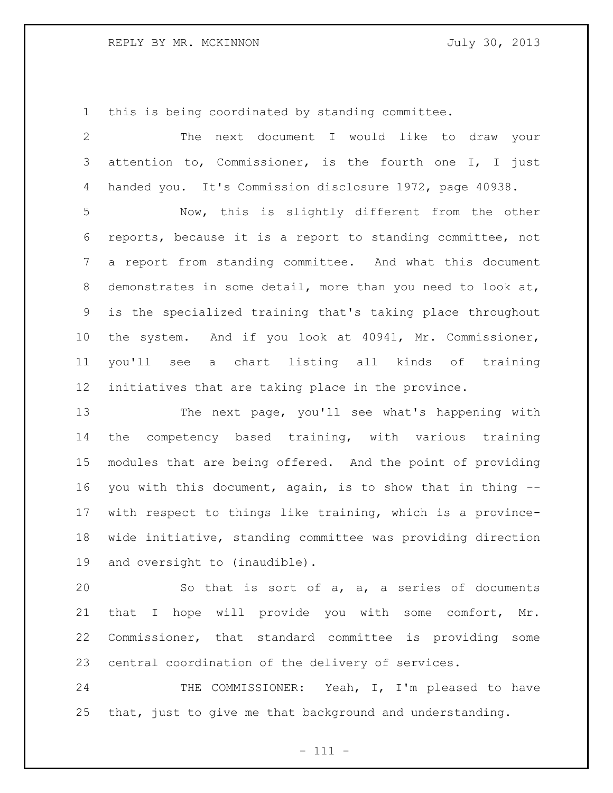## REPLY BY MR. MCKINNON July 30, 2013

this is being coordinated by standing committee.

| 2               | next document I would like to draw your<br>The              |
|-----------------|-------------------------------------------------------------|
| 3               | attention to, Commissioner, is the fourth one I, I just     |
| 4               | handed you. It's Commission disclosure 1972, page 40938.    |
| 5               | Now, this is slightly different from the other              |
| 6               | reports, because it is a report to standing committee, not  |
| $7\phantom{.0}$ | a report from standing committee. And what this document    |
| 8               | demonstrates in some detail, more than you need to look at, |
| 9               | is the specialized training that's taking place throughout  |
| 10 <sub>o</sub> | the system. And if you look at 40941, Mr. Commissioner,     |
| 11              | you'll see a chart listing all kinds of training            |
| 12              | initiatives that are taking place in the province.          |
| 13              | The next page, you'll see what's happening with             |
| 14              | competency based training, with various training<br>the     |
| 15              | modules that are being offered. And the point of providing  |
| 16              | you with this document, again, is to show that in thing --  |
| 17              | with respect to things like training, which is a province-  |
| 18              | wide initiative, standing committee was providing direction |
| 19              | and oversight to (inaudible).                               |
| 20              | So that is sort of a, a, a series of documents              |
| 21              | that I hope will provide you with some comfort, Mr.         |
| 22              | Commissioner, that standard committee is providing<br>some  |
| 23              | central coordination of the delivery of services.           |
| 24              | Yeah, I, I'm pleased to have<br>THE COMMISSIONER:           |

that, just to give me that background and understanding.

- 111 -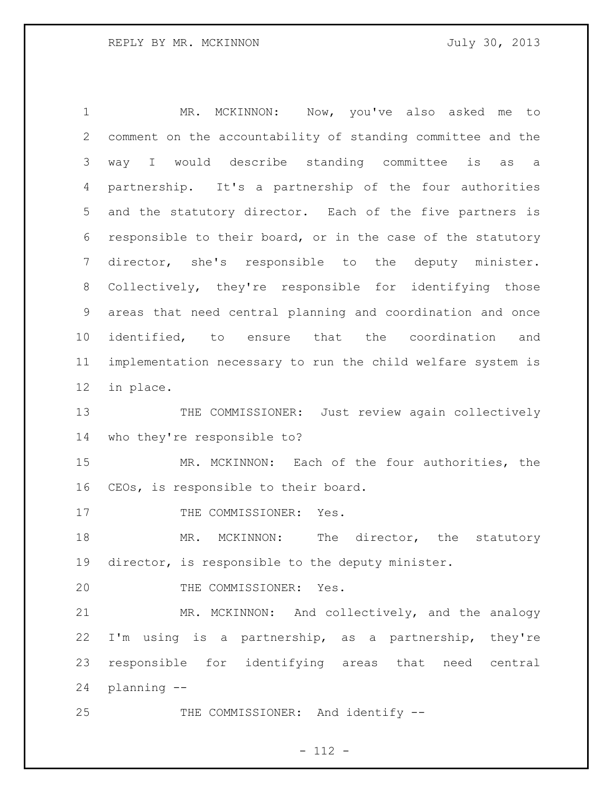1 MR. MCKINNON: Now, you've also asked me to comment on the accountability of standing committee and the way I would describe standing committee is as a partnership. It's a partnership of the four authorities and the statutory director. Each of the five partners is responsible to their board, or in the case of the statutory director, she's responsible to the deputy minister. Collectively, they're responsible for identifying those areas that need central planning and coordination and once identified, to ensure that the coordination and implementation necessary to run the child welfare system is in place. 13 THE COMMISSIONER: Just review again collectively who they're responsible to? MR. MCKINNON: Each of the four authorities, the CEOs, is responsible to their board. 17 THE COMMISSIONER: Yes. 18 MR. MCKINNON: The director, the statutory

director, is responsible to the deputy minister.

20 THE COMMISSIONER: Yes.

 MR. MCKINNON: And collectively, and the analogy I'm using is a partnership, as a partnership, they're responsible for identifying areas that need central planning --

25 THE COMMISSIONER: And identify --

 $- 112 -$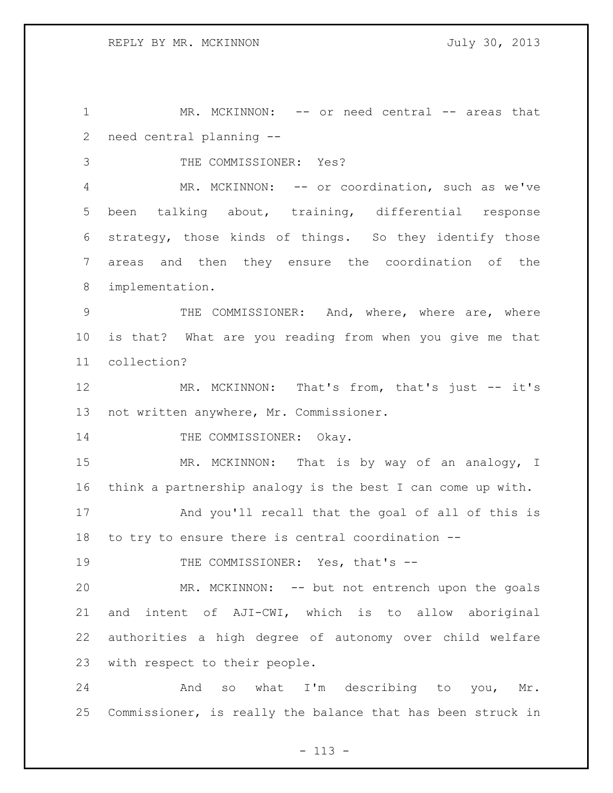1 MR. MCKINNON: -- or need central -- areas that need central planning --

THE COMMISSIONER: Yes?

 MR. MCKINNON: -- or coordination, such as we've been talking about, training, differential response strategy, those kinds of things. So they identify those areas and then they ensure the coordination of the implementation.

 THE COMMISSIONER: And, where, where are, where is that? What are you reading from when you give me that collection?

12 MR. MCKINNON: That's from, that's just -- it's not written anywhere, Mr. Commissioner.

14 THE COMMISSIONER: Okay.

15 MR. MCKINNON: That is by way of an analogy, I think a partnership analogy is the best I can come up with.

 And you'll recall that the goal of all of this is to try to ensure there is central coordination --

19 THE COMMISSIONER: Yes, that's --

 MR. MCKINNON: -- but not entrench upon the goals and intent of AJI-CWI, which is to allow aboriginal authorities a high degree of autonomy over child welfare with respect to their people.

 And so what I'm describing to you, Mr. Commissioner, is really the balance that has been struck in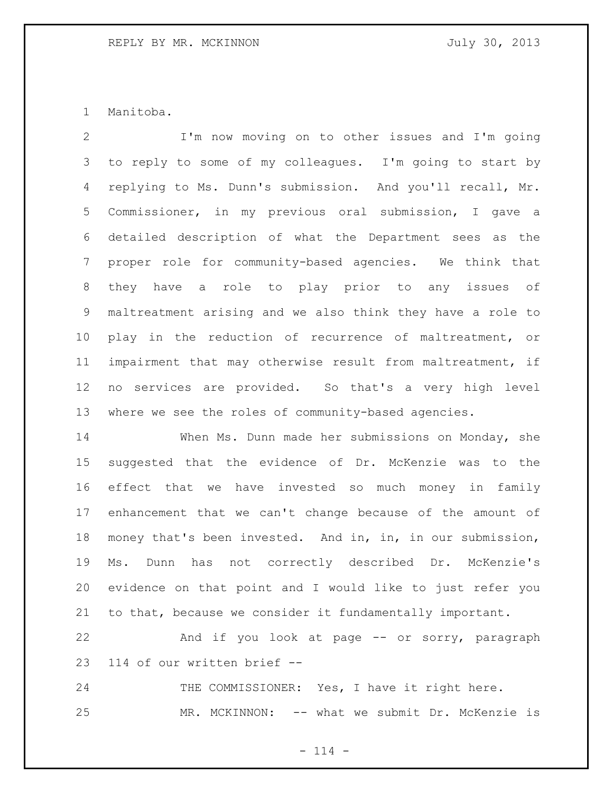Manitoba.

 I'm now moving on to other issues and I'm going to reply to some of my colleagues. I'm going to start by replying to Ms. Dunn's submission. And you'll recall, Mr. Commissioner, in my previous oral submission, I gave a detailed description of what the Department sees as the proper role for community-based agencies. We think that they have a role to play prior to any issues of maltreatment arising and we also think they have a role to play in the reduction of recurrence of maltreatment, or impairment that may otherwise result from maltreatment, if no services are provided. So that's a very high level where we see the roles of community-based agencies.

 When Ms. Dunn made her submissions on Monday, she suggested that the evidence of Dr. McKenzie was to the effect that we have invested so much money in family enhancement that we can't change because of the amount of money that's been invested. And in, in, in our submission, Ms. Dunn has not correctly described Dr. McKenzie's evidence on that point and I would like to just refer you to that, because we consider it fundamentally important.

 And if you look at page -- or sorry, paragraph 114 of our written brief --

24 THE COMMISSIONER: Yes, I have it right here. MR. MCKINNON: -- what we submit Dr. McKenzie is

 $- 114 -$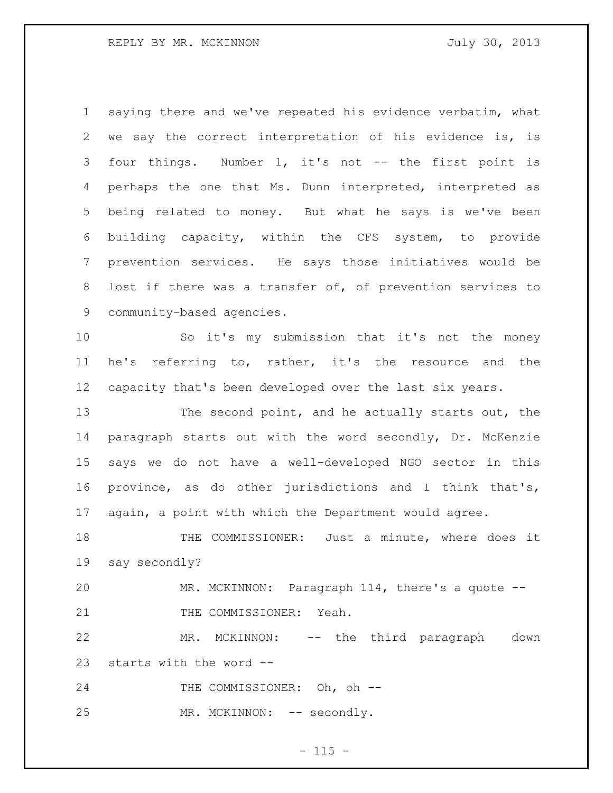saying there and we've repeated his evidence verbatim, what we say the correct interpretation of his evidence is, is four things. Number 1, it's not -- the first point is perhaps the one that Ms. Dunn interpreted, interpreted as being related to money. But what he says is we've been building capacity, within the CFS system, to provide prevention services. He says those initiatives would be lost if there was a transfer of, of prevention services to community-based agencies.

 So it's my submission that it's not the money he's referring to, rather, it's the resource and the capacity that's been developed over the last six years.

 The second point, and he actually starts out, the paragraph starts out with the word secondly, Dr. McKenzie says we do not have a well-developed NGO sector in this province, as do other jurisdictions and I think that's, again, a point with which the Department would agree.

 THE COMMISSIONER: Just a minute, where does it say secondly?

 MR. MCKINNON: Paragraph 114, there's a quote -- 21 THE COMMISSIONER: Yeah.

 MR. MCKINNON: -- the third paragraph down starts with the word --

24 THE COMMISSIONER: Oh, oh --

25 MR. MCKINNON: -- secondly.

 $- 115 -$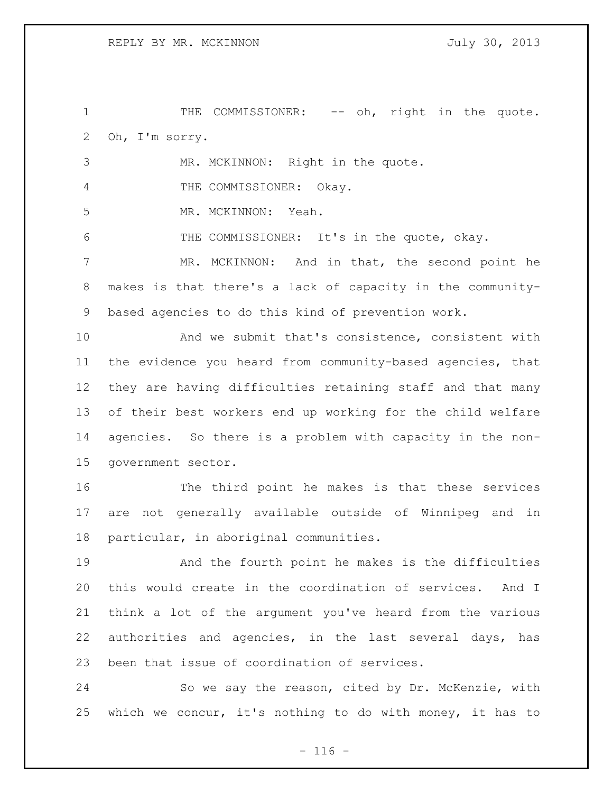1 THE COMMISSIONER: -- oh, right in the quote. Oh, I'm sorry.

 MR. MCKINNON: Right in the quote. 4 THE COMMISSIONER: Okay. MR. MCKINNON: Yeah. THE COMMISSIONER: It's in the quote, okay. MR. MCKINNON: And in that, the second point he makes is that there's a lack of capacity in the community- based agencies to do this kind of prevention work. And we submit that's consistence, consistent with

 the evidence you heard from community-based agencies, that they are having difficulties retaining staff and that many of their best workers end up working for the child welfare agencies. So there is a problem with capacity in the non-government sector.

 The third point he makes is that these services are not generally available outside of Winnipeg and in particular, in aboriginal communities.

 And the fourth point he makes is the difficulties this would create in the coordination of services. And I think a lot of the argument you've heard from the various authorities and agencies, in the last several days, has been that issue of coordination of services.

 So we say the reason, cited by Dr. McKenzie, with which we concur, it's nothing to do with money, it has to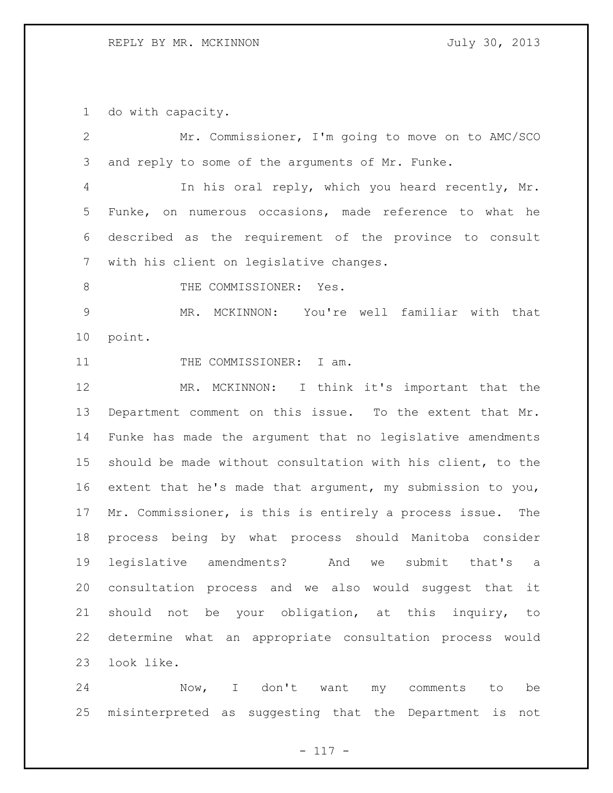do with capacity.

 Mr. Commissioner, I'm going to move on to AMC/SCO and reply to some of the arguments of Mr. Funke. In his oral reply, which you heard recently, Mr. Funke, on numerous occasions, made reference to what he described as the requirement of the province to consult with his client on legislative changes. 8 THE COMMISSIONER: Yes. MR. MCKINNON: You're well familiar with that point. 11 THE COMMISSIONER: I am. 12 MR. MCKINNON: I think it's important that the Department comment on this issue. To the extent that Mr. Funke has made the argument that no legislative amendments should be made without consultation with his client, to the extent that he's made that argument, my submission to you, Mr. Commissioner, is this is entirely a process issue. The process being by what process should Manitoba consider legislative amendments? And we submit that's a consultation process and we also would suggest that it should not be your obligation, at this inquiry, to determine what an appropriate consultation process would look like.

 Now, I don't want my comments to be misinterpreted as suggesting that the Department is not

- 117 -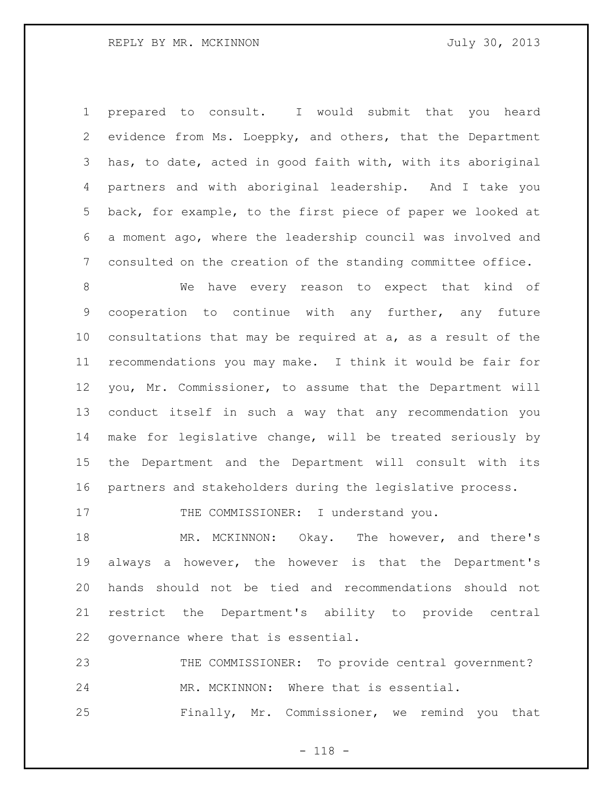prepared to consult. I would submit that you heard evidence from Ms. Loeppky, and others, that the Department has, to date, acted in good faith with, with its aboriginal partners and with aboriginal leadership. And I take you back, for example, to the first piece of paper we looked at a moment ago, where the leadership council was involved and consulted on the creation of the standing committee office.

 We have every reason to expect that kind of cooperation to continue with any further, any future consultations that may be required at a, as a result of the recommendations you may make. I think it would be fair for you, Mr. Commissioner, to assume that the Department will conduct itself in such a way that any recommendation you make for legislative change, will be treated seriously by the Department and the Department will consult with its partners and stakeholders during the legislative process.

17 THE COMMISSIONER: I understand you.

18 MR. MCKINNON: Okay. The however, and there's always a however, the however is that the Department's hands should not be tied and recommendations should not restrict the Department's ability to provide central governance where that is essential.

 THE COMMISSIONER: To provide central government? MR. MCKINNON: Where that is essential. Finally, Mr. Commissioner, we remind you that

- 118 -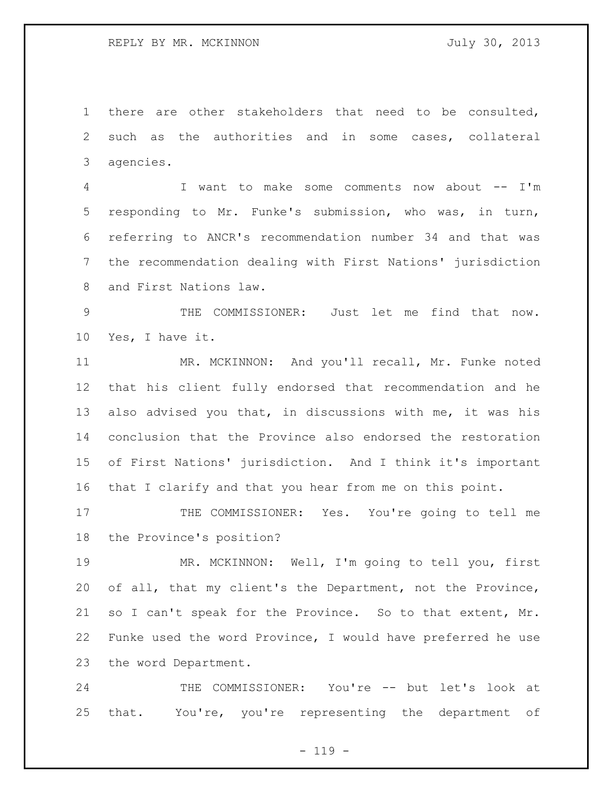there are other stakeholders that need to be consulted, such as the authorities and in some cases, collateral agencies.

 I want to make some comments now about -- I'm responding to Mr. Funke's submission, who was, in turn, referring to ANCR's recommendation number 34 and that was the recommendation dealing with First Nations' jurisdiction and First Nations law.

 THE COMMISSIONER: Just let me find that now. Yes, I have it.

 MR. MCKINNON: And you'll recall, Mr. Funke noted that his client fully endorsed that recommendation and he also advised you that, in discussions with me, it was his conclusion that the Province also endorsed the restoration of First Nations' jurisdiction. And I think it's important that I clarify and that you hear from me on this point.

17 THE COMMISSIONER: Yes. You're going to tell me the Province's position?

 MR. MCKINNON: Well, I'm going to tell you, first of all, that my client's the Department, not the Province, so I can't speak for the Province. So to that extent, Mr. Funke used the word Province, I would have preferred he use the word Department.

 THE COMMISSIONER: You're -- but let's look at that. You're, you're representing the department of

 $- 119 -$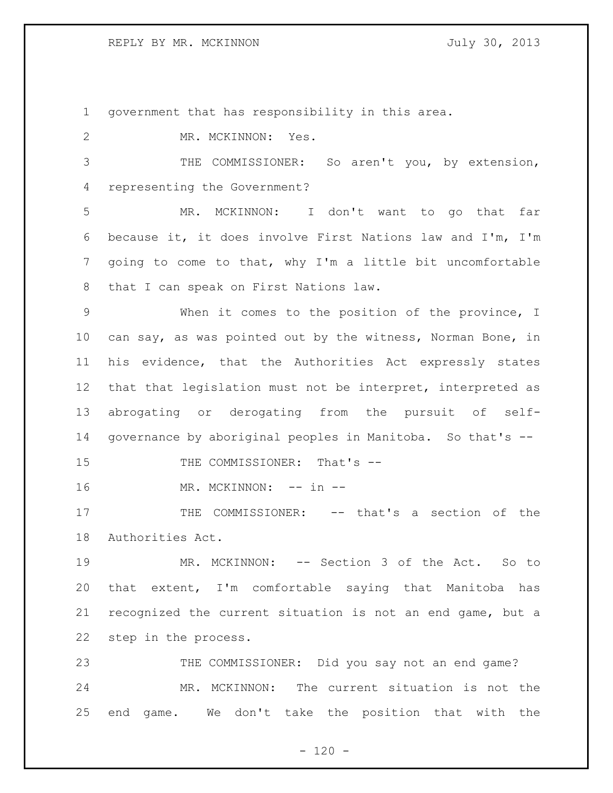REPLY BY MR. MCKINNON JULY 30, 2013

government that has responsibility in this area.

 MR. MCKINNON: Yes. THE COMMISSIONER: So aren't you, by extension, representing the Government? MR. MCKINNON: I don't want to go that far because it, it does involve First Nations law and I'm, I'm going to come to that, why I'm a little bit uncomfortable that I can speak on First Nations law. When it comes to the position of the province, I can say, as was pointed out by the witness, Norman Bone, in his evidence, that the Authorities Act expressly states that that legislation must not be interpret, interpreted as abrogating or derogating from the pursuit of self- governance by aboriginal peoples in Manitoba. So that's -- 15 THE COMMISSIONER: That's --16 MR. MCKINNON: -- in --17 THE COMMISSIONER: -- that's a section of the Authorities Act. MR. MCKINNON: -- Section 3 of the Act. So to that extent, I'm comfortable saying that Manitoba has recognized the current situation is not an end game, but a step in the process. THE COMMISSIONER: Did you say not an end game? MR. MCKINNON: The current situation is not the end game. We don't take the position that with the

 $- 120 -$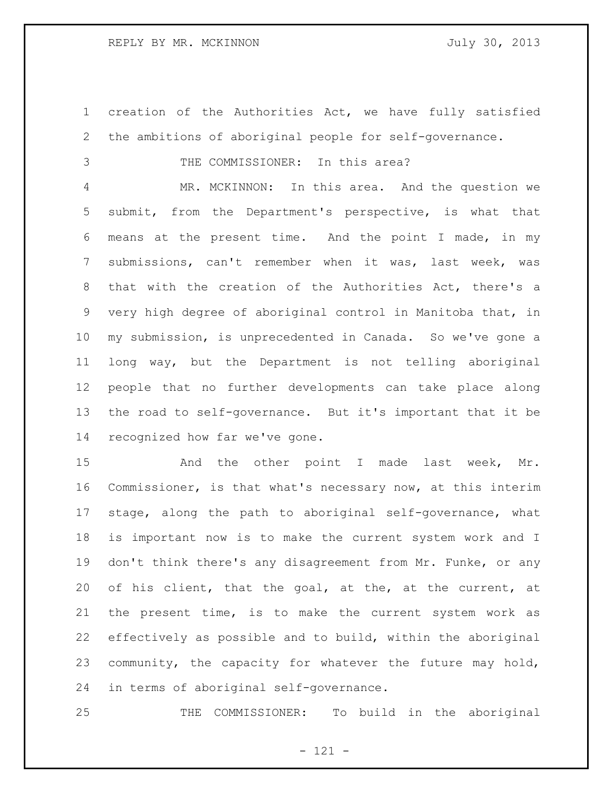creation of the Authorities Act, we have fully satisfied the ambitions of aboriginal people for self-governance.

3 THE COMMISSIONER: In this area?

 MR. MCKINNON: In this area. And the question we submit, from the Department's perspective, is what that means at the present time. And the point I made, in my submissions, can't remember when it was, last week, was that with the creation of the Authorities Act, there's a very high degree of aboriginal control in Manitoba that, in my submission, is unprecedented in Canada. So we've gone a long way, but the Department is not telling aboriginal people that no further developments can take place along the road to self-governance. But it's important that it be recognized how far we've gone.

15 And the other point I made last week, Mr. Commissioner, is that what's necessary now, at this interim stage, along the path to aboriginal self-governance, what is important now is to make the current system work and I don't think there's any disagreement from Mr. Funke, or any of his client, that the goal, at the, at the current, at the present time, is to make the current system work as effectively as possible and to build, within the aboriginal community, the capacity for whatever the future may hold, in terms of aboriginal self-governance.

THE COMMISSIONER: To build in the aboriginal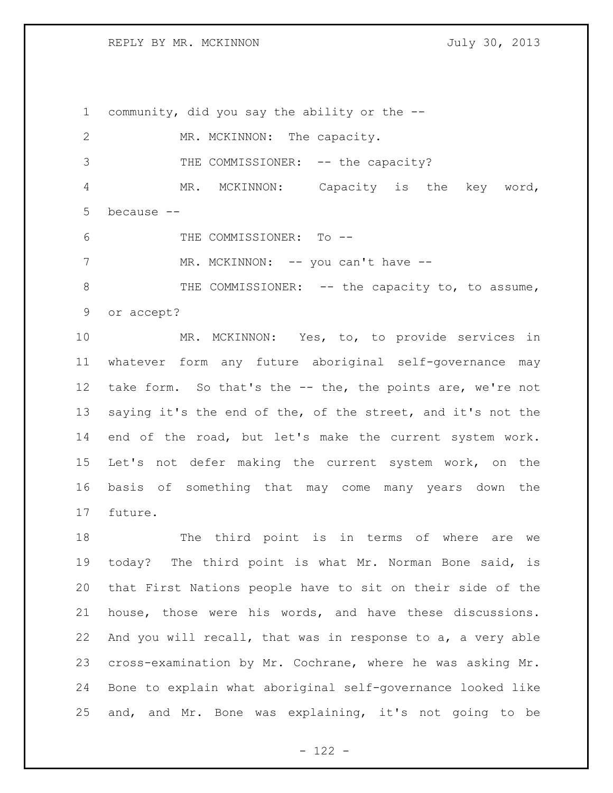REPLY BY MR. MCKINNON JULY 30, 2013

future.

 community, did you say the ability or the -- 2 MR. MCKINNON: The capacity. 3 THE COMMISSIONER: -- the capacity? MR. MCKINNON: Capacity is the key word, because -- THE COMMISSIONER: To -- 7 MR. MCKINNON: -- you can't have --8 THE COMMISSIONER: -- the capacity to, to assume, or accept? MR. MCKINNON: Yes, to, to provide services in whatever form any future aboriginal self-governance may 12 take form. So that's the -- the, the points are, we're not saying it's the end of the, of the street, and it's not the end of the road, but let's make the current system work. Let's not defer making the current system work, on the basis of something that may come many years down the

 The third point is in terms of where are we today? The third point is what Mr. Norman Bone said, is that First Nations people have to sit on their side of the house, those were his words, and have these discussions. And you will recall, that was in response to a, a very able cross-examination by Mr. Cochrane, where he was asking Mr. Bone to explain what aboriginal self-governance looked like and, and Mr. Bone was explaining, it's not going to be

 $- 122 -$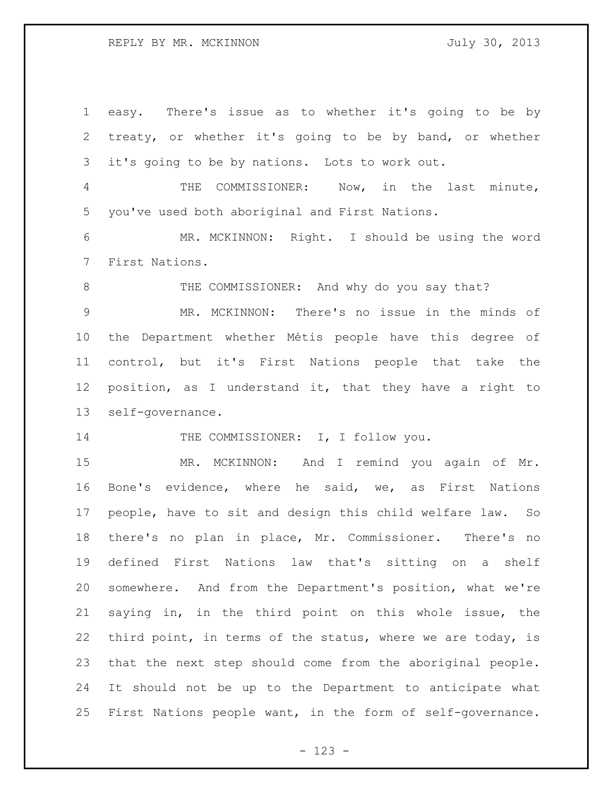easy. There's issue as to whether it's going to be by treaty, or whether it's going to be by band, or whether it's going to be by nations. Lots to work out. THE COMMISSIONER: Now, in the last minute, you've used both aboriginal and First Nations. MR. MCKINNON: Right. I should be using the word First Nations. 8 THE COMMISSIONER: And why do you say that? MR. MCKINNON: There's no issue in the minds of the Department whether Métis people have this degree of control, but it's First Nations people that take the position, as I understand it, that they have a right to self-governance. 14 THE COMMISSIONER: I, I follow you. MR. MCKINNON: And I remind you again of Mr. Bone's evidence, where he said, we, as First Nations people, have to sit and design this child welfare law. So there's no plan in place, Mr. Commissioner. There's no defined First Nations law that's sitting on a shelf somewhere. And from the Department's position, what we're saying in, in the third point on this whole issue, the third point, in terms of the status, where we are today, is that the next step should come from the aboriginal people. It should not be up to the Department to anticipate what First Nations people want, in the form of self-governance.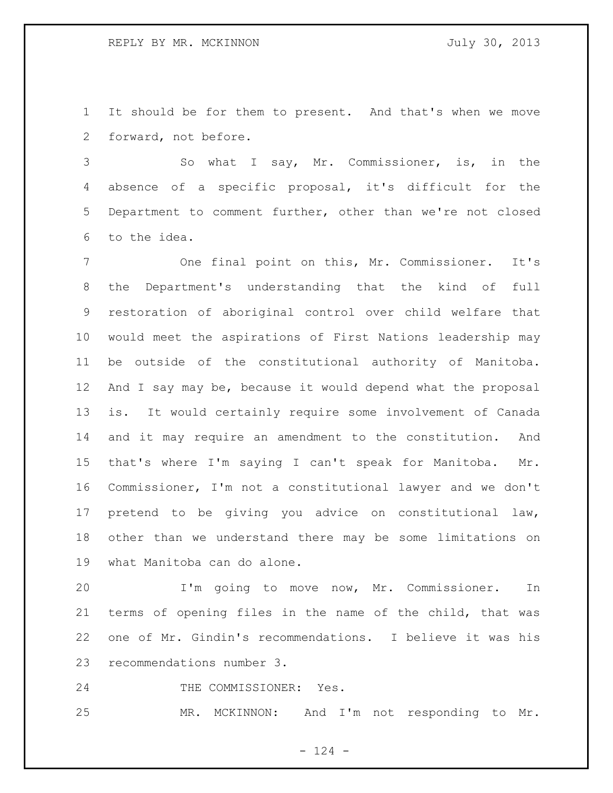It should be for them to present. And that's when we move forward, not before.

 So what I say, Mr. Commissioner, is, in the absence of a specific proposal, it's difficult for the Department to comment further, other than we're not closed to the idea.

 One final point on this, Mr. Commissioner. It's the Department's understanding that the kind of full restoration of aboriginal control over child welfare that would meet the aspirations of First Nations leadership may be outside of the constitutional authority of Manitoba. And I say may be, because it would depend what the proposal is. It would certainly require some involvement of Canada and it may require an amendment to the constitution. And that's where I'm saying I can't speak for Manitoba. Mr. Commissioner, I'm not a constitutional lawyer and we don't pretend to be giving you advice on constitutional law, other than we understand there may be some limitations on what Manitoba can do alone.

 I'm going to move now, Mr. Commissioner. In terms of opening files in the name of the child, that was one of Mr. Gindin's recommendations. I believe it was his recommendations number 3.

24 THE COMMISSIONER: Yes.

MR. MCKINNON: And I'm not responding to Mr.

 $- 124 -$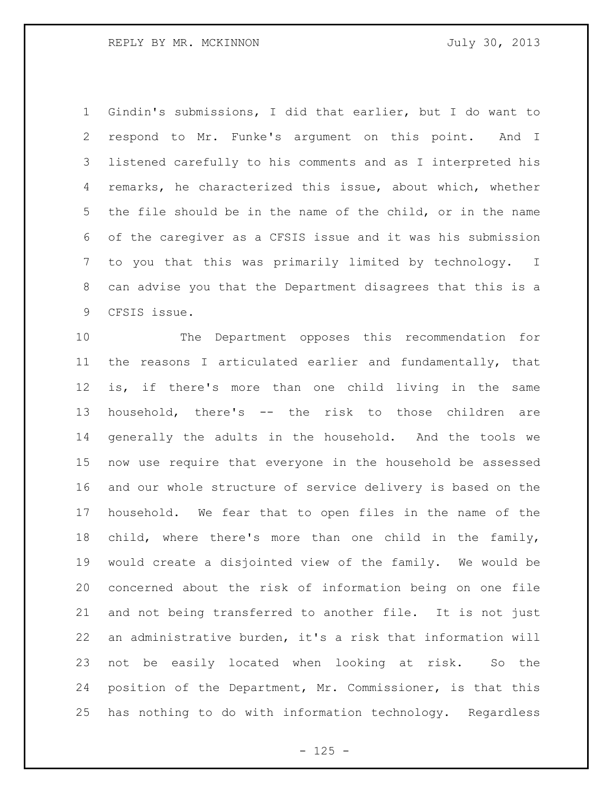Gindin's submissions, I did that earlier, but I do want to respond to Mr. Funke's argument on this point. And I listened carefully to his comments and as I interpreted his remarks, he characterized this issue, about which, whether the file should be in the name of the child, or in the name of the caregiver as a CFSIS issue and it was his submission to you that this was primarily limited by technology. I can advise you that the Department disagrees that this is a CFSIS issue.

 The Department opposes this recommendation for the reasons I articulated earlier and fundamentally, that is, if there's more than one child living in the same household, there's -- the risk to those children are generally the adults in the household. And the tools we now use require that everyone in the household be assessed and our whole structure of service delivery is based on the household. We fear that to open files in the name of the child, where there's more than one child in the family, would create a disjointed view of the family. We would be concerned about the risk of information being on one file and not being transferred to another file. It is not just an administrative burden, it's a risk that information will not be easily located when looking at risk. So the position of the Department, Mr. Commissioner, is that this has nothing to do with information technology. Regardless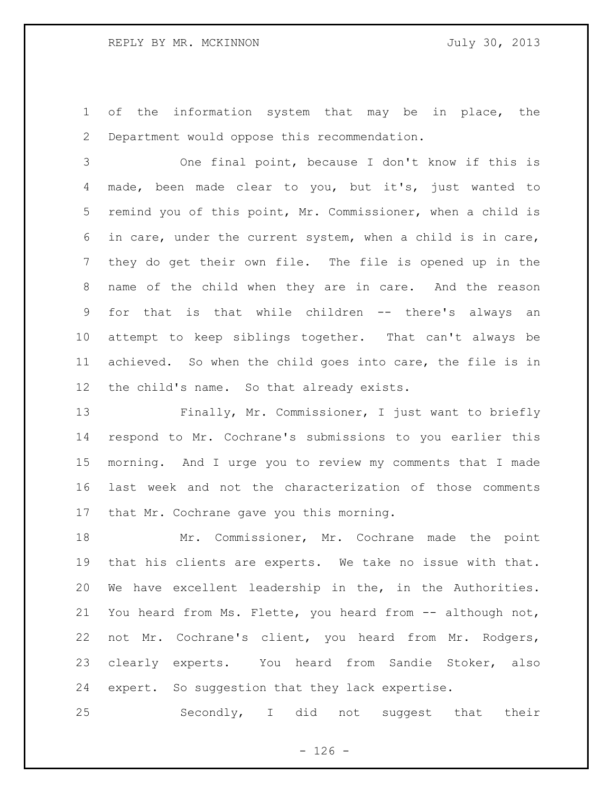of the information system that may be in place, the Department would oppose this recommendation.

 One final point, because I don't know if this is made, been made clear to you, but it's, just wanted to remind you of this point, Mr. Commissioner, when a child is in care, under the current system, when a child is in care, they do get their own file. The file is opened up in the name of the child when they are in care. And the reason for that is that while children -- there's always an attempt to keep siblings together. That can't always be achieved. So when the child goes into care, the file is in the child's name. So that already exists.

 Finally, Mr. Commissioner, I just want to briefly respond to Mr. Cochrane's submissions to you earlier this morning. And I urge you to review my comments that I made last week and not the characterization of those comments that Mr. Cochrane gave you this morning.

 Mr. Commissioner, Mr. Cochrane made the point that his clients are experts. We take no issue with that. We have excellent leadership in the, in the Authorities. You heard from Ms. Flette, you heard from -- although not, not Mr. Cochrane's client, you heard from Mr. Rodgers, clearly experts. You heard from Sandie Stoker, also expert. So suggestion that they lack expertise.

Secondly, I did not suggest that their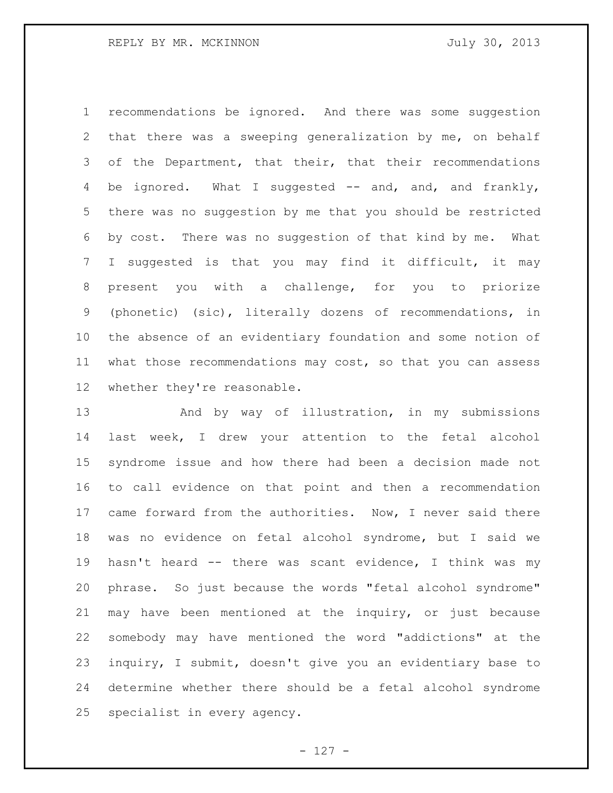recommendations be ignored. And there was some suggestion that there was a sweeping generalization by me, on behalf 3 of the Department, that their, that their recommendations 4 be ignored. What I suggested -- and, and, and frankly, there was no suggestion by me that you should be restricted by cost. There was no suggestion of that kind by me. What I suggested is that you may find it difficult, it may present you with a challenge, for you to priorize (phonetic) (sic), literally dozens of recommendations, in the absence of an evidentiary foundation and some notion of what those recommendations may cost, so that you can assess whether they're reasonable.

 And by way of illustration, in my submissions last week, I drew your attention to the fetal alcohol syndrome issue and how there had been a decision made not to call evidence on that point and then a recommendation 17 came forward from the authorities. Now, I never said there was no evidence on fetal alcohol syndrome, but I said we hasn't heard -- there was scant evidence, I think was my phrase. So just because the words "fetal alcohol syndrome" may have been mentioned at the inquiry, or just because somebody may have mentioned the word "addictions" at the inquiry, I submit, doesn't give you an evidentiary base to determine whether there should be a fetal alcohol syndrome specialist in every agency.

- 127 -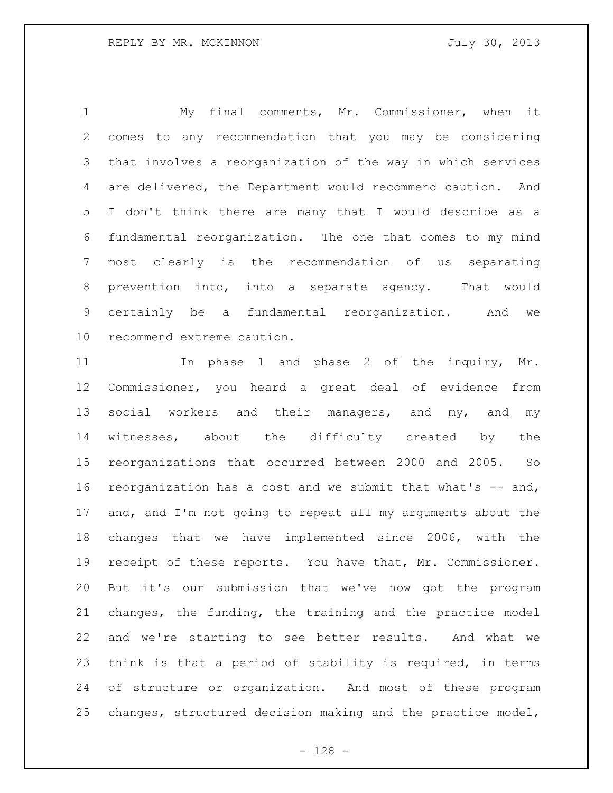My final comments, Mr. Commissioner, when it comes to any recommendation that you may be considering that involves a reorganization of the way in which services are delivered, the Department would recommend caution. And I don't think there are many that I would describe as a fundamental reorganization. The one that comes to my mind most clearly is the recommendation of us separating prevention into, into a separate agency. That would certainly be a fundamental reorganization. And we recommend extreme caution.

11 11 In phase 1 and phase 2 of the inquiry, Mr. Commissioner, you heard a great deal of evidence from 13 social workers and their managers, and my, and my witnesses, about the difficulty created by the reorganizations that occurred between 2000 and 2005. So reorganization has a cost and we submit that what's -- and, and, and I'm not going to repeat all my arguments about the changes that we have implemented since 2006, with the receipt of these reports. You have that, Mr. Commissioner. But it's our submission that we've now got the program changes, the funding, the training and the practice model and we're starting to see better results. And what we think is that a period of stability is required, in terms of structure or organization. And most of these program changes, structured decision making and the practice model,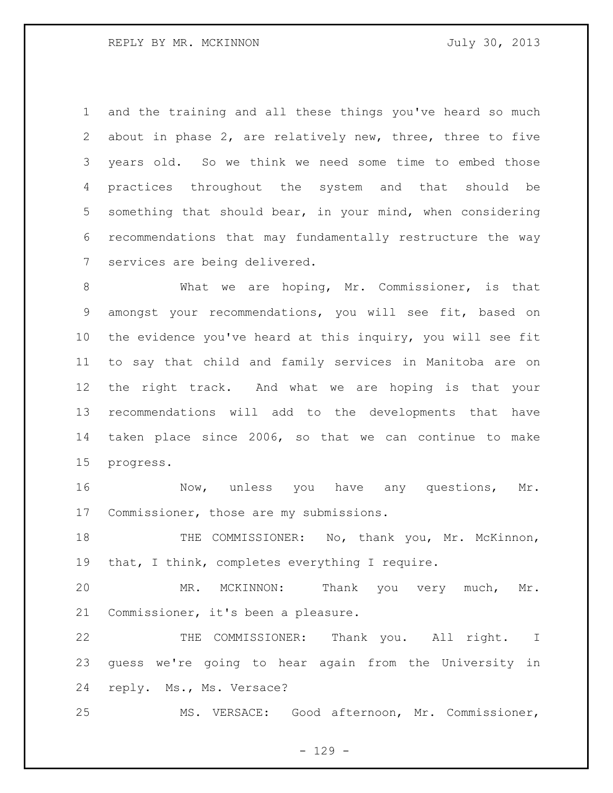and the training and all these things you've heard so much about in phase 2, are relatively new, three, three to five years old. So we think we need some time to embed those practices throughout the system and that should be something that should bear, in your mind, when considering recommendations that may fundamentally restructure the way services are being delivered.

 What we are hoping, Mr. Commissioner, is that amongst your recommendations, you will see fit, based on the evidence you've heard at this inquiry, you will see fit to say that child and family services in Manitoba are on the right track. And what we are hoping is that your recommendations will add to the developments that have taken place since 2006, so that we can continue to make progress.

16 Mow, unless you have any questions, Mr. Commissioner, those are my submissions.

18 THE COMMISSIONER: No, thank you, Mr. McKinnon, 19 that, I think, completes everything I require.

 MR. MCKINNON: Thank you very much, Mr. Commissioner, it's been a pleasure.

 THE COMMISSIONER: Thank you. All right. I guess we're going to hear again from the University in reply. Ms., Ms. Versace?

MS. VERSACE: Good afternoon, Mr. Commissioner,

 $- 129 -$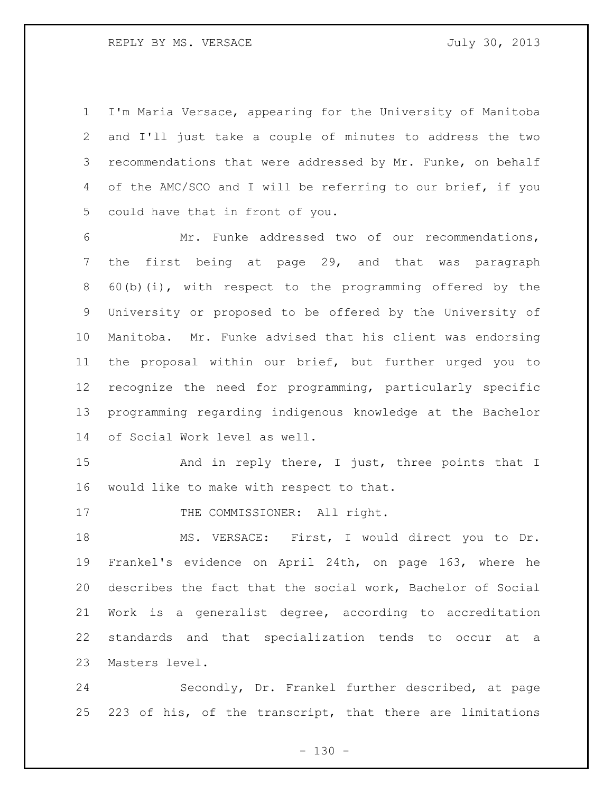I'm Maria Versace, appearing for the University of Manitoba and I'll just take a couple of minutes to address the two 3 recommendations that were addressed by Mr. Funke, on behalf of the AMC/SCO and I will be referring to our brief, if you could have that in front of you.

 Mr. Funke addressed two of our recommendations, the first being at page 29, and that was paragraph 60(b)(i), with respect to the programming offered by the University or proposed to be offered by the University of Manitoba. Mr. Funke advised that his client was endorsing the proposal within our brief, but further urged you to recognize the need for programming, particularly specific programming regarding indigenous knowledge at the Bachelor of Social Work level as well.

15 And in reply there, I just, three points that I would like to make with respect to that.

17 THE COMMISSIONER: All right.

 MS. VERSACE: First, I would direct you to Dr. Frankel's evidence on April 24th, on page 163, where he describes the fact that the social work, Bachelor of Social Work is a generalist degree, according to accreditation standards and that specialization tends to occur at a Masters level.

 Secondly, Dr. Frankel further described, at page 223 of his, of the transcript, that there are limitations

 $- 130 -$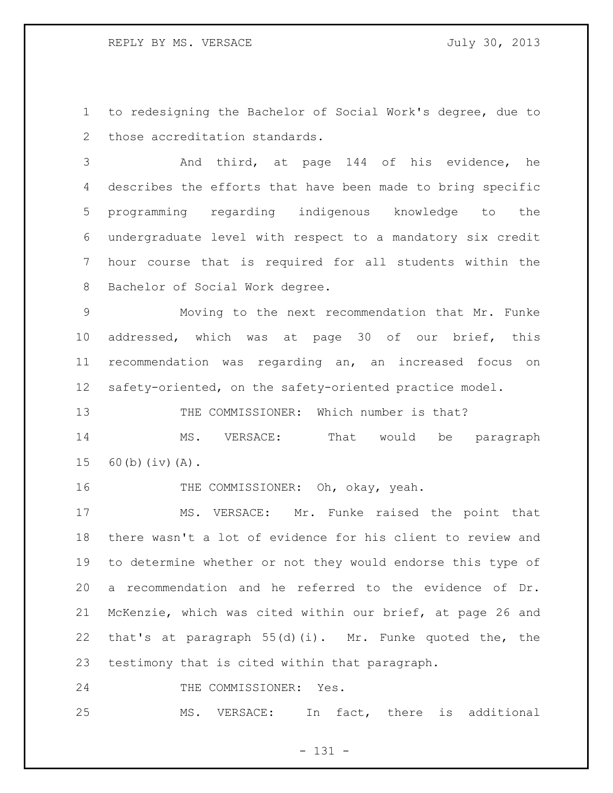to redesigning the Bachelor of Social Work's degree, due to those accreditation standards.

 And third, at page 144 of his evidence, he describes the efforts that have been made to bring specific programming regarding indigenous knowledge to the undergraduate level with respect to a mandatory six credit hour course that is required for all students within the Bachelor of Social Work degree.

 Moving to the next recommendation that Mr. Funke addressed, which was at page 30 of our brief, this recommendation was regarding an, an increased focus on safety-oriented, on the safety-oriented practice model.

THE COMMISSIONER: Which number is that?

14 MS. VERSACE: That would be paragraph 60(b)(iv)(A).

16 THE COMMISSIONER: Oh, okay, yeah.

 MS. VERSACE: Mr. Funke raised the point that there wasn't a lot of evidence for his client to review and to determine whether or not they would endorse this type of a recommendation and he referred to the evidence of Dr. McKenzie, which was cited within our brief, at page 26 and that's at paragraph 55(d)(i). Mr. Funke quoted the, the testimony that is cited within that paragraph.

24 THE COMMISSIONER: Yes.

MS. VERSACE: In fact, there is additional

- 131 -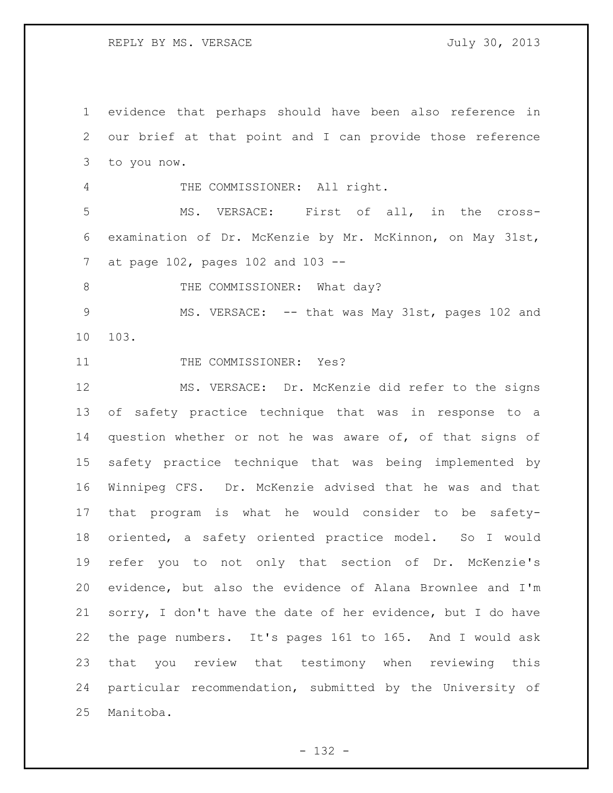evidence that perhaps should have been also reference in our brief at that point and I can provide those reference to you now. THE COMMISSIONER: All right. MS. VERSACE: First of all, in the cross- examination of Dr. McKenzie by Mr. McKinnon, on May 31st, at page 102, pages 102 and 103 -- 8 THE COMMISSIONER: What day? 9 MS. VERSACE: -- that was May 31st, pages 102 and 103. 11 THE COMMISSIONER: Yes? MS. VERSACE: Dr. McKenzie did refer to the signs of safety practice technique that was in response to a question whether or not he was aware of, of that signs of safety practice technique that was being implemented by Winnipeg CFS. Dr. McKenzie advised that he was and that that program is what he would consider to be safety- oriented, a safety oriented practice model. So I would refer you to not only that section of Dr. McKenzie's evidence, but also the evidence of Alana Brownlee and I'm sorry, I don't have the date of her evidence, but I do have the page numbers. It's pages 161 to 165. And I would ask that you review that testimony when reviewing this particular recommendation, submitted by the University of Manitoba.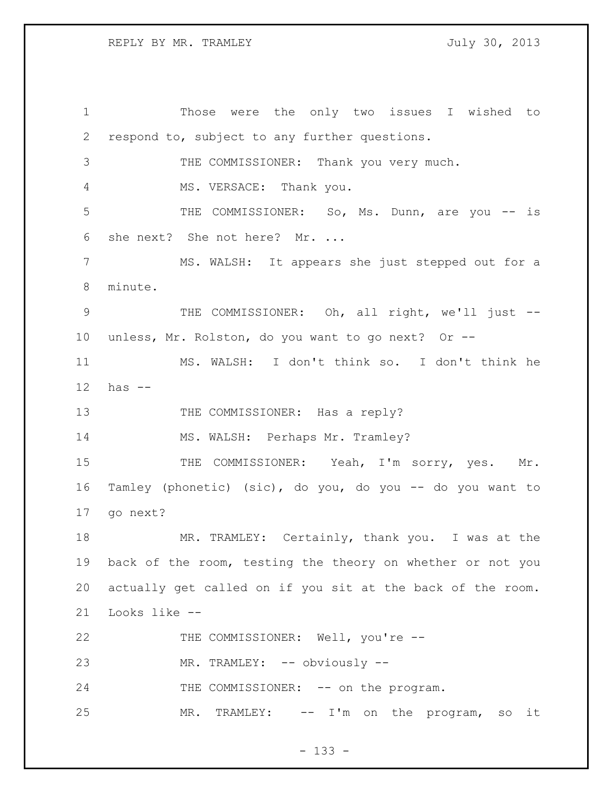Those were the only two issues I wished to respond to, subject to any further questions. THE COMMISSIONER: Thank you very much. MS. VERSACE: Thank you. THE COMMISSIONER: So, Ms. Dunn, are you -- is she next? She not here? Mr. ... MS. WALSH: It appears she just stepped out for a minute. THE COMMISSIONER: Oh, all right, we'll just -- unless, Mr. Rolston, do you want to go next? Or -- MS. WALSH: I don't think so. I don't think he has -- 13 THE COMMISSIONER: Has a reply? 14 MS. WALSH: Perhaps Mr. Tramley? 15 THE COMMISSIONER: Yeah, I'm sorry, yes. Mr. Tamley (phonetic) (sic), do you, do you -- do you want to go next? MR. TRAMLEY: Certainly, thank you. I was at the back of the room, testing the theory on whether or not you actually get called on if you sit at the back of the room. Looks like -- 22 THE COMMISSIONER: Well, you're --23 MR. TRAMLEY: -- obviously --24 THE COMMISSIONER: -- on the program. MR. TRAMLEY: -- I'm on the program, so it

- 133 -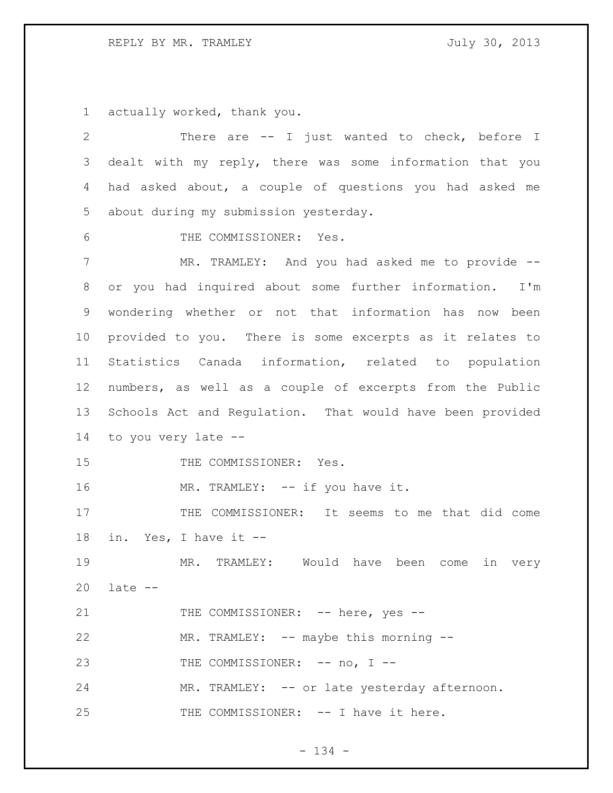## REPLY BY MR. TRAMLEY July 30, 2013

actually worked, thank you.

| 2  | There are -- I just wanted to check, before I             |
|----|-----------------------------------------------------------|
| 3  | dealt with my reply, there was some information that you  |
| 4  | had asked about, a couple of questions you had asked me   |
| 5  | about during my submission yesterday.                     |
| 6  | THE COMMISSIONER: Yes.                                    |
| 7  | MR. TRAMLEY: And you had asked me to provide --           |
| 8  | or you had inquired about some further information. I'm   |
| 9  | wondering whether or not that information has now been    |
| 10 | provided to you. There is some excerpts as it relates to  |
| 11 | Statistics Canada information, related to population      |
| 12 | numbers, as well as a couple of excerpts from the Public  |
| 13 | Schools Act and Regulation. That would have been provided |
| 14 | to you very late --                                       |
| 15 | THE COMMISSIONER: Yes.                                    |
| 16 | MR. TRAMLEY: -- if you have it.                           |
| 17 | THE COMMISSIONER: It seems to me that did come            |
| 18 | in. Yes, I have it --                                     |
| 19 | MR.<br>TRAMLEY: Would have been<br>in very<br>come        |
| 20 | $late - -$                                                |
| 21 | THE COMMISSIONER: -- here, yes --                         |
| 22 | MR. TRAMLEY: -- maybe this morning --                     |
| 23 | THE COMMISSIONER: -- no, I --                             |
| 24 | MR. TRAMLEY: -- or late yesterday afternoon.              |
| 25 | THE COMMISSIONER: -- I have it here.                      |
|    |                                                           |

- 134 -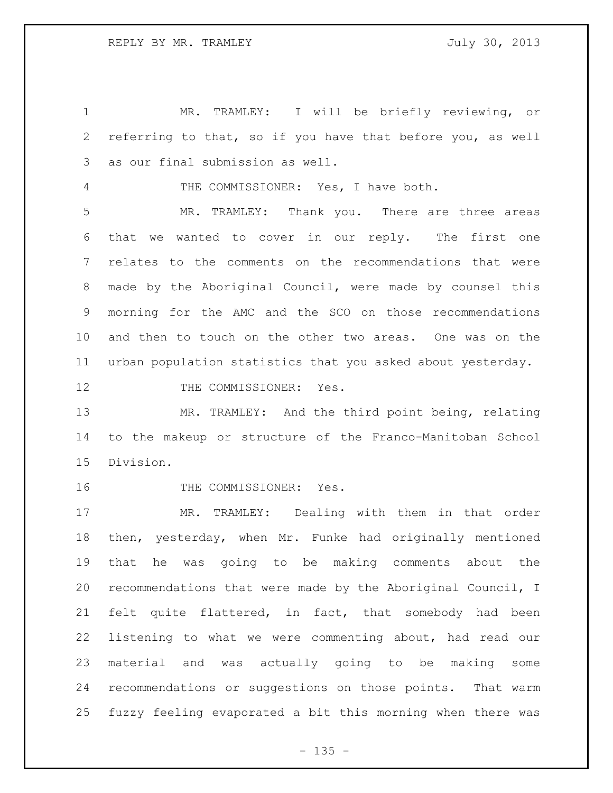MR. TRAMLEY: I will be briefly reviewing, or referring to that, so if you have that before you, as well as our final submission as well. THE COMMISSIONER: Yes, I have both. MR. TRAMLEY: Thank you. There are three areas that we wanted to cover in our reply. The first one relates to the comments on the recommendations that were made by the Aboriginal Council, were made by counsel this morning for the AMC and the SCO on those recommendations and then to touch on the other two areas. One was on the urban population statistics that you asked about yesterday. 12 THE COMMISSIONER: Yes. MR. TRAMLEY: And the third point being, relating to the makeup or structure of the Franco-Manitoban School Division.

16 THE COMMISSIONER: Yes.

 MR. TRAMLEY: Dealing with them in that order then, yesterday, when Mr. Funke had originally mentioned that he was going to be making comments about the recommendations that were made by the Aboriginal Council, I felt quite flattered, in fact, that somebody had been listening to what we were commenting about, had read our material and was actually going to be making some recommendations or suggestions on those points. That warm fuzzy feeling evaporated a bit this morning when there was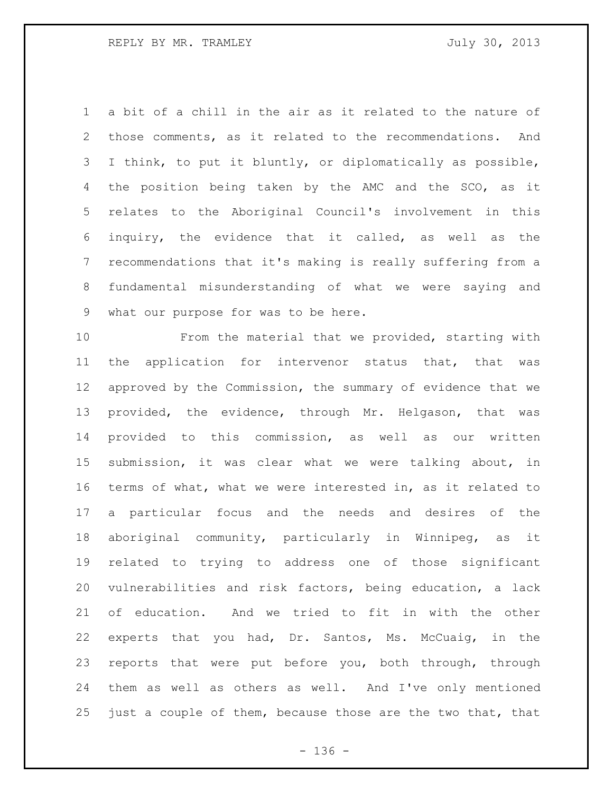a bit of a chill in the air as it related to the nature of those comments, as it related to the recommendations. And I think, to put it bluntly, or diplomatically as possible, the position being taken by the AMC and the SCO, as it relates to the Aboriginal Council's involvement in this inquiry, the evidence that it called, as well as the recommendations that it's making is really suffering from a fundamental misunderstanding of what we were saying and what our purpose for was to be here.

 From the material that we provided, starting with the application for intervenor status that, that was approved by the Commission, the summary of evidence that we provided, the evidence, through Mr. Helgason, that was provided to this commission, as well as our written submission, it was clear what we were talking about, in terms of what, what we were interested in, as it related to a particular focus and the needs and desires of the aboriginal community, particularly in Winnipeg, as it related to trying to address one of those significant vulnerabilities and risk factors, being education, a lack of education. And we tried to fit in with the other experts that you had, Dr. Santos, Ms. McCuaig, in the reports that were put before you, both through, through them as well as others as well. And I've only mentioned just a couple of them, because those are the two that, that

- 136 -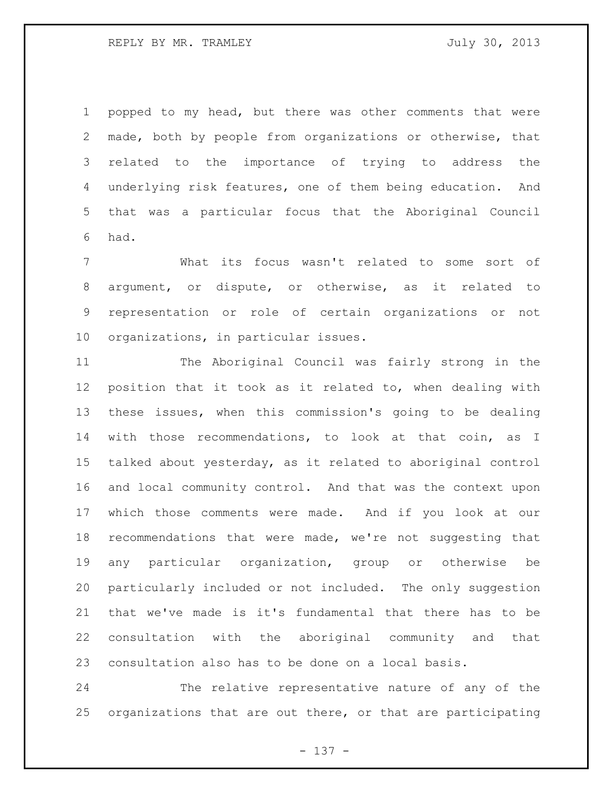popped to my head, but there was other comments that were made, both by people from organizations or otherwise, that related to the importance of trying to address the underlying risk features, one of them being education. And that was a particular focus that the Aboriginal Council had.

 What its focus wasn't related to some sort of argument, or dispute, or otherwise, as it related to representation or role of certain organizations or not organizations, in particular issues.

 The Aboriginal Council was fairly strong in the position that it took as it related to, when dealing with these issues, when this commission's going to be dealing with those recommendations, to look at that coin, as I talked about yesterday, as it related to aboriginal control and local community control. And that was the context upon which those comments were made. And if you look at our recommendations that were made, we're not suggesting that any particular organization, group or otherwise be particularly included or not included. The only suggestion that we've made is it's fundamental that there has to be consultation with the aboriginal community and that consultation also has to be done on a local basis.

 The relative representative nature of any of the organizations that are out there, or that are participating

- 137 -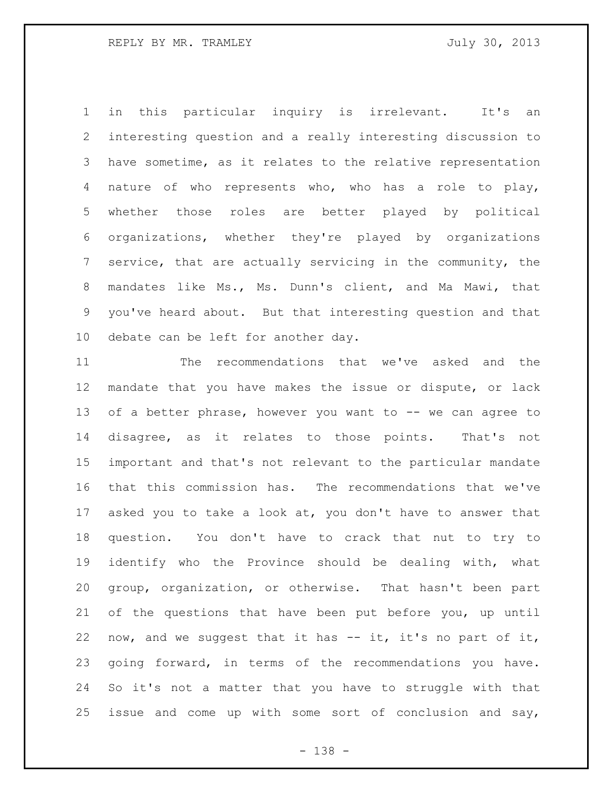in this particular inquiry is irrelevant. It's an interesting question and a really interesting discussion to have sometime, as it relates to the relative representation nature of who represents who, who has a role to play, whether those roles are better played by political organizations, whether they're played by organizations service, that are actually servicing in the community, the mandates like Ms., Ms. Dunn's client, and Ma Mawi, that you've heard about. But that interesting question and that debate can be left for another day.

 The recommendations that we've asked and the mandate that you have makes the issue or dispute, or lack 13 of a better phrase, however you want to -- we can agree to disagree, as it relates to those points. That's not important and that's not relevant to the particular mandate that this commission has. The recommendations that we've asked you to take a look at, you don't have to answer that question. You don't have to crack that nut to try to identify who the Province should be dealing with, what group, organization, or otherwise. That hasn't been part of the questions that have been put before you, up until now, and we suggest that it has -- it, it's no part of it, going forward, in terms of the recommendations you have. So it's not a matter that you have to struggle with that issue and come up with some sort of conclusion and say,

- 138 -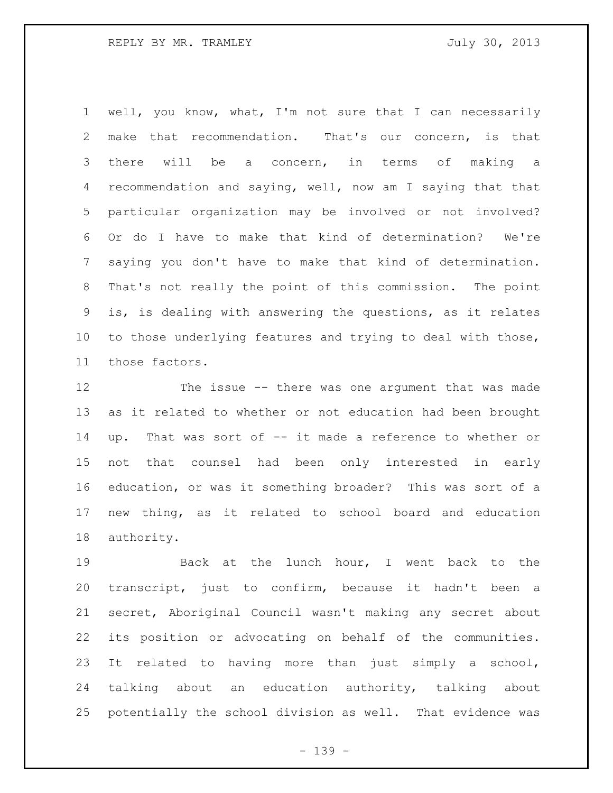well, you know, what, I'm not sure that I can necessarily make that recommendation. That's our concern, is that there will be a concern, in terms of making a recommendation and saying, well, now am I saying that that particular organization may be involved or not involved? Or do I have to make that kind of determination? We're saying you don't have to make that kind of determination. That's not really the point of this commission. The point is, is dealing with answering the questions, as it relates to those underlying features and trying to deal with those, those factors.

 The issue -- there was one argument that was made as it related to whether or not education had been brought up. That was sort of -- it made a reference to whether or not that counsel had been only interested in early education, or was it something broader? This was sort of a new thing, as it related to school board and education authority.

 Back at the lunch hour, I went back to the transcript, just to confirm, because it hadn't been a secret, Aboriginal Council wasn't making any secret about its position or advocating on behalf of the communities. It related to having more than just simply a school, talking about an education authority, talking about potentially the school division as well. That evidence was

- 139 -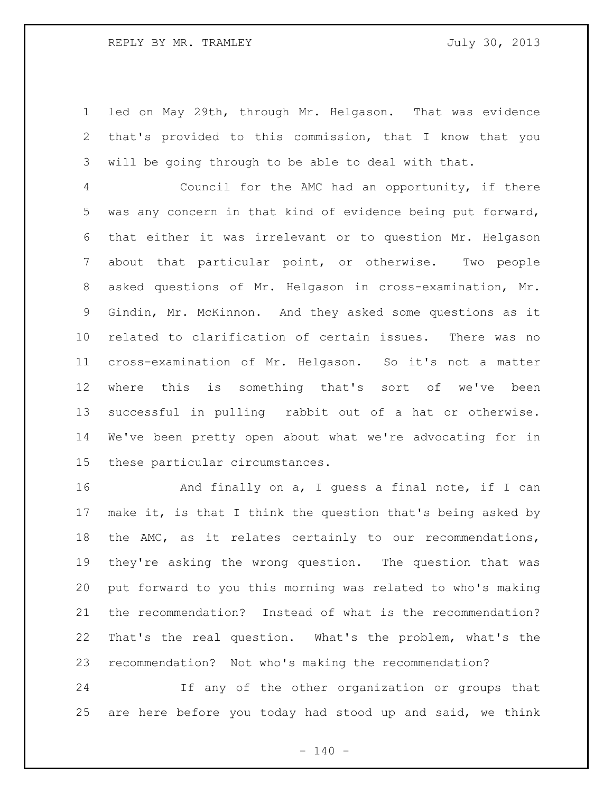led on May 29th, through Mr. Helgason. That was evidence that's provided to this commission, that I know that you will be going through to be able to deal with that.

 Council for the AMC had an opportunity, if there was any concern in that kind of evidence being put forward, that either it was irrelevant or to question Mr. Helgason about that particular point, or otherwise. Two people asked questions of Mr. Helgason in cross-examination, Mr. Gindin, Mr. McKinnon. And they asked some questions as it related to clarification of certain issues. There was no cross-examination of Mr. Helgason. So it's not a matter where this is something that's sort of we've been successful in pulling rabbit out of a hat or otherwise. We've been pretty open about what we're advocating for in these particular circumstances.

16 And finally on a, I guess a final note, if I can make it, is that I think the question that's being asked by the AMC, as it relates certainly to our recommendations, they're asking the wrong question. The question that was put forward to you this morning was related to who's making the recommendation? Instead of what is the recommendation? That's the real question. What's the problem, what's the recommendation? Not who's making the recommendation?

 If any of the other organization or groups that are here before you today had stood up and said, we think

 $- 140 -$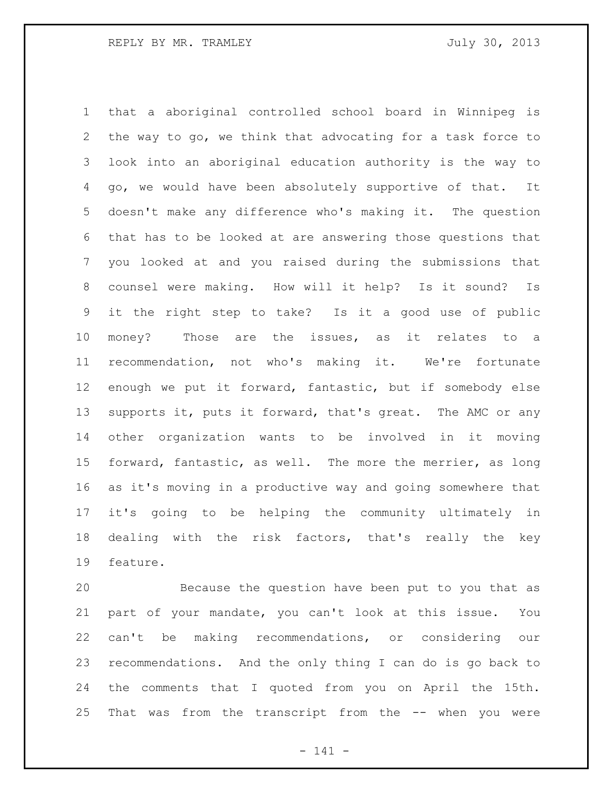that a aboriginal controlled school board in Winnipeg is the way to go, we think that advocating for a task force to look into an aboriginal education authority is the way to go, we would have been absolutely supportive of that. It doesn't make any difference who's making it. The question that has to be looked at are answering those questions that you looked at and you raised during the submissions that counsel were making. How will it help? Is it sound? Is it the right step to take? Is it a good use of public money? Those are the issues, as it relates to a recommendation, not who's making it. We're fortunate enough we put it forward, fantastic, but if somebody else supports it, puts it forward, that's great. The AMC or any other organization wants to be involved in it moving forward, fantastic, as well. The more the merrier, as long as it's moving in a productive way and going somewhere that it's going to be helping the community ultimately in dealing with the risk factors, that's really the key feature.

 Because the question have been put to you that as part of your mandate, you can't look at this issue. You can't be making recommendations, or considering our recommendations. And the only thing I can do is go back to the comments that I quoted from you on April the 15th. That was from the transcript from the -- when you were

- 141 -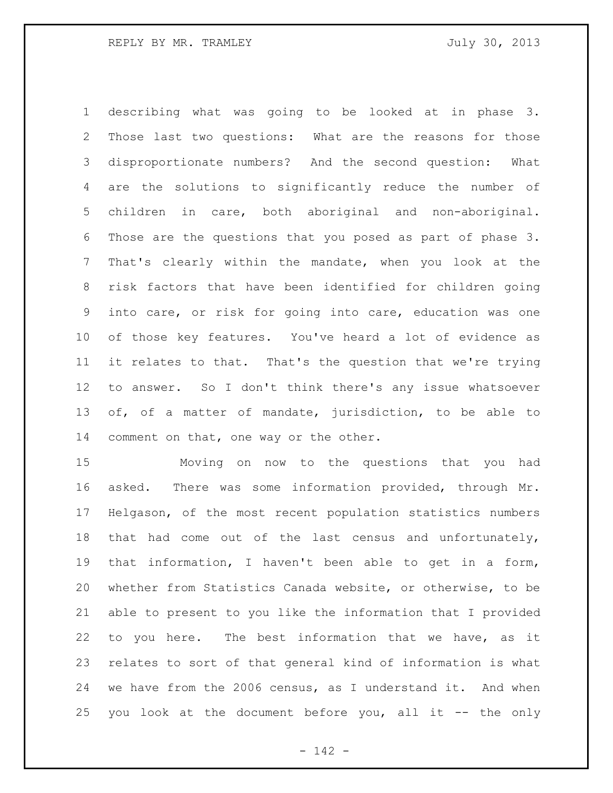describing what was going to be looked at in phase 3. Those last two questions: What are the reasons for those disproportionate numbers? And the second question: What are the solutions to significantly reduce the number of children in care, both aboriginal and non-aboriginal. Those are the questions that you posed as part of phase 3. That's clearly within the mandate, when you look at the risk factors that have been identified for children going into care, or risk for going into care, education was one of those key features. You've heard a lot of evidence as it relates to that. That's the question that we're trying to answer. So I don't think there's any issue whatsoever of, of a matter of mandate, jurisdiction, to be able to comment on that, one way or the other.

 Moving on now to the questions that you had asked. There was some information provided, through Mr. Helgason, of the most recent population statistics numbers that had come out of the last census and unfortunately, that information, I haven't been able to get in a form, whether from Statistics Canada website, or otherwise, to be able to present to you like the information that I provided to you here. The best information that we have, as it relates to sort of that general kind of information is what we have from the 2006 census, as I understand it. And when you look at the document before you, all it -- the only

- 142 -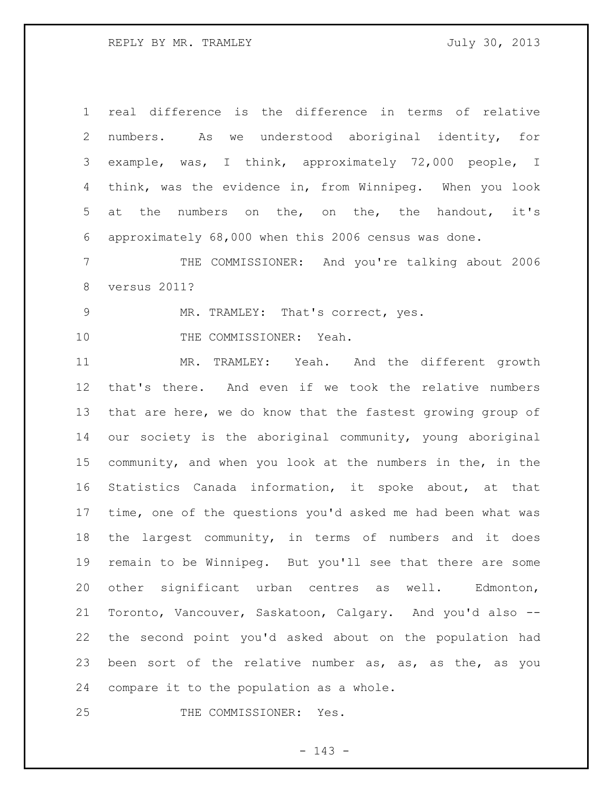REPLY BY MR. TRAMLEY July 30, 2013

| $\mathbf 1$    | real difference is the difference in terms of relative      |
|----------------|-------------------------------------------------------------|
| $\mathbf{2}$   | numbers. As we understood aboriginal identity, for          |
| 3              | example, was, I think, approximately 72,000 people, I       |
| 4              | think, was the evidence in, from Winnipeg. When you look    |
| 5              | at the numbers on the, on the, the handout, it's            |
| 6              | approximately 68,000 when this 2006 census was done.        |
| $7\phantom{.}$ | THE COMMISSIONER: And you're talking about 2006             |
| 8              | versus 2011?                                                |
| 9              | MR. TRAMLEY: That's correct, yes.                           |
| 10             | THE COMMISSIONER: Yeah.                                     |
| 11             | MR. TRAMLEY: Yeah. And the different growth                 |
| 12             | that's there. And even if we took the relative numbers      |
| 13             | that are here, we do know that the fastest growing group of |
| 14             | our society is the aboriginal community, young aboriginal   |
| 15             | community, and when you look at the numbers in the, in the  |
| 16             | Statistics Canada information, it spoke about, at that      |
| 17             | time, one of the questions you'd asked me had been what was |
| 18             | the largest community, in terms of numbers and it does      |
| 19             | remain to be Winnipeg. But you'll see that there are some   |
| 20             | other significant urban centres as well.<br>Edmonton,       |
| 21             | Toronto, Vancouver, Saskatoon, Calgary. And you'd also --   |
| 22             | the second point you'd asked about on the population had    |
| 23             | been sort of the relative number as, as, as the, as you     |
| 24             | compare it to the population as a whole.                    |
| 25             | THE COMMISSIONER:<br>Yes.                                   |

# - 143 -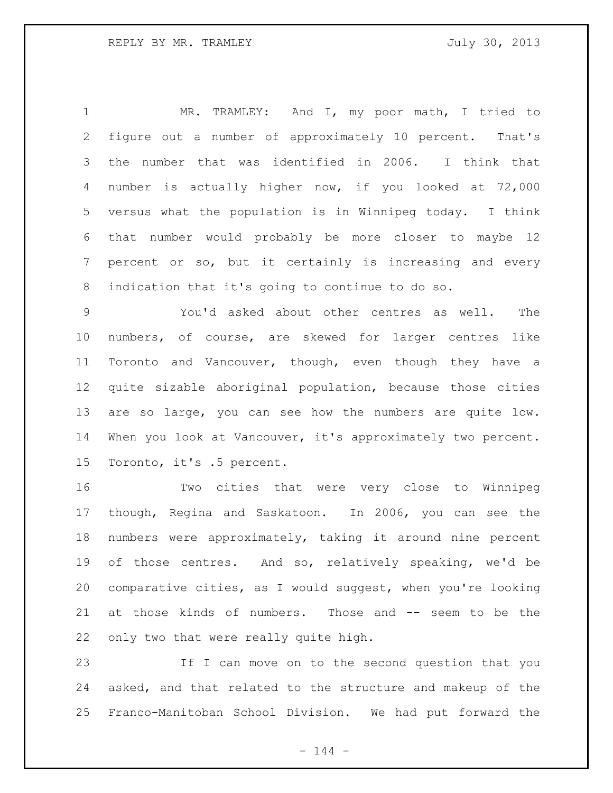MR. TRAMLEY: And I, my poor math, I tried to figure out a number of approximately 10 percent. That's the number that was identified in 2006. I think that number is actually higher now, if you looked at 72,000 versus what the population is in Winnipeg today. I think that number would probably be more closer to maybe 12 percent or so, but it certainly is increasing and every indication that it's going to continue to do so.

 You'd asked about other centres as well. The numbers, of course, are skewed for larger centres like Toronto and Vancouver, though, even though they have a quite sizable aboriginal population, because those cities are so large, you can see how the numbers are quite low. When you look at Vancouver, it's approximately two percent. Toronto, it's .5 percent.

 Two cities that were very close to Winnipeg though, Regina and Saskatoon. In 2006, you can see the numbers were approximately, taking it around nine percent of those centres. And so, relatively speaking, we'd be comparative cities, as I would suggest, when you're looking at those kinds of numbers. Those and -- seem to be the only two that were really quite high.

 If I can move on to the second question that you asked, and that related to the structure and makeup of the Franco-Manitoban School Division. We had put forward the

 $- 144 -$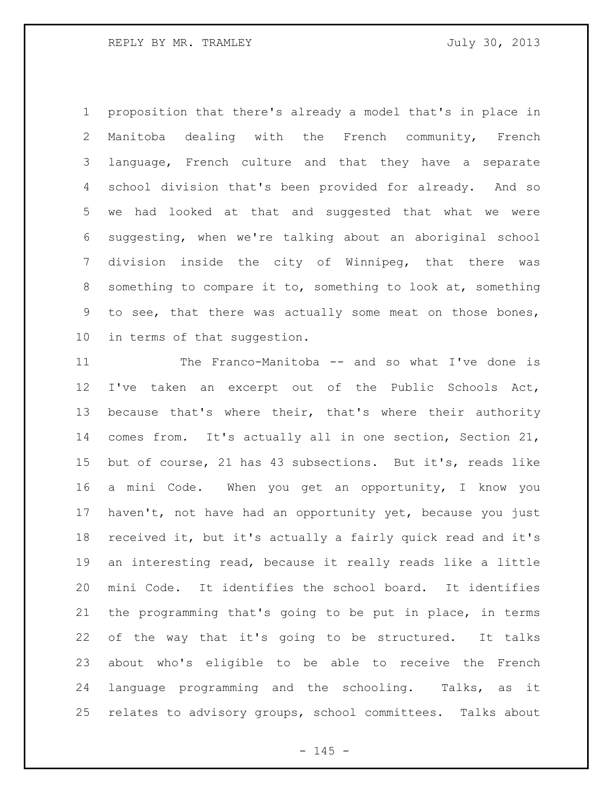proposition that there's already a model that's in place in Manitoba dealing with the French community, French language, French culture and that they have a separate school division that's been provided for already. And so we had looked at that and suggested that what we were suggesting, when we're talking about an aboriginal school division inside the city of Winnipeg, that there was something to compare it to, something to look at, something to see, that there was actually some meat on those bones, in terms of that suggestion.

 The Franco-Manitoba -- and so what I've done is I've taken an excerpt out of the Public Schools Act, because that's where their, that's where their authority comes from. It's actually all in one section, Section 21, but of course, 21 has 43 subsections. But it's, reads like a mini Code. When you get an opportunity, I know you haven't, not have had an opportunity yet, because you just received it, but it's actually a fairly quick read and it's an interesting read, because it really reads like a little mini Code. It identifies the school board. It identifies the programming that's going to be put in place, in terms of the way that it's going to be structured. It talks about who's eligible to be able to receive the French language programming and the schooling. Talks, as it relates to advisory groups, school committees. Talks about

 $- 145 -$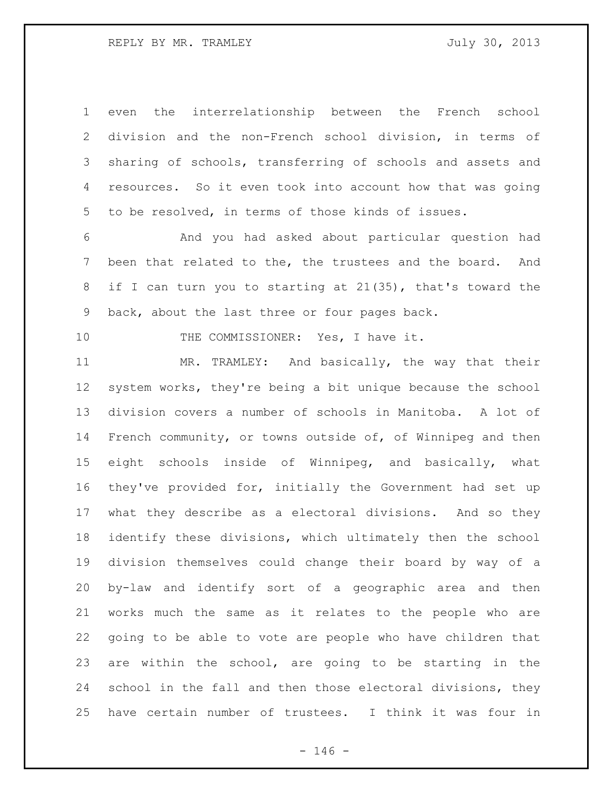even the interrelationship between the French school division and the non-French school division, in terms of sharing of schools, transferring of schools and assets and resources. So it even took into account how that was going to be resolved, in terms of those kinds of issues.

 And you had asked about particular question had been that related to the, the trustees and the board. And if I can turn you to starting at 21(35), that's toward the back, about the last three or four pages back.

10 THE COMMISSIONER: Yes, I have it.

 MR. TRAMLEY: And basically, the way that their system works, they're being a bit unique because the school division covers a number of schools in Manitoba. A lot of French community, or towns outside of, of Winnipeg and then eight schools inside of Winnipeg, and basically, what they've provided for, initially the Government had set up what they describe as a electoral divisions. And so they identify these divisions, which ultimately then the school division themselves could change their board by way of a by-law and identify sort of a geographic area and then works much the same as it relates to the people who are going to be able to vote are people who have children that are within the school, are going to be starting in the school in the fall and then those electoral divisions, they have certain number of trustees. I think it was four in

 $- 146 -$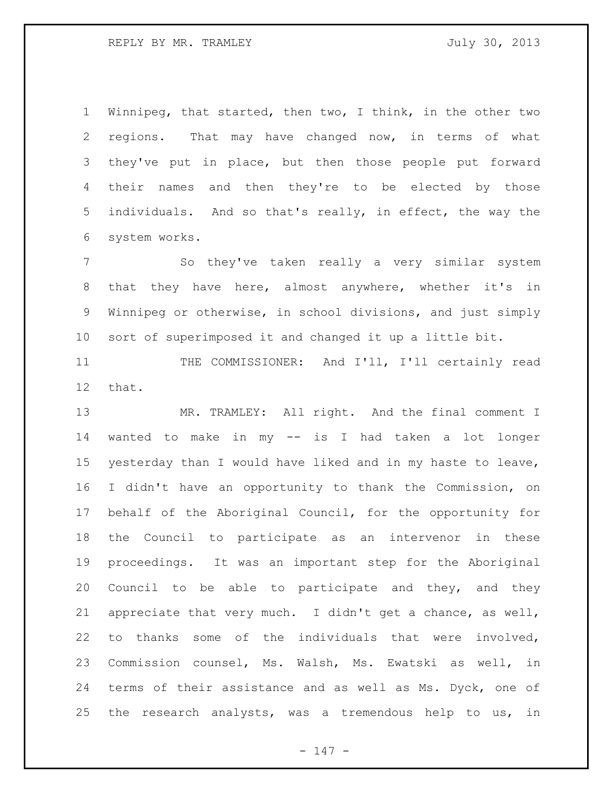Winnipeg, that started, then two, I think, in the other two regions. That may have changed now, in terms of what they've put in place, but then those people put forward their names and then they're to be elected by those individuals. And so that's really, in effect, the way the system works.

 So they've taken really a very similar system that they have here, almost anywhere, whether it's in Winnipeg or otherwise, in school divisions, and just simply sort of superimposed it and changed it up a little bit.

 THE COMMISSIONER: And I'll, I'll certainly read that.

13 MR. TRAMLEY: All right. And the final comment I wanted to make in my -- is I had taken a lot longer yesterday than I would have liked and in my haste to leave, I didn't have an opportunity to thank the Commission, on behalf of the Aboriginal Council, for the opportunity for the Council to participate as an intervenor in these proceedings. It was an important step for the Aboriginal Council to be able to participate and they, and they appreciate that very much. I didn't get a chance, as well, to thanks some of the individuals that were involved, Commission counsel, Ms. Walsh, Ms. Ewatski as well, in terms of their assistance and as well as Ms. Dyck, one of the research analysts, was a tremendous help to us, in

- 147 -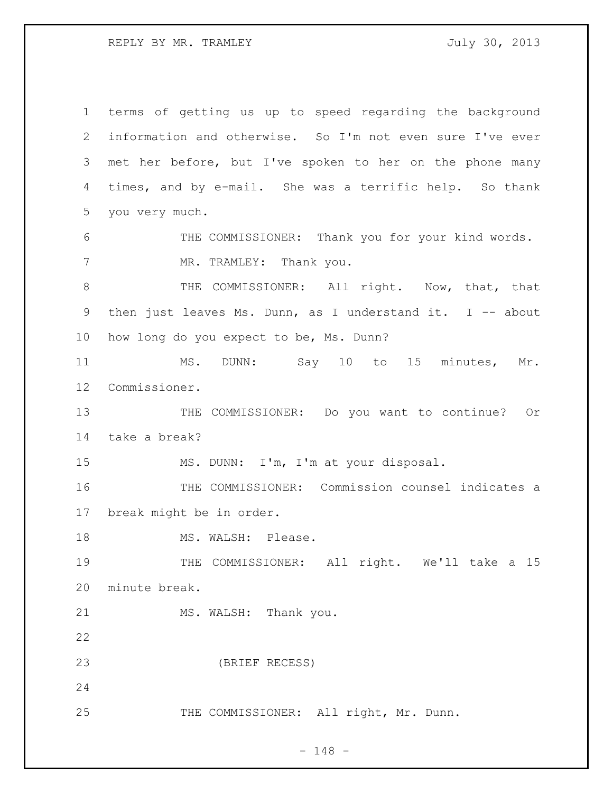REPLY BY MR. TRAMLEY **1988** July 30, 2013

 terms of getting us up to speed regarding the background information and otherwise. So I'm not even sure I've ever met her before, but I've spoken to her on the phone many times, and by e-mail. She was a terrific help. So thank you very much. 6 THE COMMISSIONER: Thank you for your kind words. 7 MR. TRAMLEY: Thank you. 8 THE COMMISSIONER: All right. Now, that, that then just leaves Ms. Dunn, as I understand it. I -- about how long do you expect to be, Ms. Dunn? 11 MS. DUNN: Say 10 to 15 minutes, Mr. Commissioner. THE COMMISSIONER: Do you want to continue? Or take a break? MS. DUNN: I'm, I'm at your disposal. THE COMMISSIONER: Commission counsel indicates a break might be in order. 18 MS. WALSH: Please. 19 THE COMMISSIONER: All right. We'll take a 15 minute break. 21 MS. WALSH: Thank you. (BRIEF RECESS) 25 THE COMMISSIONER: All right, Mr. Dunn.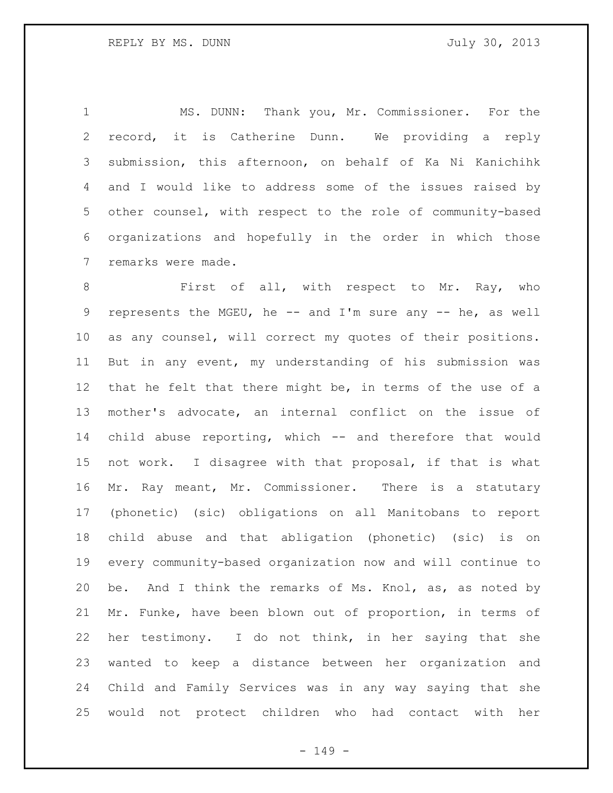MS. DUNN: Thank you, Mr. Commissioner. For the record, it is Catherine Dunn. We providing a reply submission, this afternoon, on behalf of Ka Ni Kanichihk and I would like to address some of the issues raised by other counsel, with respect to the role of community-based organizations and hopefully in the order in which those remarks were made.

8 First of all, with respect to Mr. Ray, who represents the MGEU, he -- and I'm sure any -- he, as well as any counsel, will correct my quotes of their positions. But in any event, my understanding of his submission was that he felt that there might be, in terms of the use of a mother's advocate, an internal conflict on the issue of child abuse reporting, which -- and therefore that would not work. I disagree with that proposal, if that is what Mr. Ray meant, Mr. Commissioner. There is a statutary (phonetic) (sic) obligations on all Manitobans to report child abuse and that abligation (phonetic) (sic) is on every community-based organization now and will continue to be. And I think the remarks of Ms. Knol, as, as noted by Mr. Funke, have been blown out of proportion, in terms of her testimony. I do not think, in her saying that she wanted to keep a distance between her organization and Child and Family Services was in any way saying that she would not protect children who had contact with her

- 149 -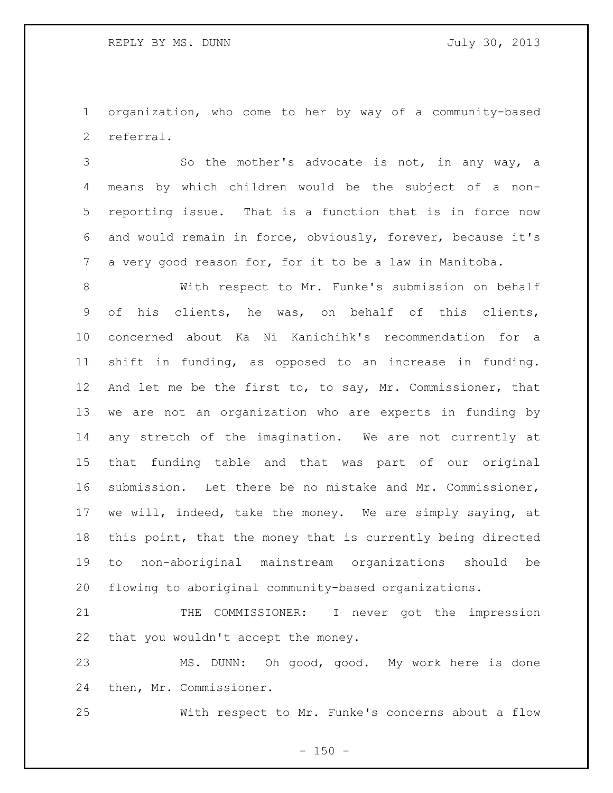organization, who come to her by way of a community-based referral.

 So the mother's advocate is not, in any way, a means by which children would be the subject of a non- reporting issue. That is a function that is in force now and would remain in force, obviously, forever, because it's a very good reason for, for it to be a law in Manitoba.

 With respect to Mr. Funke's submission on behalf of his clients, he was, on behalf of this clients, concerned about Ka Ni Kanichihk's recommendation for a shift in funding, as opposed to an increase in funding. And let me be the first to, to say, Mr. Commissioner, that we are not an organization who are experts in funding by any stretch of the imagination. We are not currently at that funding table and that was part of our original submission. Let there be no mistake and Mr. Commissioner, we will, indeed, take the money. We are simply saying, at this point, that the money that is currently being directed to non-aboriginal mainstream organizations should be flowing to aboriginal community-based organizations.

21 THE COMMISSIONER: I never got the impression that you wouldn't accept the money.

 MS. DUNN: Oh good, good. My work here is done then, Mr. Commissioner.

With respect to Mr. Funke's concerns about a flow

 $- 150 -$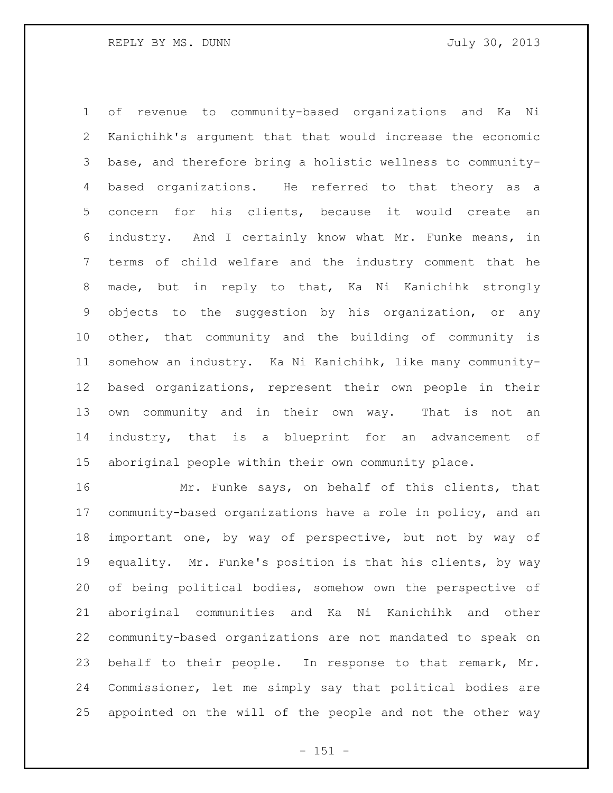of revenue to community-based organizations and Ka Ni Kanichihk's argument that that would increase the economic base, and therefore bring a holistic wellness to community- based organizations. He referred to that theory as a concern for his clients, because it would create an industry. And I certainly know what Mr. Funke means, in terms of child welfare and the industry comment that he made, but in reply to that, Ka Ni Kanichihk strongly objects to the suggestion by his organization, or any other, that community and the building of community is somehow an industry. Ka Ni Kanichihk, like many community- based organizations, represent their own people in their own community and in their own way. That is not an industry, that is a blueprint for an advancement of aboriginal people within their own community place.

 Mr. Funke says, on behalf of this clients, that community-based organizations have a role in policy, and an important one, by way of perspective, but not by way of equality. Mr. Funke's position is that his clients, by way of being political bodies, somehow own the perspective of aboriginal communities and Ka Ni Kanichihk and other community-based organizations are not mandated to speak on behalf to their people. In response to that remark, Mr. Commissioner, let me simply say that political bodies are appointed on the will of the people and not the other way

- 151 -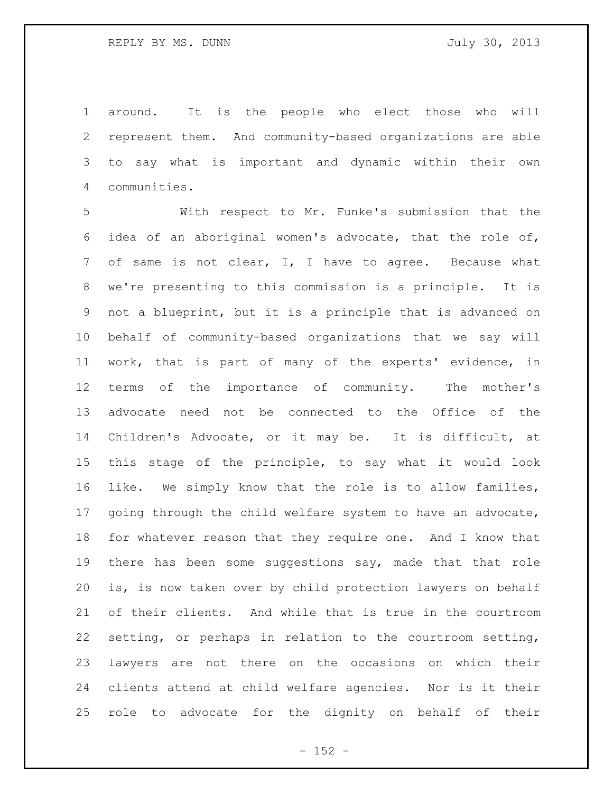around. It is the people who elect those who will represent them. And community-based organizations are able to say what is important and dynamic within their own communities.

 With respect to Mr. Funke's submission that the idea of an aboriginal women's advocate, that the role of, of same is not clear, I, I have to agree. Because what we're presenting to this commission is a principle. It is not a blueprint, but it is a principle that is advanced on behalf of community-based organizations that we say will work, that is part of many of the experts' evidence, in terms of the importance of community. The mother's advocate need not be connected to the Office of the Children's Advocate, or it may be. It is difficult, at this stage of the principle, to say what it would look like. We simply know that the role is to allow families, going through the child welfare system to have an advocate, for whatever reason that they require one. And I know that there has been some suggestions say, made that that role is, is now taken over by child protection lawyers on behalf of their clients. And while that is true in the courtroom setting, or perhaps in relation to the courtroom setting, lawyers are not there on the occasions on which their clients attend at child welfare agencies. Nor is it their role to advocate for the dignity on behalf of their

 $- 152 -$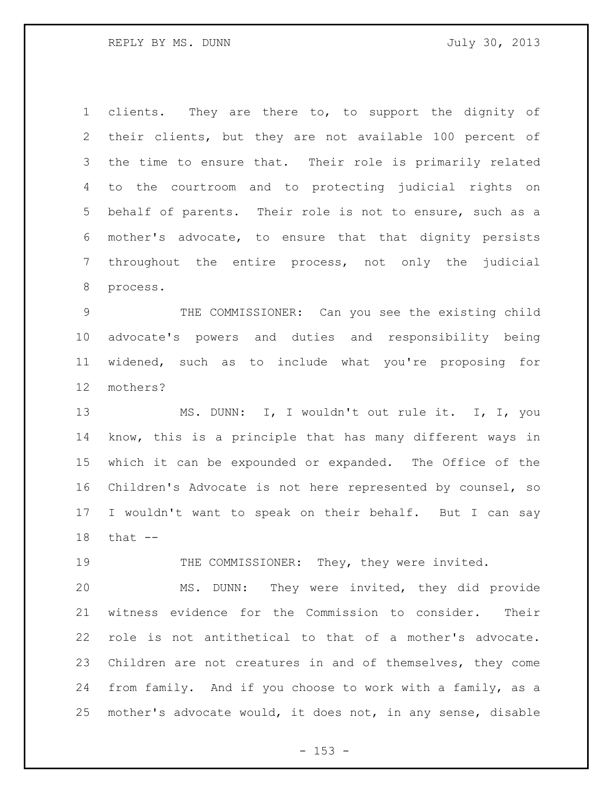REPLY BY MS. DUNN GARD STATES STATES TO MALLY 30, 2013

 clients. They are there to, to support the dignity of their clients, but they are not available 100 percent of the time to ensure that. Their role is primarily related to the courtroom and to protecting judicial rights on behalf of parents. Their role is not to ensure, such as a mother's advocate, to ensure that that dignity persists throughout the entire process, not only the judicial process.

 THE COMMISSIONER: Can you see the existing child advocate's powers and duties and responsibility being widened, such as to include what you're proposing for mothers?

 MS. DUNN: I, I wouldn't out rule it. I, I, you know, this is a principle that has many different ways in which it can be expounded or expanded. The Office of the Children's Advocate is not here represented by counsel, so I wouldn't want to speak on their behalf. But I can say that --

19 THE COMMISSIONER: They, they were invited.

 MS. DUNN: They were invited, they did provide witness evidence for the Commission to consider. Their role is not antithetical to that of a mother's advocate. Children are not creatures in and of themselves, they come from family. And if you choose to work with a family, as a mother's advocate would, it does not, in any sense, disable

 $- 153 -$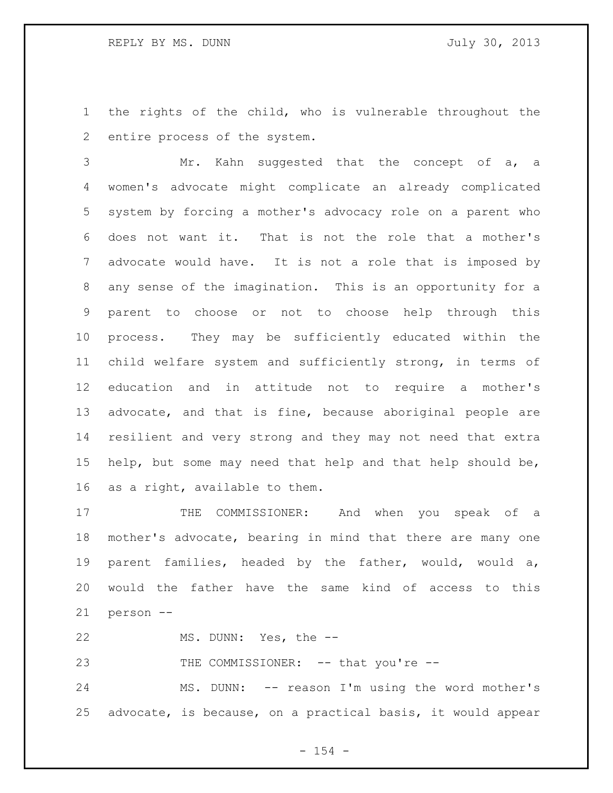the rights of the child, who is vulnerable throughout the entire process of the system.

 Mr. Kahn suggested that the concept of a, a women's advocate might complicate an already complicated system by forcing a mother's advocacy role on a parent who does not want it. That is not the role that a mother's advocate would have. It is not a role that is imposed by any sense of the imagination. This is an opportunity for a parent to choose or not to choose help through this process. They may be sufficiently educated within the child welfare system and sufficiently strong, in terms of education and in attitude not to require a mother's advocate, and that is fine, because aboriginal people are resilient and very strong and they may not need that extra help, but some may need that help and that help should be, as a right, available to them.

17 THE COMMISSIONER: And when you speak of a mother's advocate, bearing in mind that there are many one parent families, headed by the father, would, would a, would the father have the same kind of access to this person --

MS. DUNN: Yes, the --

23 THE COMMISSIONER: -- that you're --

 MS. DUNN: -- reason I'm using the word mother's advocate, is because, on a practical basis, it would appear

 $- 154 -$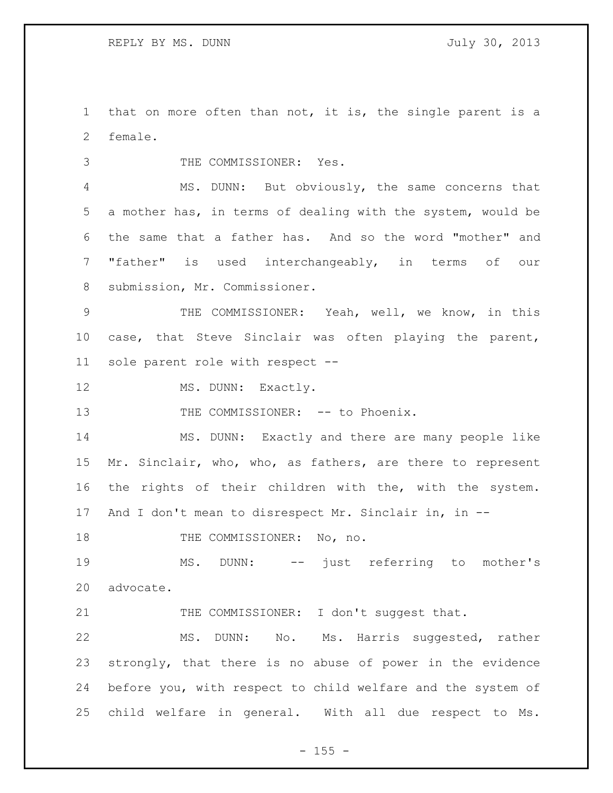that on more often than not, it is, the single parent is a female.

THE COMMISSIONER: Yes.

 MS. DUNN: But obviously, the same concerns that a mother has, in terms of dealing with the system, would be the same that a father has. And so the word "mother" and "father" is used interchangeably, in terms of our submission, Mr. Commissioner.

 THE COMMISSIONER: Yeah, well, we know, in this case, that Steve Sinclair was often playing the parent, sole parent role with respect --

12 MS. DUNN: Exactly.

13 THE COMMISSIONER: -- to Phoenix.

 MS. DUNN: Exactly and there are many people like Mr. Sinclair, who, who, as fathers, are there to represent the rights of their children with the, with the system. And I don't mean to disrespect Mr. Sinclair in, in --

18 THE COMMISSIONER: No, no.

 MS. DUNN: -- just referring to mother's advocate.

21 THE COMMISSIONER: I don't suggest that.

 MS. DUNN: No. Ms. Harris suggested, rather strongly, that there is no abuse of power in the evidence before you, with respect to child welfare and the system of child welfare in general. With all due respect to Ms.

 $- 155 -$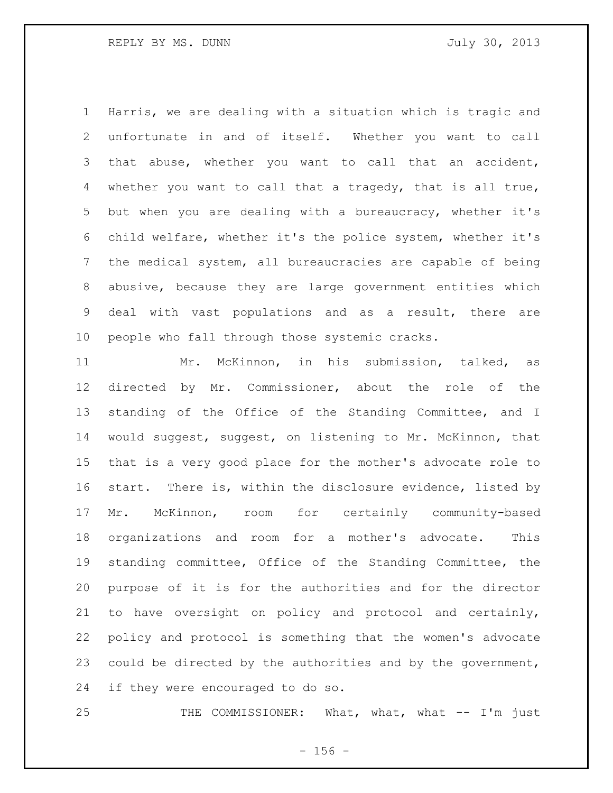Harris, we are dealing with a situation which is tragic and unfortunate in and of itself. Whether you want to call that abuse, whether you want to call that an accident, whether you want to call that a tragedy, that is all true, but when you are dealing with a bureaucracy, whether it's child welfare, whether it's the police system, whether it's the medical system, all bureaucracies are capable of being abusive, because they are large government entities which deal with vast populations and as a result, there are people who fall through those systemic cracks.

 Mr. McKinnon, in his submission, talked, as directed by Mr. Commissioner, about the role of the standing of the Office of the Standing Committee, and I would suggest, suggest, on listening to Mr. McKinnon, that that is a very good place for the mother's advocate role to start. There is, within the disclosure evidence, listed by Mr. McKinnon, room for certainly community-based organizations and room for a mother's advocate. This standing committee, Office of the Standing Committee, the purpose of it is for the authorities and for the director to have oversight on policy and protocol and certainly, policy and protocol is something that the women's advocate could be directed by the authorities and by the government, if they were encouraged to do so.

25 THE COMMISSIONER: What, what, what -- I'm just

 $- 156 -$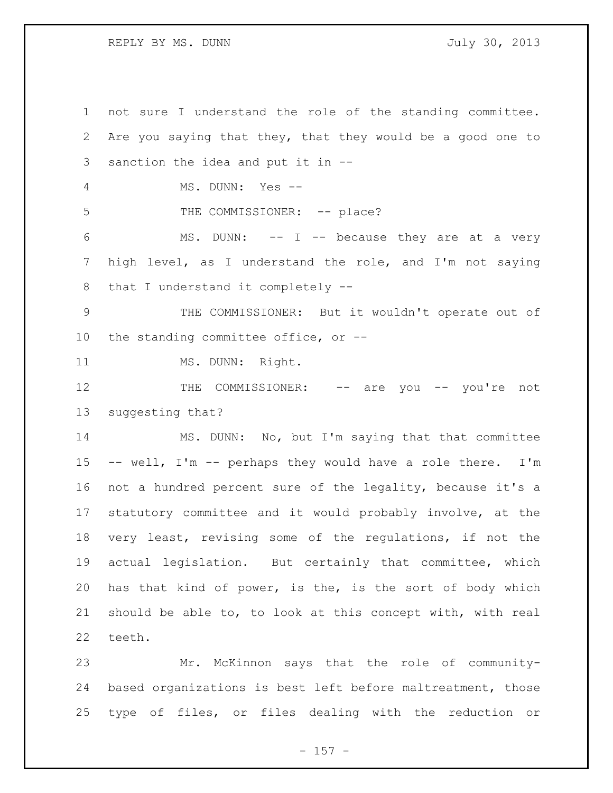REPLY BY MS. DUNN GARD STATES STATES TO MALLY 30, 2013

 not sure I understand the role of the standing committee. Are you saying that they, that they would be a good one to sanction the idea and put it in -- MS. DUNN: Yes -- 5 THE COMMISSIONER: -- place? MS. DUNN: -- I -- because they are at a very high level, as I understand the role, and I'm not saying that I understand it completely -- THE COMMISSIONER: But it wouldn't operate out of the standing committee office, or -- 11 MS. DUNN: Right. 12 THE COMMISSIONER: -- are you -- you're not suggesting that? MS. DUNN: No, but I'm saying that that committee -- well, I'm -- perhaps they would have a role there. I'm not a hundred percent sure of the legality, because it's a statutory committee and it would probably involve, at the very least, revising some of the regulations, if not the actual legislation. But certainly that committee, which has that kind of power, is the, is the sort of body which should be able to, to look at this concept with, with real teeth. Mr. McKinnon says that the role of community-

 based organizations is best left before maltreatment, those type of files, or files dealing with the reduction or

- 157 -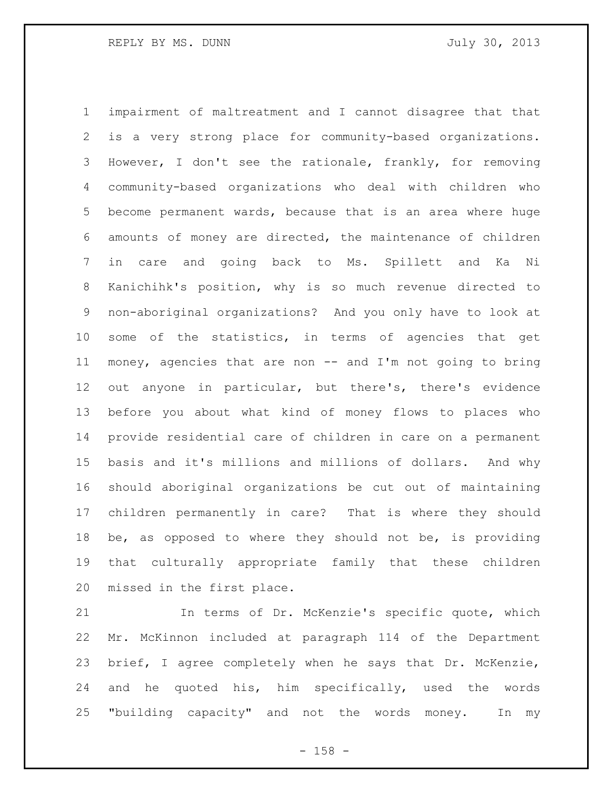impairment of maltreatment and I cannot disagree that that is a very strong place for community-based organizations. However, I don't see the rationale, frankly, for removing community-based organizations who deal with children who become permanent wards, because that is an area where huge amounts of money are directed, the maintenance of children in care and going back to Ms. Spillett and Ka Ni Kanichihk's position, why is so much revenue directed to non-aboriginal organizations? And you only have to look at some of the statistics, in terms of agencies that get money, agencies that are non -- and I'm not going to bring out anyone in particular, but there's, there's evidence before you about what kind of money flows to places who provide residential care of children in care on a permanent basis and it's millions and millions of dollars. And why should aboriginal organizations be cut out of maintaining children permanently in care? That is where they should be, as opposed to where they should not be, is providing that culturally appropriate family that these children missed in the first place.

 In terms of Dr. McKenzie's specific quote, which Mr. McKinnon included at paragraph 114 of the Department brief, I agree completely when he says that Dr. McKenzie, and he quoted his, him specifically, used the words "building capacity" and not the words money. In my

- 158 -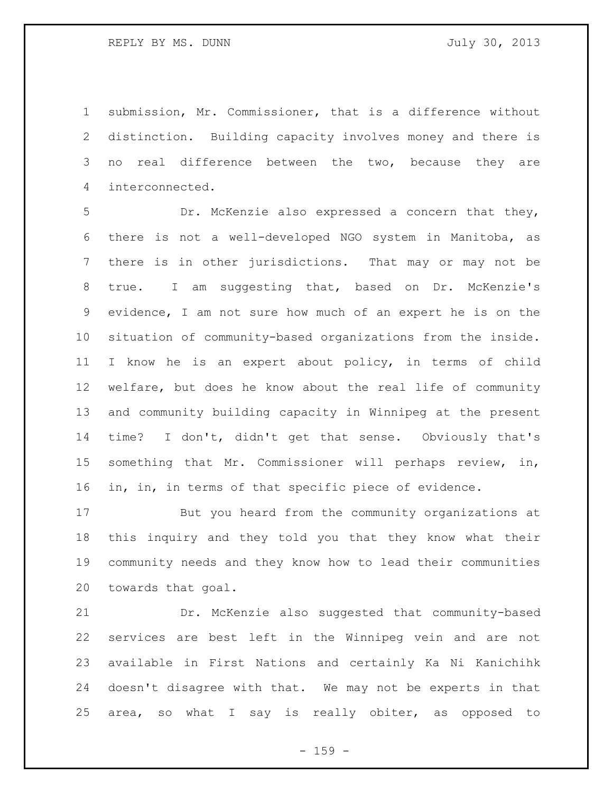REPLY BY MS. DUNN GARD STATES STATES TO MALLY 30, 2013

 submission, Mr. Commissioner, that is a difference without distinction. Building capacity involves money and there is no real difference between the two, because they are interconnected.

 Dr. McKenzie also expressed a concern that they, there is not a well-developed NGO system in Manitoba, as there is in other jurisdictions. That may or may not be true. I am suggesting that, based on Dr. McKenzie's evidence, I am not sure how much of an expert he is on the situation of community-based organizations from the inside. I know he is an expert about policy, in terms of child welfare, but does he know about the real life of community and community building capacity in Winnipeg at the present time? I don't, didn't get that sense. Obviously that's something that Mr. Commissioner will perhaps review, in, in, in, in terms of that specific piece of evidence.

 But you heard from the community organizations at this inquiry and they told you that they know what their community needs and they know how to lead their communities towards that goal.

 Dr. McKenzie also suggested that community-based services are best left in the Winnipeg vein and are not available in First Nations and certainly Ka Ni Kanichihk doesn't disagree with that. We may not be experts in that area, so what I say is really obiter, as opposed to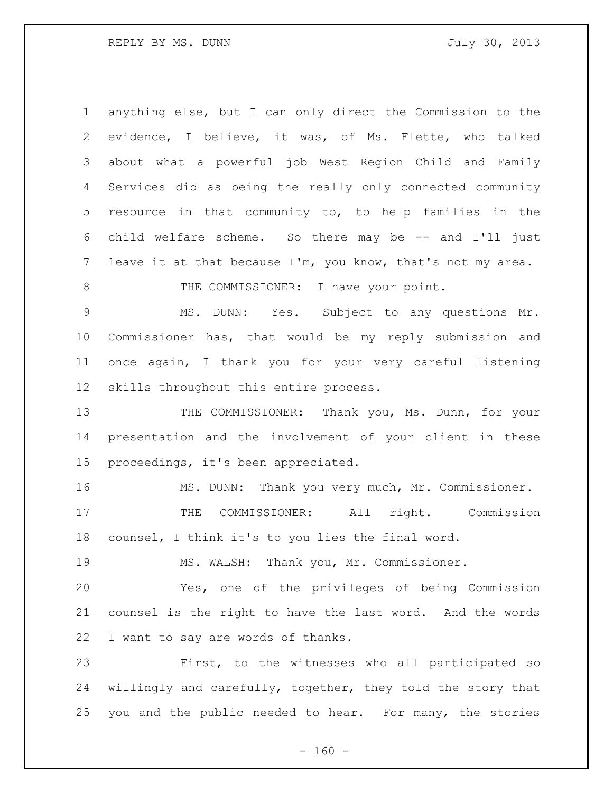REPLY BY MS. DUNN GARD STATES STATES TO MALLY 30, 2013

 anything else, but I can only direct the Commission to the evidence, I believe, it was, of Ms. Flette, who talked about what a powerful job West Region Child and Family Services did as being the really only connected community resource in that community to, to help families in the child welfare scheme. So there may be -- and I'll just leave it at that because I'm, you know, that's not my area. 8 THE COMMISSIONER: I have your point. MS. DUNN: Yes. Subject to any questions Mr. Commissioner has, that would be my reply submission and once again, I thank you for your very careful listening skills throughout this entire process. 13 THE COMMISSIONER: Thank you, Ms. Dunn, for your presentation and the involvement of your client in these proceedings, it's been appreciated. MS. DUNN: Thank you very much, Mr. Commissioner. 17 THE COMMISSIONER: All right. Commission counsel, I think it's to you lies the final word. MS. WALSH: Thank you, Mr. Commissioner. Yes, one of the privileges of being Commission counsel is the right to have the last word. And the words I want to say are words of thanks. First, to the witnesses who all participated so willingly and carefully, together, they told the story that you and the public needed to hear. For many, the stories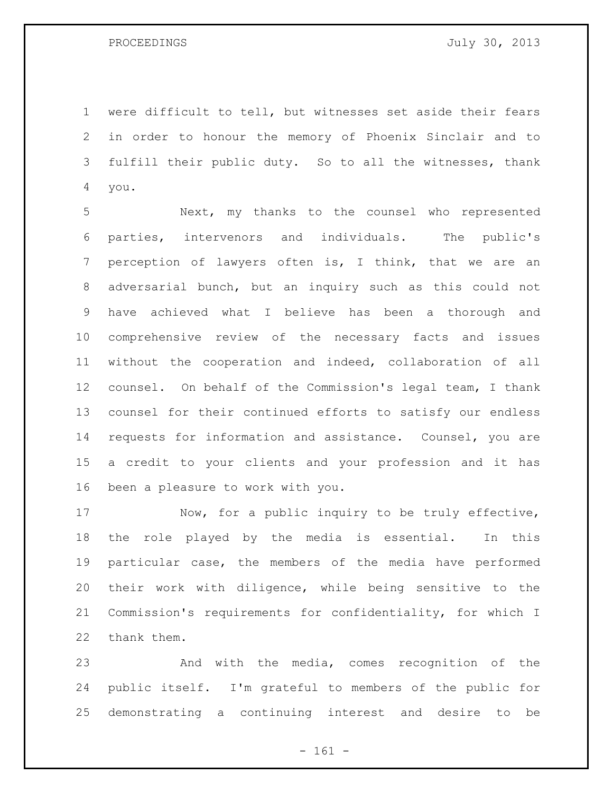were difficult to tell, but witnesses set aside their fears in order to honour the memory of Phoenix Sinclair and to fulfill their public duty. So to all the witnesses, thank you.

 Next, my thanks to the counsel who represented parties, intervenors and individuals. The public's perception of lawyers often is, I think, that we are an adversarial bunch, but an inquiry such as this could not have achieved what I believe has been a thorough and comprehensive review of the necessary facts and issues without the cooperation and indeed, collaboration of all counsel. On behalf of the Commission's legal team, I thank counsel for their continued efforts to satisfy our endless requests for information and assistance. Counsel, you are a credit to your clients and your profession and it has been a pleasure to work with you.

17 Now, for a public inquiry to be truly effective, the role played by the media is essential. In this particular case, the members of the media have performed their work with diligence, while being sensitive to the Commission's requirements for confidentiality, for which I thank them.

 And with the media, comes recognition of the public itself. I'm grateful to members of the public for demonstrating a continuing interest and desire to be

- 161 -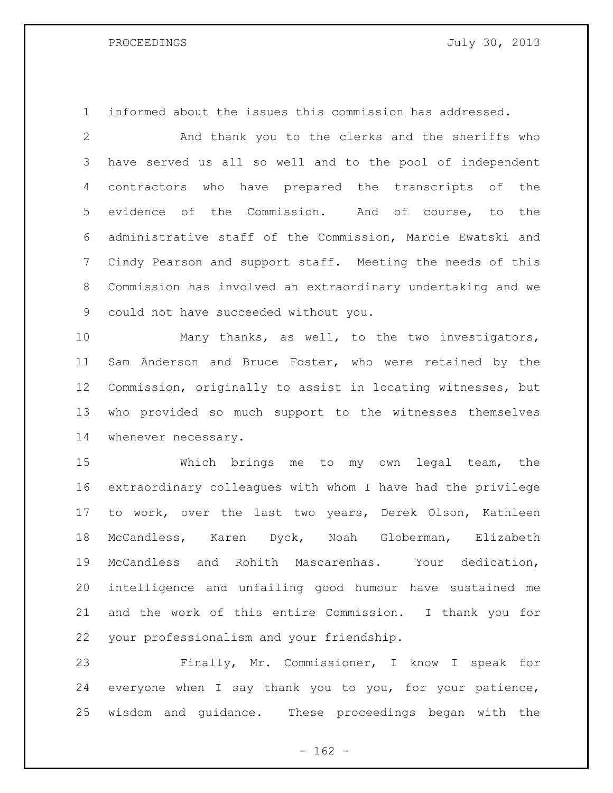informed about the issues this commission has addressed.

 And thank you to the clerks and the sheriffs who have served us all so well and to the pool of independent contractors who have prepared the transcripts of the evidence of the Commission. And of course, to the administrative staff of the Commission, Marcie Ewatski and Cindy Pearson and support staff. Meeting the needs of this Commission has involved an extraordinary undertaking and we could not have succeeded without you.

 Many thanks, as well, to the two investigators, Sam Anderson and Bruce Foster, who were retained by the Commission, originally to assist in locating witnesses, but who provided so much support to the witnesses themselves whenever necessary.

 Which brings me to my own legal team, the extraordinary colleagues with whom I have had the privilege to work, over the last two years, Derek Olson, Kathleen McCandless, Karen Dyck, Noah Globerman, Elizabeth McCandless and Rohith Mascarenhas. Your dedication, intelligence and unfailing good humour have sustained me and the work of this entire Commission. I thank you for your professionalism and your friendship.

 Finally, Mr. Commissioner, I know I speak for everyone when I say thank you to you, for your patience, wisdom and guidance. These proceedings began with the

 $- 162 -$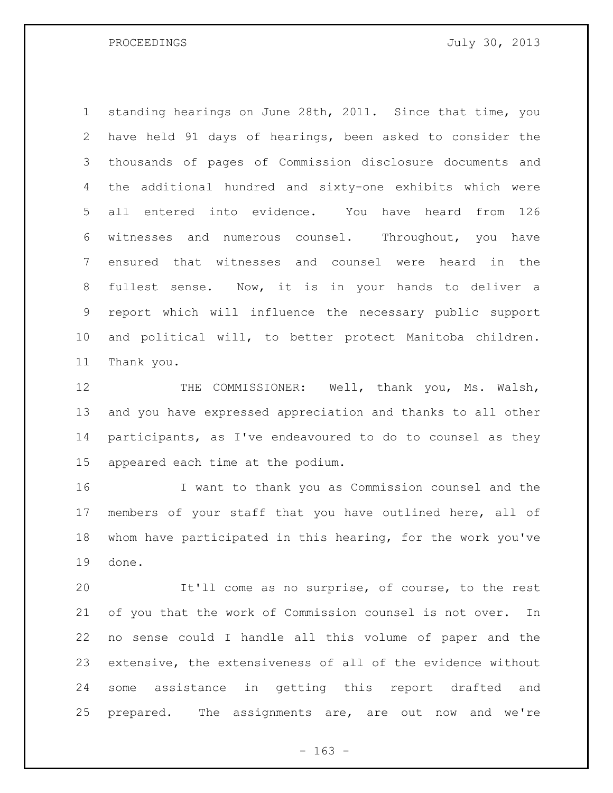PROCEEDINGS July 30, 2013

 standing hearings on June 28th, 2011. Since that time, you have held 91 days of hearings, been asked to consider the thousands of pages of Commission disclosure documents and the additional hundred and sixty-one exhibits which were all entered into evidence. You have heard from 126 witnesses and numerous counsel. Throughout, you have ensured that witnesses and counsel were heard in the fullest sense. Now, it is in your hands to deliver a report which will influence the necessary public support and political will, to better protect Manitoba children. Thank you.

 THE COMMISSIONER: Well, thank you, Ms. Walsh, and you have expressed appreciation and thanks to all other participants, as I've endeavoured to do to counsel as they appeared each time at the podium.

 I want to thank you as Commission counsel and the members of your staff that you have outlined here, all of whom have participated in this hearing, for the work you've done.

 It'll come as no surprise, of course, to the rest of you that the work of Commission counsel is not over. In no sense could I handle all this volume of paper and the extensive, the extensiveness of all of the evidence without some assistance in getting this report drafted and prepared. The assignments are, are out now and we're

- 163 -